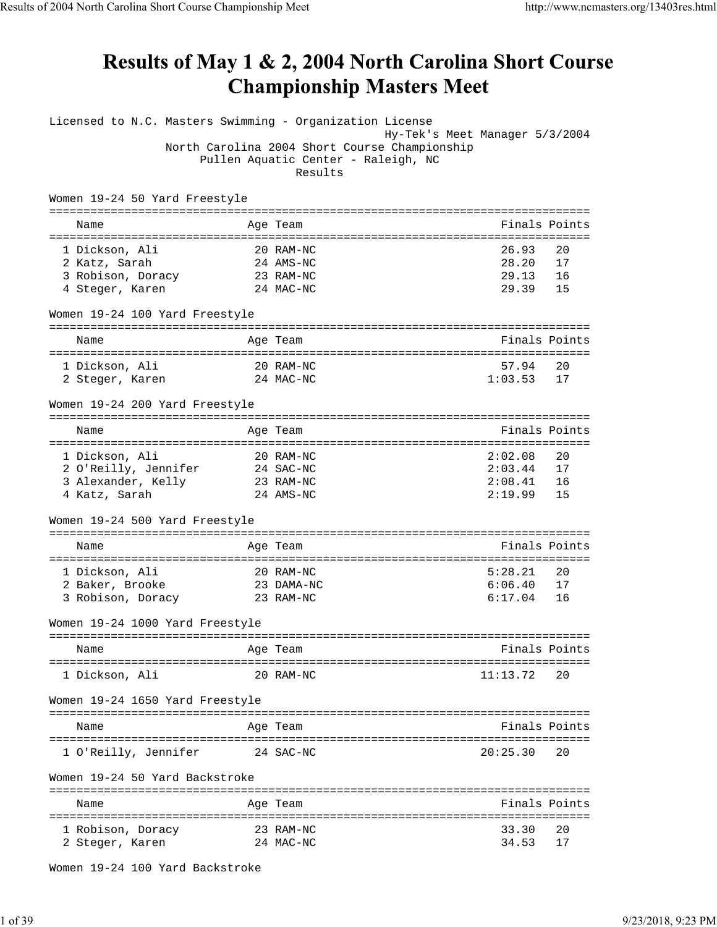## **Results of May 1 & 2, 2004 North Carolina Short Course Championship Masters Meet**

Licensed to N.C. Masters Swimming - Organization License Hy-Tek's Meet Manager 5/3/2004 North Carolina 2004 Short Course Championship Pullen Aquatic Center - Raleigh, NC Results Women 19-24 50 Yard Freestyle =============================================================================== Name **Age Team** Age Team **Finals Points** =============================================================================== 1 Dickson, Ali 20 RAM-NC 26.93 20 2 Katz, Sarah 24 AMS-NC 28.20 17 3 Robison, Doracy 23 RAM-NC 29.13 16 4 Steger, Karen 24 MAC-NC 29.39 15 Women 19-24 100 Yard Freestyle =============================================================================== Name Age Team Age Team Finals Points =============================================================================== 1 Dickson, Ali 20 RAM-NC 57.94 20 2 Steger, Karen 24 MAC-NC 1:03.53 17 Women 19-24 200 Yard Freestyle =============================================================================== Name **Age Team** Age Team Finals Points =============================================================================== 1 Dickson, Ali 20 RAM-NC 2:02.08 20 2 O'Reilly, Jennifer 24 SAC-NC 2:03.44 17 3 Alexander, Kelly 23 RAM-NC 2:08.41 16 4 Katz, Sarah 24 AMS-NC 2:19.99 15 Women 19-24 500 Yard Freestyle =============================================================================== Name Age Team Age Team Finals Points Points Age Team Age Team Age of the Research Points Points Points Points =============================================================================== 1 Dickson, Ali 20 RAM-NC 5:28.21 20 2 Baker, Brooke 23 DAMA-NC 6:06.40 17 3 Robison, Doracy 23 RAM-NC 6:17.04 16 Women 19-24 1000 Yard Freestyle =============================================================================== Name **Age Team** Age Team **Finals Points** =============================================================================== 1 Dickson, Ali 20 RAM-NC 11:13.72 20 Women 19-24 1650 Yard Freestyle =============================================================================== Name **Age Team** Age Team **Finals Points** =============================================================================== 1 O'Reilly, Jennifer 24 SAC-NC 20:25.30 20 Women 19-24 50 Yard Backstroke =============================================================================== Name **Age Team** Age Team Finals Points =============================================================================== 1 Robison, Doracy 23 RAM-NC 33.30 20 2 Steger, Karen 24 MAC-NC 34.53 17

Women 19-24 100 Yard Backstroke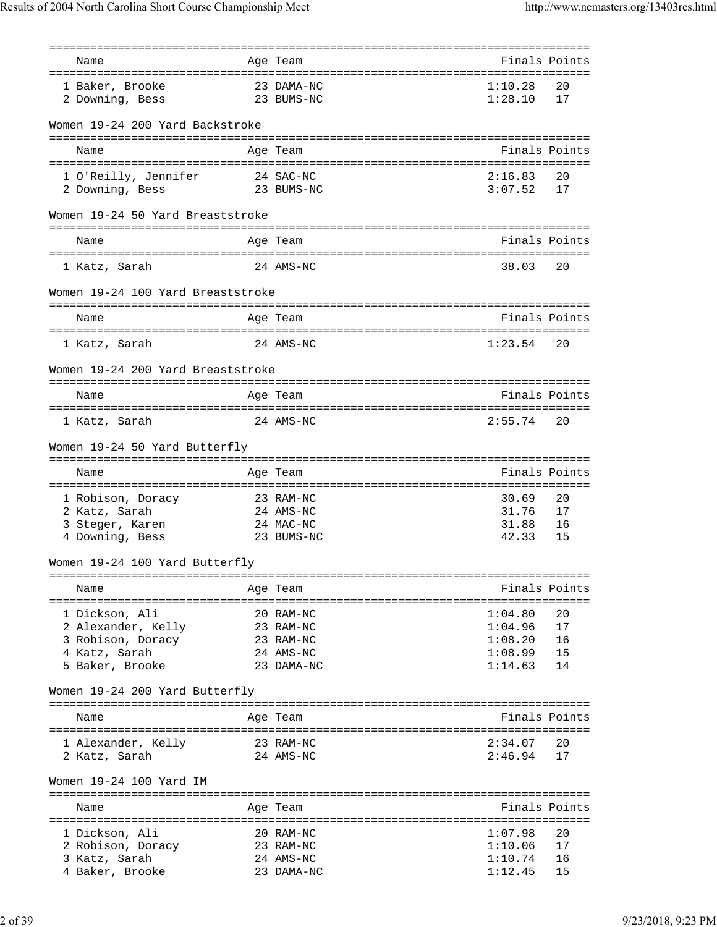| Name                               | Age Team   |               | Finals Points |
|------------------------------------|------------|---------------|---------------|
|                                    |            |               |               |
| 1 Baker, Brooke                    | 23 DAMA-NC | 1:10.28       | 20            |
| 2 Downing, Bess                    | 23 BUMS-NC | 1:28.10       | 17            |
|                                    |            |               |               |
| Women 19-24 200 Yard Backstroke    |            |               |               |
|                                    |            |               |               |
| Name                               | Age Team   |               | Finals Points |
|                                    |            |               |               |
| 1 O'Reilly, Jennifer               | 24 SAC-NC  | 2:16.83       | 20            |
| 2 Downing, Bess                    | 23 BUMS-NC | 3:07.52       | 17            |
|                                    |            |               |               |
| Women 19-24 50 Yard Breaststroke   |            |               |               |
|                                    |            |               |               |
| Name                               | Age Team   |               | Finals Points |
|                                    |            |               |               |
| 1 Katz, Sarah                      | 24 AMS-NC  | 38.03         | 20            |
|                                    |            |               |               |
| Women 19-24 100 Yard Breaststroke  |            |               |               |
|                                    |            |               |               |
| Name                               | Age Team   |               | Finals Points |
|                                    |            |               |               |
| 1 Katz, Sarah                      | 24 AMS-NC  | 1:23.54       | 20            |
|                                    |            |               |               |
| Women 19-24 200 Yard Breaststroke  |            |               |               |
|                                    |            |               |               |
| Name                               | Age Team   |               | Finals Points |
|                                    |            |               |               |
| 1 Katz, Sarah                      | 24 AMS-NC  | 2:55.74       | 20            |
|                                    |            |               |               |
| Women 19-24 50 Yard Butterfly      |            |               |               |
|                                    |            |               |               |
| Name                               | Age Team   |               | Finals Points |
|                                    |            |               |               |
| 1 Robison, Doracy                  | 23 RAM-NC  | 30.69         | 20            |
| 2 Katz, Sarah                      | 24 AMS-NC  | 31.76         | 17            |
| 3 Steger, Karen<br>4 Downing, Bess | 24 MAC-NC  | 31.88         | 16            |
|                                    | 23 BUMS-NC | 42.33         | 15            |
|                                    |            |               |               |
| Women 19-24 100 Yard Butterfly     |            |               |               |
|                                    |            |               |               |
| Name                               | Age Team   | Finals Points |               |
|                                    |            |               |               |
| 1 Dickson, Ali                     | 20 RAM-NC  | 1:04.80       | 20            |
| 2 Alexander, Kelly                 | 23 RAM-NC  | 1:04.96       | 17            |
| 3 Robison, Doracy                  | 23 RAM-NC  | 1:08.20       | 16            |
| 4 Katz, Sarah                      | 24 AMS-NC  | 1:08.99       | 15            |
| 5 Baker, Brooke                    | 23 DAMA-NC | 1:14.63       | 14            |
|                                    |            |               |               |
| Women 19-24 200 Yard Butterfly     |            |               |               |
|                                    |            |               |               |
| Name                               | Age Team   |               | Finals Points |
|                                    |            |               |               |
| 1 Alexander, Kelly                 | 23 RAM-NC  | 2:34.07       | 20            |
| 2 Katz, Sarah                      | 24 AMS-NC  | 2:46.94       | 17            |
|                                    |            |               |               |
| Women 19-24 100 Yard IM            |            |               |               |
|                                    |            |               |               |
| Name                               | Age Team   |               | Finals Points |
|                                    |            |               |               |
| 1 Dickson, Ali                     | 20 RAM-NC  | 1:07.98       | 20            |
| 2 Robison, Doracy                  | 23 RAM-NC  | 1:10.06       | 17            |
| 3 Katz, Sarah                      | 24 AMS-NC  | 1:10.74       | 16            |
| 4 Baker, Brooke                    | 23 DAMA-NC | 1:12.45       | 15            |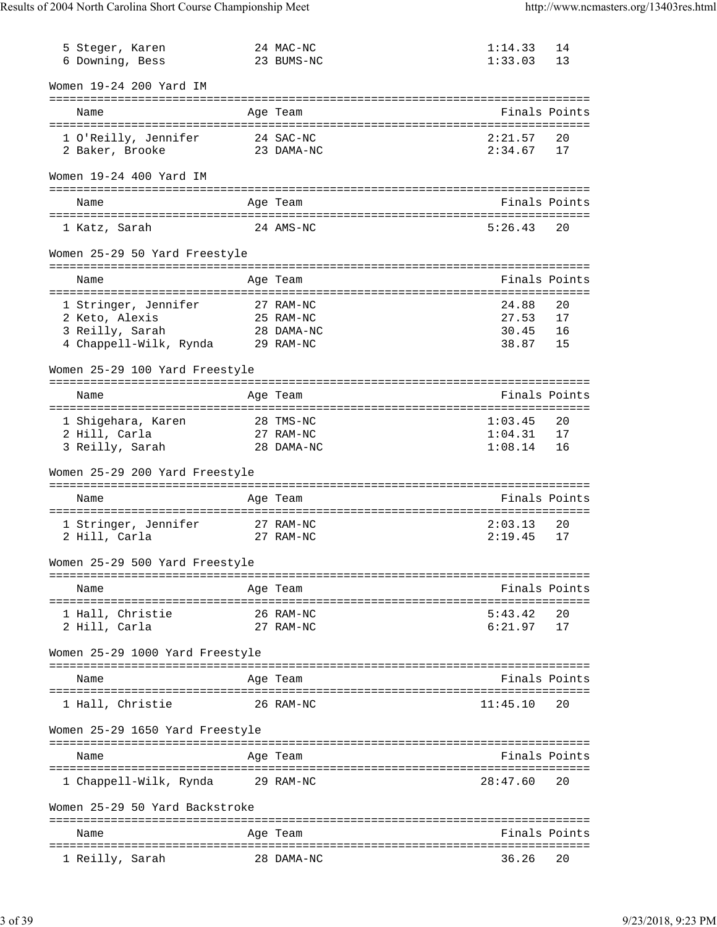| 5 Steger, Karen<br>6 Downing, Bess | 24 MAC-NC<br>23 BUMS-NC | 1:14.33<br>1:33.03 | 14<br>13      |
|------------------------------------|-------------------------|--------------------|---------------|
| Women 19-24 200 Yard IM            |                         |                    |               |
| Name                               | Age Team                |                    | Finals Points |
| 1 O'Reilly, Jennifer               | 24 SAC-NC               | 2:21.57            | 20            |
| 2 Baker, Brooke                    | 23 DAMA-NC              | 2:34.67            | 17            |
| Women 19-24 400 Yard IM            |                         |                    |               |
| Name                               | Age Team                |                    | Finals Points |
|                                    |                         |                    |               |
| 1 Katz, Sarah                      | 24 AMS-NC               | 5:26.43            | 20            |
| Women 25-29 50 Yard Freestyle      |                         |                    |               |
| Name                               | Age Team                |                    | Finals Points |
| 1 Stringer, Jennifer               | 27 RAM-NC               | 24.88              | 20            |
| 2 Keto, Alexis                     | 25 RAM-NC               | 27.53              | 17            |
| 28 DAMA-NC<br>3 Reilly, Sarah      |                         | 30.45              | 16            |
| 4 Chappell-Wilk, Rynda 29 RAM-NC   |                         | 38.87              | 15            |
| Women 25-29 100 Yard Freestyle     |                         |                    |               |
| Name                               | Age Team                |                    | Finals Points |
| 1 Shigehara, Karen                 | 28 TMS-NC               | 1:03.45            | 20            |
| 2 Hill, Carla                      | 27 RAM-NC               | 1:04.31            | 17            |
| 3 Reilly, Sarah                    | 28 DAMA-NC              | 1:08.14            | 16            |
| Women 25-29 200 Yard Freestyle     |                         |                    |               |
| Name                               | Age Team                |                    | Finals Points |
| 1 Stringer, Jennifer               | 27 RAM-NC               | 2:03.13            | 20            |
| 2 Hill, Carla                      | 27 RAM-NC               | 2:19.45            | 17            |
| Women 25-29 500 Yard Freestyle     |                         |                    |               |
|                                    |                         |                    |               |
| Name                               | Age Team                |                    | Finals Points |
| 1 Hall, Christie                   | 26 RAM-NC               | 5:43.42            | 20            |
| 2 Hill, Carla                      | 27 RAM-NC               | 6:21.97            | 17            |
| Women 25-29 1000 Yard Freestyle    |                         |                    |               |
| Name                               | Age Team                |                    | Finals Points |
| 1 Hall, Christie                   | 26 RAM-NC               | 11:45.10           | 20            |
|                                    |                         |                    |               |
| Women 25-29 1650 Yard Freestyle    |                         |                    |               |
| Name                               | Age Team                |                    | Finals Points |
| 1 Chappell-Wilk, Rynda             | 29 RAM-NC               | 28:47.60           | 20            |
| Women 25-29 50 Yard Backstroke     |                         |                    |               |
| Name                               | Age Team                |                    | Finals Points |
| 1 Reilly, Sarah                    | 28 DAMA-NC              | 36.26              | 20            |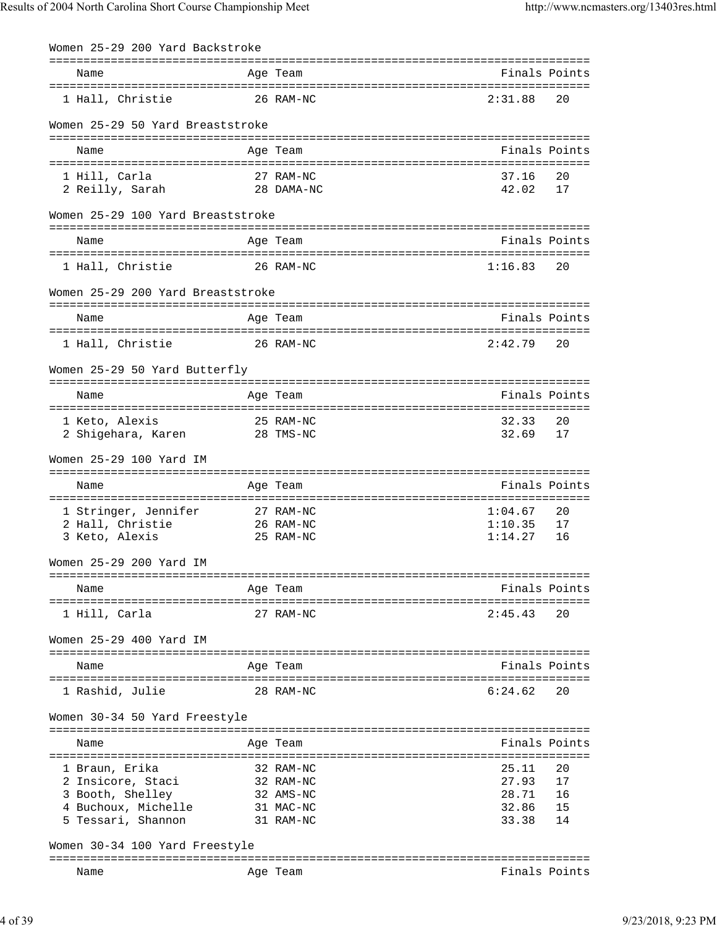| Women 25-29 200 Yard Backstroke           |                        |                |               |
|-------------------------------------------|------------------------|----------------|---------------|
|                                           |                        |                |               |
| Name                                      | Age Team               | Finals Points  |               |
| 1 Hall, Christie                          | 26 RAM-NC              | 2:31.88        | 20            |
| Women 25-29 50 Yard Breaststroke          |                        |                |               |
| Name                                      | Age Team               | Finals Points  |               |
|                                           |                        |                |               |
| 1 Hill, Carla                             | 27 RAM-NC              | 37.16          | 20            |
| 2 Reilly, Sarah                           | 28 DAMA-NC             | 42.02          | 17            |
| Women 25-29 100 Yard Breaststroke         |                        |                |               |
|                                           |                        |                |               |
| Name                                      | Age Team               | Finals Points  |               |
| 1 Hall, Christie                          | 26 RAM-NC              | 1:16.83        | 20            |
|                                           |                        |                |               |
| Women 25-29 200 Yard Breaststroke         |                        |                |               |
| Name                                      | Age Team               | Finals Points  |               |
|                                           | 26 RAM-NC              | 2:42.79        | 20            |
| 1 Hall, Christie                          |                        |                |               |
| Women 25-29 50 Yard Butterfly             |                        |                |               |
| Name                                      | Age Team               | Finals Points  |               |
|                                           |                        |                |               |
| 1 Keto, Alexis                            | 25 RAM-NC              | 32.33          | 20            |
| 2 Shigehara, Karen 28 TMS-NC              |                        | 32.69          | 17            |
| Women 25-29 100 Yard IM                   |                        |                |               |
|                                           |                        |                |               |
| Name                                      | Age Team               | Finals Points  |               |
| 1 Stringer, Jennifer                      | 27 RAM-NC              | 1:04.67        | 20            |
| 2 Hall, Christie                          | 26 RAM-NC              | 1:10.35        | 17            |
| 3 Keto, Alexis                            | 25 RAM-NC              | 1:14.27        | 16            |
| Women 25-29 200 Yard IM                   |                        |                |               |
|                                           |                        |                |               |
| Name                                      | Age Team               | Finals Points  |               |
| 1 Hill, Carla                             | 27 RAM-NC              | 2:45.43        | 20            |
|                                           |                        |                |               |
| Women 25-29 400 Yard IM                   |                        |                |               |
| Name                                      | Age Team               |                | Finals Points |
|                                           |                        |                |               |
| 1 Rashid, Julie                           | 28 RAM-NC              | 6:24.62        | 20            |
| Women 30-34 50 Yard Freestyle             |                        |                |               |
| Name                                      | Age Team               | Finals Points  |               |
|                                           | ===================    |                |               |
| 1 Braun, Erika                            | 32 RAM-NC              | 25.11          | 20            |
| 2 Insicore, Staci                         | 32 RAM-NC              | 27.93          | 17            |
| 3 Booth, Shelley                          | 32 AMS-NC              | 28.71          | 16            |
| 4 Buchoux, Michelle<br>5 Tessari, Shannon | 31 MAC-NC<br>31 RAM-NC | 32.86<br>33.38 | 15<br>14      |
|                                           |                        |                |               |
| Women 30-34 100 Yard Freestyle            |                        |                |               |
| Name                                      | Age Team               |                | Finals Points |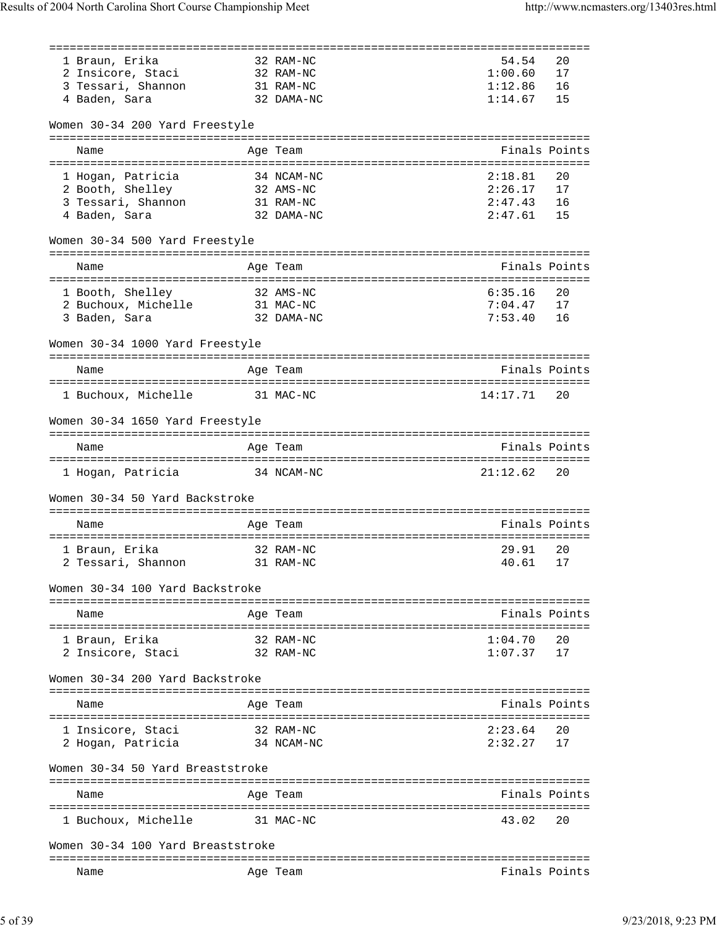| 1 Braun, Erika                    | 32 RAM-NC  | 54.54            | 20            |
|-----------------------------------|------------|------------------|---------------|
| 2 Insicore, Staci                 | 32 RAM-NC  | 1:00.60          | 17            |
| 3 Tessari, Shannon                | 31 RAM-NC  | 1:12.86          | 16            |
| 4 Baden, Sara                     | 32 DAMA-NC | 1:14.67          | 15            |
| Women 30-34 200 Yard Freestyle    |            |                  |               |
| Name                              | Age Team   |                  | Finals Points |
|                                   |            |                  |               |
| 1 Hogan, Patricia                 | 34 NCAM-NC | 2:18.81          | 20            |
| 2 Booth, Shelley                  | 32 AMS-NC  | 2:26.17          | 17            |
| 3 Tessari, Shannon                | 31 RAM-NC  | 2:47.43          | 16            |
| 4 Baden, Sara                     | 32 DAMA-NC | 2:47.61          | 15            |
|                                   |            |                  |               |
| Women 30-34 500 Yard Freestyle    |            |                  |               |
| Name                              | Age Team   |                  | Finals Points |
|                                   |            |                  |               |
| 1 Booth, Shelley                  | 32 AMS-NC  | 6:35.16          | 20            |
| 2 Buchoux, Michelle 31 MAC-NC     |            | 7:04.47          | 17            |
| 3 Baden, Sara                     | 32 DAMA-NC | 7:53.40          | 16            |
|                                   |            |                  |               |
| Women 30-34 1000 Yard Freestyle   |            |                  |               |
| Name                              | Age Team   |                  | Finals Points |
|                                   |            |                  |               |
| 1 Buchoux, Michelle               | 31 MAC-NC  | 14:17.71         | 20            |
| Women 30-34 1650 Yard Freestyle   |            |                  |               |
|                                   |            |                  |               |
| Name                              | Age Team   |                  | Finals Points |
|                                   |            |                  |               |
| 1 Hogan, Patricia                 | 34 NCAM-NC | 21:12.62         | 20            |
| Women 30-34 50 Yard Backstroke    |            |                  |               |
| Name                              | Age Team   |                  | Finals Points |
|                                   |            |                  |               |
| 1 Braun, Erika                    | 32 RAM-NC  | 29.91            | 20            |
| 2 Tessari, Shannon 31 RAM-NC      |            | 40.61            | 17            |
| Women 30-34 100 Yard Backstroke   |            |                  |               |
|                                   |            |                  |               |
| Name                              | Age Team   |                  | Finals Points |
|                                   |            |                  |               |
| 1 Braun, Erika                    | 32 RAM-NC  | 1:04.70          | 20            |
| 2 Insicore, Staci                 | 32 RAM-NC  | 1:07.37          | 17            |
| Women 30-34 200 Yard Backstroke   |            |                  |               |
| Name                              | Age Team   |                  | Finals Points |
|                                   |            |                  |               |
| 1 Insicore, Staci                 | 32 RAM-NC  | 2:23.64          | 20            |
| 2 Hogan, Patricia                 | 34 NCAM-NC | 2:32.27          | 17            |
| Women 30-34 50 Yard Breaststroke  |            |                  |               |
| Name                              | Aqe Team   |                  | Finals Points |
|                                   | ---------- | ---------------- |               |
| 1 Buchoux, Michelle               | 31 MAC-NC  | 43.02            | 20            |
| Women 30-34 100 Yard Breaststroke |            |                  |               |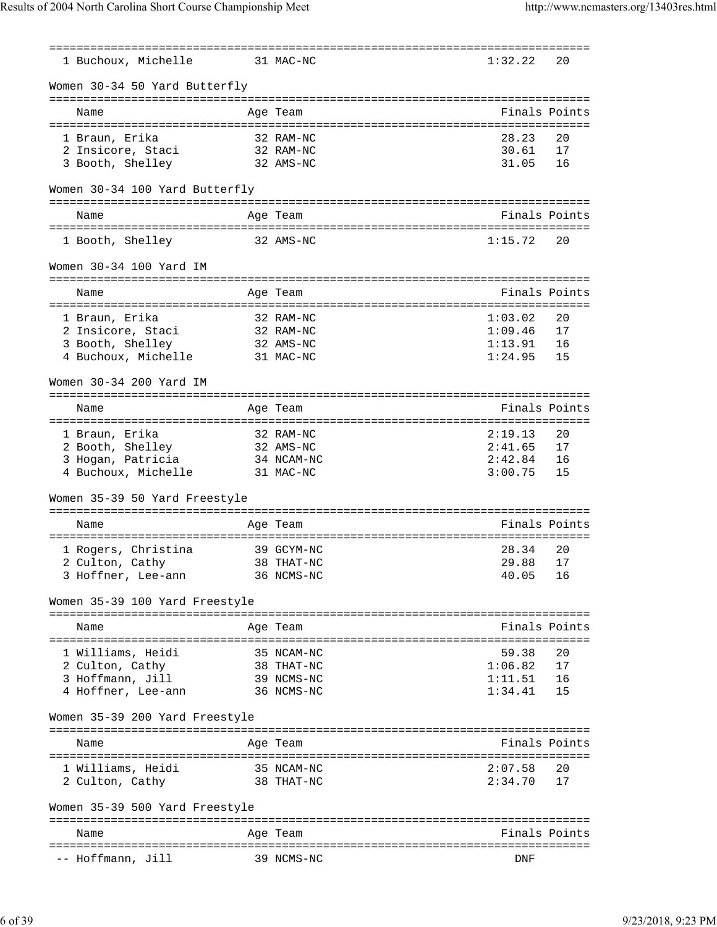|                                |                       | ============ | =============================== |    |
|--------------------------------|-----------------------|--------------|---------------------------------|----|
| 1 Buchoux, Michelle            |                       | 31 MAC-NC    | 1:32.22                         | 20 |
| Women 30-34 50 Yard Butterfly  |                       |              |                                 |    |
| Name                           |                       | Age Team     | Finals Points                   |    |
| 1 Braun, Erika                 |                       | 32 RAM-NC    | 28.23                           | 20 |
| 2 Insicore, Staci              |                       | 32 RAM-NC    | 30.61                           | 17 |
| 3 Booth, Shelley               |                       | 32 AMS-NC    | 31.05                           | 16 |
|                                |                       |              |                                 |    |
| Women 30-34 100 Yard Butterfly |                       |              |                                 |    |
| Name                           |                       | Age Team     | Finals Points                   |    |
| 1 Booth, Shelley               |                       | 32 AMS-NC    | 1:15.72                         | 20 |
| Women 30-34 100 Yard IM        |                       |              |                                 |    |
| Name                           |                       | Age Team     | Finals Points                   |    |
| 1 Braun, Erika                 |                       | 32 RAM-NC    | 1:03.02                         | 20 |
| 2 Insicore, Staci              |                       | 32 RAM-NC    | 1:09.46                         | 17 |
| 3 Booth, Shelley               |                       | 32 AMS-NC    | 1:13.91                         | 16 |
| 4 Buchoux, Michelle            |                       | 31 MAC-NC    | 1:24.95                         | 15 |
|                                |                       |              |                                 |    |
| Women 30-34 200 Yard IM        |                       |              |                                 |    |
|                                |                       |              |                                 |    |
| Name<br>====================   | ============ <b>=</b> | Age Team     | Finals Points<br>========       |    |
| 1 Braun, Erika                 |                       | 32 RAM-NC    | 2:19.13                         | 20 |
| 2 Booth, Shelley               |                       | 32 AMS-NC    | 2:41.65                         | 17 |
| 3 Hogan, Patricia              |                       | 34 NCAM-NC   | 2:42.84                         | 16 |
| 4 Buchoux, Michelle            |                       | 31 MAC-NC    | 3:00.75                         | 15 |
|                                |                       |              |                                 |    |
| Women 35-39 50 Yard Freestyle  |                       |              |                                 |    |
| Name                           |                       | Age Team     | Finals Points                   |    |
|                                |                       |              |                                 |    |
| 1 Rogers, Christina            |                       | 39 GCYM-NC   | 28.34                           | 20 |
| 2 Culton, Cathy                |                       | 38 THAT-NC   | 29.88                           | 17 |
| 3 Hoffner, Lee-ann             |                       | 36 NCMS-NC   | 40.05                           | 16 |
| Women 35-39 100 Yard Freestyle |                       |              |                                 |    |
| Name                           |                       | Age Team     | Finals Points                   |    |
|                                |                       |              |                                 |    |
| 1 Williams, Heidi              |                       | 35 NCAM-NC   | 59.38                           | 20 |
| 2 Culton, Cathy                |                       | 38 THAT-NC   | 1:06.82                         | 17 |
| 3 Hoffmann, Jill               |                       | 39 NCMS-NC   | 1:11.51                         | 16 |
| 4 Hoffner, Lee-ann             |                       | 36 NCMS-NC   | 1:34.41                         | 15 |
| Women 35-39 200 Yard Freestyle |                       |              |                                 |    |
|                                |                       |              |                                 |    |
| Name                           |                       | Age Team     | Finals Points                   |    |
| 1 Williams, Heidi              |                       | 35 NCAM-NC   | 2:07.58                         | 20 |
| 2 Culton, Cathy                |                       | 38 THAT-NC   | 2:34.70                         | 17 |
| Women 35-39 500 Yard Freestyle |                       |              |                                 |    |
| Name                           |                       | Age Team     | Finals Points                   |    |
|                                |                       |              |                                 |    |
| -- Hoffmann, Jill              |                       | 39 NCMS-NC   | DNF                             |    |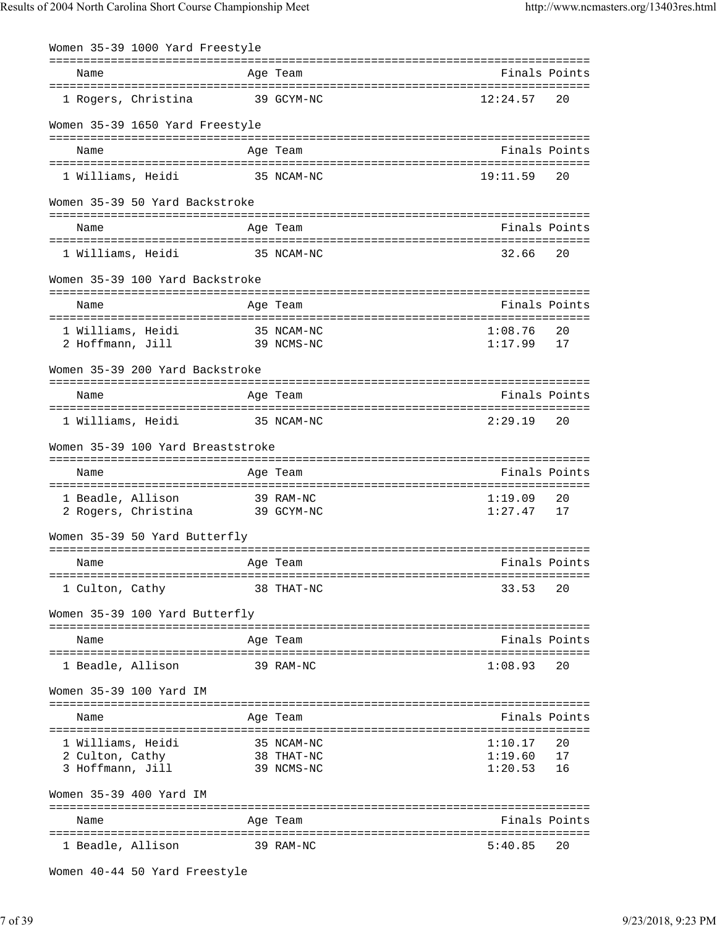| Women 35-39 1000 Yard Freestyle             |            |                          |                    |               |
|---------------------------------------------|------------|--------------------------|--------------------|---------------|
| Name                                        |            | Age Team                 |                    | Finals Points |
| 1 Rogers, Christina                         |            | 39 GCYM-NC               | 12:24.57           | 20            |
| Women 35-39 1650 Yard Freestyle             |            |                          |                    |               |
| Name                                        |            | Age Team                 |                    | Finals Points |
| 1 Williams, Heidi                           |            | 35 NCAM-NC               | 19:11.59           | 20            |
| Women 35-39 50 Yard Backstroke              |            |                          |                    |               |
| Name                                        |            | Age Team                 |                    | Finals Points |
| 1 Williams, Heidi                           | 35 NCAM-NC |                          | 32.66              | 20            |
| Women 35-39 100 Yard Backstroke             |            |                          |                    |               |
| Name                                        |            | Age Team                 |                    | Finals Points |
| 1 Williams, Heidi<br>2 Hoffmann, Jill       |            | 35 NCAM-NC<br>39 NCMS-NC | 1:08.76<br>1:17.99 | 20<br>17      |
| Women 35-39 200 Yard Backstroke             |            |                          |                    |               |
| Name                                        |            | Age Team                 |                    | Finals Points |
| 1 Williams, Heidi                           | 35 NCAM-NC |                          | 2:29.19            | 20            |
| Women 35-39 100 Yard Breaststroke           |            |                          |                    |               |
| Name                                        |            | Age Team                 |                    | Finals Points |
| 1 Beadle, Allison<br>2 Rogers, Christina    | 39 GCYM-NC | 39 RAM-NC                | 1:19.09<br>1:27.47 | 20<br>17      |
| Women 35-39 50 Yard Butterfly               |            |                          |                    |               |
| Name                                        |            | Age Team                 |                    | Finals Points |
| 1 Culton, Cathy                             |            | 38 THAT-NC               | 33.53              | 20            |
| Women 35-39 100 Yard Butterfly              |            |                          |                    |               |
| Name                                        |            | Age Team                 |                    | Finals Points |
| 1 Beadle, Allison                           |            | 39 RAM-NC                | 1:08.93            | 20            |
| Women 35-39 100 Yard IM                     |            |                          |                    |               |
| Name                                        |            | Age Team                 |                    | Finals Points |
| 1 Williams, Heidi                           |            | 35 NCAM-NC               | 1:10.17            | 20            |
| 2 Culton, Cathy                             |            | 38 THAT-NC               | 1:19.60<br>1:20.53 | 17<br>16      |
| 3 Hoffmann, Jill<br>Women 35-39 400 Yard IM |            | 39 NCMS-NC               |                    |               |
|                                             |            |                          |                    |               |
| Name                                        |            | Age Team                 |                    | Finals Points |
| 1 Beadle, Allison                           |            | 39 RAM-NC                | 5:40.85            | 20            |

```
Women 40-44 50 Yard Freestyle
```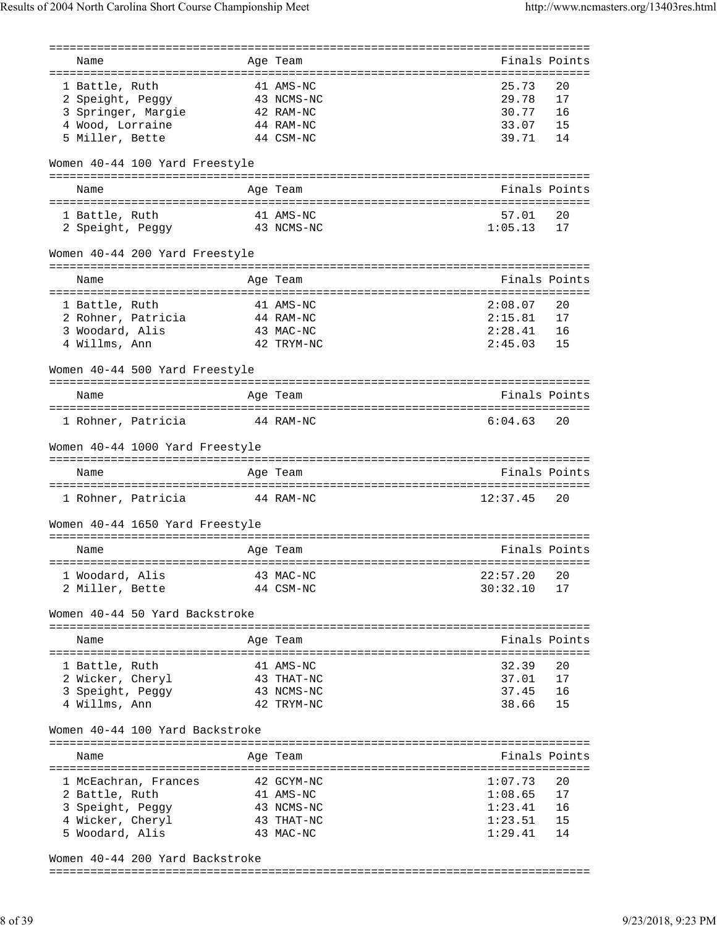|                                 | =======    |                             |               |
|---------------------------------|------------|-----------------------------|---------------|
| Name                            | Age Team   | Finals Points               |               |
| 1 Battle, Ruth                  | 41 AMS-NC  | 25.73                       | 20            |
|                                 |            | 29.78                       | 17            |
| 2 Speight, Peggy                | 43 NCMS-NC |                             |               |
| 3 Springer, Margie              | 42 RAM-NC  | 30.77                       | 16            |
| 4 Wood, Lorraine                | 44 RAM-NC  | 33.07                       | 15            |
| 5 Miller, Bette                 | 44 CSM-NC  | 39.71                       | 14            |
| Women 40-44 100 Yard Freestyle  |            |                             |               |
| Name                            | Age Team   | Finals Points               |               |
| 1 Battle, Ruth                  | 41 AMS-NC  | 57.01                       | 20            |
| 2 Speight, Peggy<br>43 NCMS-NC  |            | 1:05.13                     | 17            |
| Women 40-44 200 Yard Freestyle  |            |                             |               |
|                                 |            |                             |               |
| Name                            | Age Team   | Finals Points               |               |
| 1 Battle, Ruth                  | 41 AMS-NC  | 2:08.07                     | 20            |
| 2 Rohner, Patricia              | 44 RAM-NC  | 2:15.81                     | 17            |
| 3 Woodard, Alis                 | 43 MAC-NC  | 2:28.41                     | 16            |
| 4 Willms, Ann                   | 42 TRYM-NC | 2:45.03                     | 15            |
|                                 |            |                             |               |
| Women 40-44 500 Yard Freestyle  | -------    | =========================== |               |
| Name                            | Age Team   | Finals Points               |               |
| 1 Rohner, Patricia              | 44 RAM-NC  | 6:04.63                     | 20            |
| Women 40-44 1000 Yard Freestyle |            |                             |               |
| Name                            | Age Team   | Finals Points               |               |
|                                 |            |                             |               |
| 1 Rohner, Patricia              | 44 RAM-NC  | 12:37.45                    | 20            |
| Women 40-44 1650 Yard Freestyle |            |                             |               |
| Name                            | Age Team   | Finals Points               |               |
|                                 |            |                             |               |
| 1 Woodard, Alis                 | 43 MAC-NC  | 22:57.20                    | 20            |
| 2 Miller, Bette                 | 44 CSM-NC  | 30:32.10                    | 17            |
| Women 40-44 50 Yard Backstroke  |            |                             |               |
| Name                            | Age Team   |                             | Finals Points |
| 1 Battle, Ruth                  | 41 AMS-NC  | 32.39                       | 20            |
| 2 Wicker, Cheryl                | 43 THAT-NC | 37.01                       | 17            |
| 3 Speight, Peggy                | 43 NCMS-NC | 37.45                       | 16            |
|                                 | 42 TRYM-NC | 38.66                       | 15            |
| 4 Willms, Ann                   |            |                             |               |
| Women 40-44 100 Yard Backstroke |            |                             |               |
| Name                            | Age Team   |                             | Finals Points |
| 1 McEachran, Frances            | 42 GCYM-NC | 1:07.73                     | 20            |
| 2 Battle, Ruth                  | 41 AMS-NC  | 1:08.65                     | 17            |
| 3 Speight, Peggy                | 43 NCMS-NC | 1:23.41                     | 16            |
| 4 Wicker, Cheryl                | 43 THAT-NC | 1:23.51                     | 15            |
| 5 Woodard, Alis                 | 43 MAC-NC  | 1:29.41                     | 14            |
|                                 |            |                             |               |

Women 40-44 200 Yard Backstroke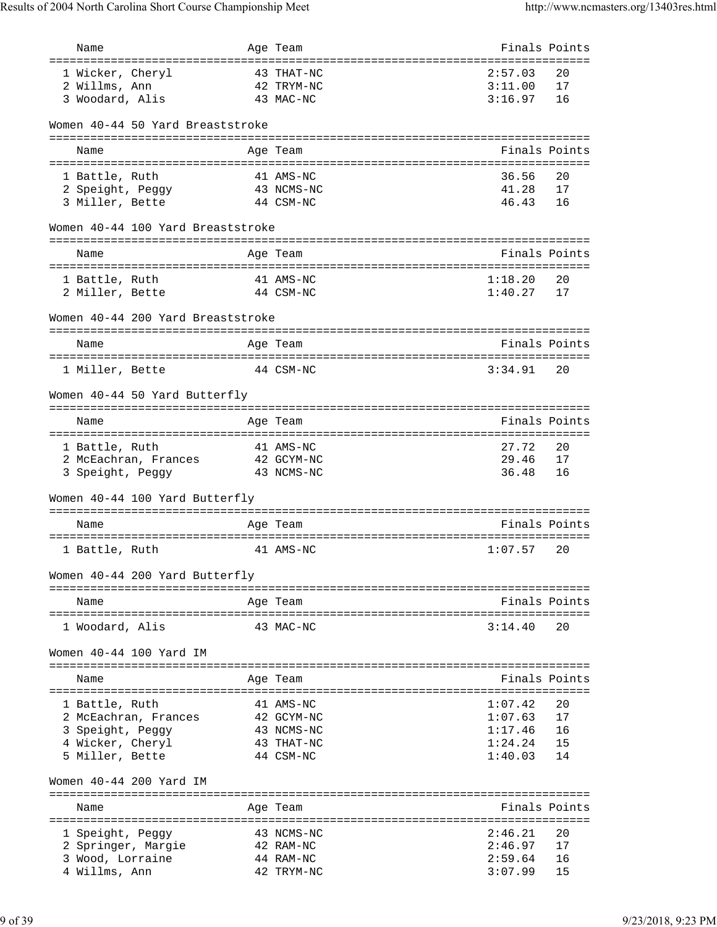| Name                                  | Age Team                                               | Finals Points    |               |
|---------------------------------------|--------------------------------------------------------|------------------|---------------|
| ===================================   | :============                                          |                  |               |
| 1 Wicker, Cheryl                      | 43 THAT-NC                                             | 2:57.03          | 20            |
| 2 Willms, Ann                         | 42 TRYM-NC                                             | 3:11.00          | 17            |
| 3 Woodard, Alis                       | 43 MAC-NC                                              | 3:16.97          | 16            |
|                                       |                                                        |                  |               |
| Women 40-44 50 Yard Breaststroke      |                                                        |                  |               |
| Name                                  | Age Team                                               |                  | Finals Points |
|                                       |                                                        |                  |               |
| 1 Battle, Ruth                        | 41 AMS-NC                                              | 36.56            | 20            |
| 2 Speight, Peggy                      | 43 NCMS-NC                                             | 41.28            | 17            |
| 3 Miller, Bette                       | 44 CSM-NC                                              | 46.43            | 16            |
| Women 40-44 100 Yard Breaststroke     |                                                        |                  |               |
| Name                                  | Age Team                                               | Finals Points    |               |
| ===================================== | ---------------------------------                      |                  |               |
| 1 Battle, Ruth                        | 41 AMS-NC                                              | 1:18.20          | 20            |
| 2 Miller, Bette                       | 44 CSM-NC                                              | 1:40.27          | 17            |
| Women 40-44 200 Yard Breaststroke     |                                                        |                  |               |
| Name                                  | Age Team                                               |                  | Finals Points |
|                                       |                                                        |                  |               |
| 1 Miller, Bette                       | 44 CSM-NC                                              | 3:34.91          | 20            |
| Women 40-44 50 Yard Butterfly         |                                                        |                  |               |
|                                       | ===============================                        |                  |               |
| Name                                  | Age Team                                               | Finals Points    |               |
|                                       |                                                        | ================ |               |
| 1 Battle, Ruth                        | 41 AMS-NC                                              | 27.72            | 20            |
| 2 McEachran, Frances                  | 42 GCYM-NC                                             | 29.46            | 17            |
| 3 Speight, Peggy                      | 43 NCMS-NC                                             | 36.48            | 16            |
| Women 40-44 100 Yard Butterfly        |                                                        |                  |               |
| Name                                  | Age Team                                               | Finals Points    |               |
|                                       |                                                        |                  |               |
| 1 Battle, Ruth                        | 41 AMS-NC                                              | 1:07.57          | 20            |
| Women 40-44 200 Yard Butterfly        | ==============                                         |                  |               |
| Name                                  | Age Team                                               |                  | Finals Points |
|                                       |                                                        |                  |               |
| 1 Woodard, Alis                       | 43 MAC-NC                                              | 3:14.40          | 20            |
| Women 40-44 100 Yard IM               |                                                        |                  |               |
| Name                                  | Age Team                                               |                  | Finals Points |
| 1 Battle, Ruth                        | 41 AMS-NC                                              | 1:07.42          | 20            |
| 2 McEachran, Frances                  | 42 GCYM-NC                                             | 1:07.63          | 17            |
| 3 Speight, Peggy                      | 43 NCMS-NC                                             | 1:17.46          | 16            |
| 4 Wicker, Cheryl                      | 43 THAT-NC                                             | 1:24.24          | 15            |
| 5 Miller, Bette                       | 44 CSM-NC                                              | 1:40.03          | 14            |
| Women 40-44 200 Yard IM               |                                                        |                  |               |
|                                       | ============================                           |                  |               |
| Name                                  | Age Team                                               |                  | Finals Points |
|                                       | ===================<br>=============================== |                  |               |
| 1 Speight, Peggy                      | 43 NCMS-NC                                             | 2:46.21          | 20            |
| 2 Springer, Margie                    | 42 RAM-NC                                              | 2:46.97          | 17            |
| 3 Wood, Lorraine                      | 44 RAM-NC                                              | 2:59.64          | 16            |
| 4 Willms, Ann                         | 42 TRYM-NC                                             | 3:07.99          | 15            |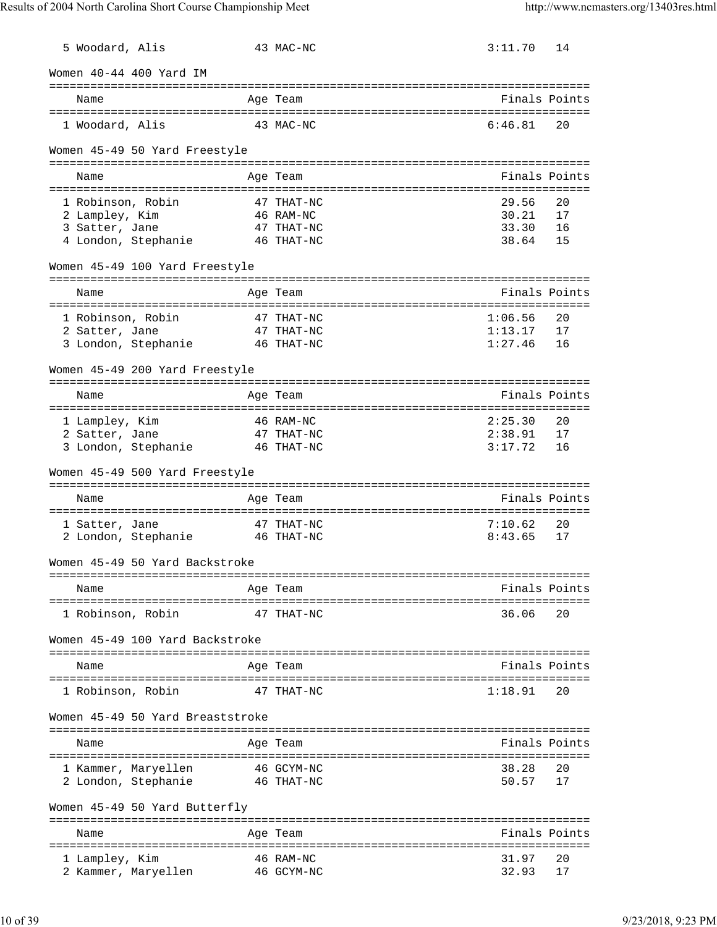| 5 Woodard, Alis |                                  |            | 43 MAC-NC  | 3:11.70                          | 14            |
|-----------------|----------------------------------|------------|------------|----------------------------------|---------------|
|                 | Women 40-44 400 Yard IM          |            |            |                                  |               |
| Name            |                                  |            | Age Team   |                                  | Finals Points |
| 1 Woodard, Alis |                                  |            | 43 MAC-NC  | 6:46.81                          | 20            |
|                 | Women 45-49 50 Yard Freestyle    |            |            |                                  |               |
|                 |                                  |            |            |                                  |               |
| Name            |                                  |            | Age Team   |                                  | Finals Points |
|                 | 1 Robinson, Robin                |            | 47 THAT-NC | 29.56                            | 20            |
| 2 Lampley, Kim  |                                  |            | 46 RAM-NC  | 30.21                            | 17            |
| 3 Satter, Jane  |                                  |            | 47 THAT-NC | 33.30<br>38.64                   | 16            |
|                 | 4 London, Stephanie 46 THAT-NC   |            |            |                                  | 15            |
|                 | Women 45-49 100 Yard Freestyle   |            |            |                                  |               |
| Name            |                                  |            | Age Team   |                                  | Finals Points |
|                 | 1 Robinson, Robin                |            | 47 THAT-NC | 1:06.56                          | 20            |
| 2 Satter, Jane  |                                  |            | 47 THAT-NC | 1:13.17                          | 17            |
|                 | 3 London, Stephanie              |            | 46 THAT-NC | 1:27.46                          | 16            |
|                 | Women 45-49 200 Yard Freestyle   |            |            |                                  |               |
| Name            |                                  |            | Age Team   | ================================ | Finals Points |
|                 |                                  |            |            |                                  |               |
| 1 Lampley, Kim  |                                  | 46 RAM-NC  |            | 2:25.30                          | 20            |
| 2 Satter, Jane  |                                  | 47 THAT-NC |            | 2:38.91                          | 17            |
|                 | 3 London, Stephanie 46 THAT-NC   |            |            | 3:17.72                          | 16            |
|                 | Women 45-49 500 Yard Freestyle   |            |            |                                  |               |
| Name            |                                  |            | Age Team   |                                  | Finals Points |
| 1 Satter, Jane  |                                  |            | 47 THAT-NC | 7:10.62                          | 20            |
|                 | 2 London, Stephanie 46 THAT-NC   |            |            | 8:43.65                          | 17            |
|                 | Women 45-49 50 Yard Backstroke   |            |            |                                  |               |
| Name            |                                  |            | Age Team   |                                  | Finals Points |
|                 |                                  |            |            | ================================ |               |
|                 | 1 Robinson, Robin                |            | 47 THAT-NC | 36.06                            | 20            |
|                 | Women 45-49 100 Yard Backstroke  |            |            |                                  |               |
| Name            |                                  |            | Age Team   |                                  | Finals Points |
|                 |                                  |            |            |                                  |               |
|                 | 1 Robinson, Robin                |            | 47 THAT-NC | 1:18.91                          | 20            |
|                 | Women 45-49 50 Yard Breaststroke |            |            |                                  |               |
| Name            |                                  |            | Age Team   |                                  | Finals Points |
|                 | 1 Kammer, Maryellen              |            | 46 GCYM-NC | 38.28                            | 20            |
|                 | 2 London, Stephanie              |            | 46 THAT-NC | 50.57                            | 17            |
|                 | Women 45-49 50 Yard Butterfly    |            |            |                                  |               |
| Name            |                                  |            | Age Team   |                                  | Finals Points |
|                 |                                  |            |            |                                  |               |
| 1 Lampley, Kim  |                                  |            | 46 RAM-NC  | 31.97                            | 20            |
|                 | 2 Kammer, Maryellen              |            | 46 GCYM-NC | 32.93                            | 17            |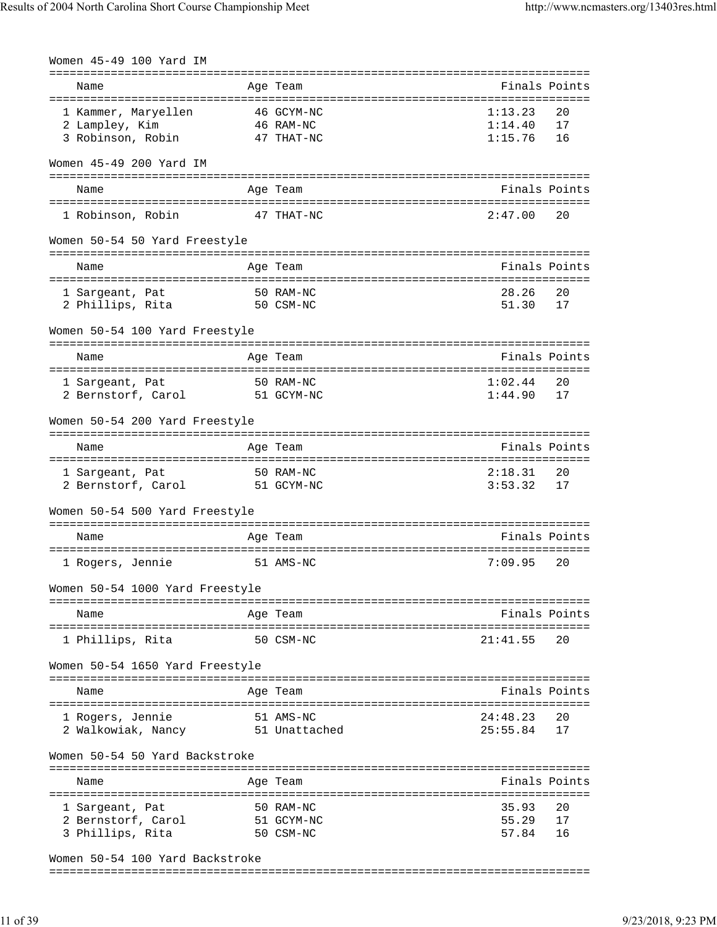| Women 45-49 100 Yard IM                |                            |                      |               |
|----------------------------------------|----------------------------|----------------------|---------------|
| Name                                   | Age Team                   |                      | Finals Points |
|                                        |                            |                      |               |
| 1 Kammer, Maryellen                    | 46 GCYM-NC                 | 1:13.23              | 20            |
| 2 Lampley, Kim                         | 46 RAM-NC<br>47 THAT-NC    | 1:14.40<br>1:15.76   | 17<br>16      |
| 3 Robinson, Robin                      |                            |                      |               |
| Women 45-49 200 Yard IM                |                            |                      |               |
|                                        |                            |                      |               |
| Name                                   | Age Team                   |                      | Finals Points |
| 1 Robinson, Robin                      | 47 THAT-NC                 | 2:47.00              | 20            |
| Women 50-54 50 Yard Freestyle          |                            |                      |               |
| Name                                   | Age Team                   |                      | Finals Points |
|                                        |                            |                      |               |
| 1 Sargeant, Pat                        | 50 RAM-NC                  | 28.26                | 20            |
| 50 CSM-NC<br>2 Phillips, Rita          |                            | 51.30                | 17            |
| Women 50-54 100 Yard Freestyle         |                            |                      |               |
| Name                                   | Age Team                   |                      | Finals Points |
|                                        |                            |                      |               |
| 1 Sargeant, Pat                        | 50 RAM-NC                  | 1:02.44              | 20            |
| 2 Bernstorf, Carol                     | 51 GCYM-NC                 | 1:44.90              | 17            |
| Women 50-54 200 Yard Freestyle         |                            |                      |               |
| Name                                   | Age Team                   | Finals Points        |               |
| 1 Sargeant, Pat                        | 50 RAM-NC                  | 2:18.31              | 20            |
| 2 Bernstorf, Carol                     | 51 GCYM-NC                 | 3:53.32              | 17            |
| Women 50-54 500 Yard Freestyle         |                            |                      |               |
| Name                                   | Age Team                   |                      | Finals Points |
|                                        |                            |                      |               |
| 1 Rogers, Jennie                       | 51 AMS-NC                  | 7:09.95              | 20            |
| Women 50-54 1000 Yard Freestyle        |                            |                      |               |
| Name                                   | Age Team                   |                      | Finals Points |
|                                        |                            |                      |               |
| 1 Phillips, Rita                       | 50 CSM-NC                  | 21:41.55             | 20            |
| Women 50-54 1650 Yard Freestyle        |                            |                      |               |
| Name                                   | Age Team                   |                      | Finals Points |
|                                        |                            |                      |               |
| 1 Rogers, Jennie<br>2 Walkowiak, Nancy | 51 AMS-NC<br>51 Unattached | 24:48.23<br>25:55.84 | 20<br>17      |
|                                        |                            |                      |               |
| Women 50-54 50 Yard Backstroke         |                            |                      |               |
|                                        |                            |                      |               |
| Name                                   | Age Team                   |                      | Finals Points |
| 1 Sargeant, Pat                        | 50 RAM-NC                  | 35.93                | 20            |
| 2 Bernstorf, Carol                     | 51 GCYM-NC                 | 55.29                | 17            |
| 3 Phillips, Rita                       | 50 CSM-NC                  | 57.84                | 16            |
| Women 50-54 100 Yard Backstroke        |                            |                      |               |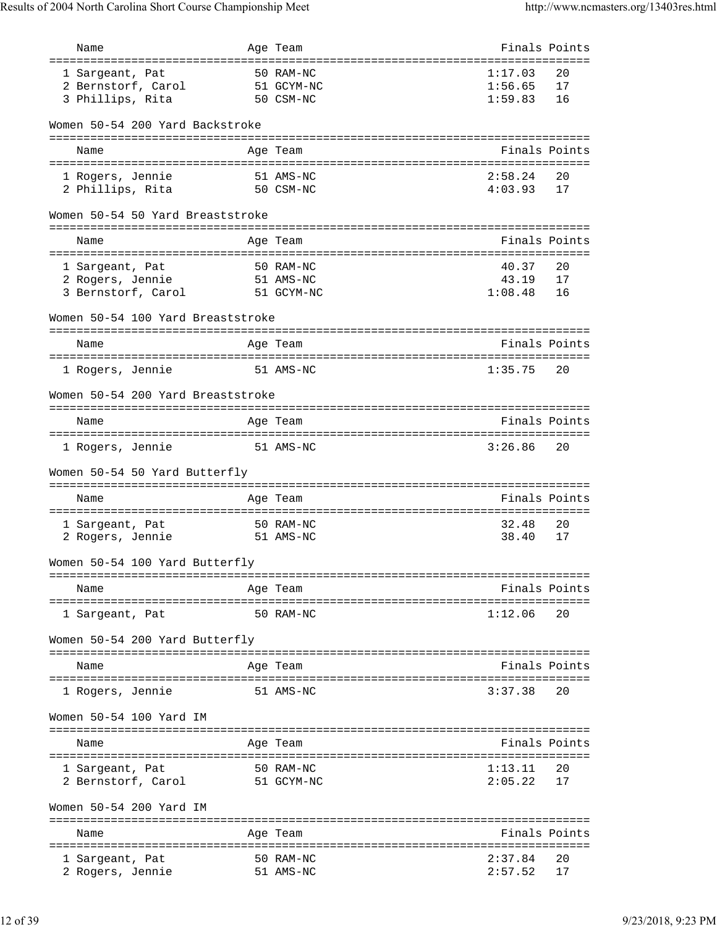| Name                                  |           | Age Team                                  | Finals Points |               |
|---------------------------------------|-----------|-------------------------------------------|---------------|---------------|
| ===========================           |           | ============================<br>50 RAM-NC | 1:17.03       | 20            |
| 1 Sargeant, Pat<br>2 Bernstorf, Carol |           | 51 GCYM-NC                                | 1:56.65       | 17            |
| 3 Phillips, Rita                      |           | 50 CSM-NC                                 | 1:59.83       | 16            |
|                                       |           |                                           |               |               |
| Women 50-54 200 Yard Backstroke       |           |                                           |               |               |
| Name                                  |           | Age Team                                  |               | Finals Points |
|                                       |           |                                           |               |               |
| 1 Rogers, Jennie                      |           | 51 AMS-NC                                 | 2:58.24       | 20            |
| 2 Phillips, Rita                      |           | 50 CSM-NC                                 | 4:03.93       | 17            |
| Women 50-54 50 Yard Breaststroke      |           |                                           |               |               |
| Name                                  |           | Age Team                                  |               | Finals Points |
|                                       |           |                                           |               |               |
| 1 Sargeant, Pat                       |           | 50 RAM-NC                                 | 40.37         | 20            |
| 2 Rogers, Jennie                      |           | 51 AMS-NC                                 | 43.19         | 17            |
| 3 Bernstorf, Carol                    |           | 51 GCYM-NC                                | 1:08.48       | 16            |
| Women 50-54 100 Yard Breaststroke     |           |                                           |               |               |
| Name                                  |           | Age Team                                  |               | Finals Points |
|                                       |           |                                           |               |               |
| 1 Rogers, Jennie                      |           | 51 AMS-NC                                 | 1:35.75       | 20            |
| Women 50-54 200 Yard Breaststroke     |           |                                           |               |               |
|                                       |           |                                           |               |               |
| Name                                  |           | Age Team                                  |               | Finals Points |
| 1 Rogers, Jennie                      | 51 AMS-NC |                                           | 3:26.86       | 20            |
|                                       |           |                                           |               |               |
| Women 50-54 50 Yard Butterfly         |           |                                           |               |               |
|                                       |           |                                           |               |               |
| Name                                  |           | Age Team                                  |               | Finals Points |
|                                       |           |                                           |               |               |
| 1 Sargeant, Pat                       |           | 50 RAM-NC                                 | 32.48         | 20            |
| 2 Rogers, Jennie                      | 51 AMS-NC |                                           | 38.40         | 17            |
| Women 50-54 100 Yard Butterfly        |           |                                           |               |               |
| Name                                  |           | Age Team                                  |               | Finals Points |
|                                       |           |                                           |               |               |
| 1 Sargeant, Pat                       |           | 50 RAM-NC                                 | 1:12.06       | 20            |
| Women 50-54 200 Yard Butterfly        |           |                                           |               |               |
|                                       |           |                                           |               |               |
| Name                                  |           | Age Team                                  |               | Finals Points |
| 1 Rogers, Jennie                      |           | 51 AMS-NC                                 | 3:37.38       | 20            |
| Women 50-54 100 Yard IM               |           |                                           |               |               |
|                                       |           |                                           |               |               |
| Name                                  |           | Age Team                                  |               | Finals Points |
| 1 Sargeant, Pat                       |           | 50 RAM-NC                                 | 1:13.11       | 20            |
| 2 Bernstorf, Carol                    |           | 51 GCYM-NC                                | 2:05.22       | 17            |
|                                       |           |                                           |               |               |
| Women 50-54 200 Yard IM               |           |                                           |               |               |
|                                       |           |                                           |               |               |
| Name                                  |           | Age Team                                  |               | Finals Points |
| 1 Sargeant, Pat                       |           | 50 RAM-NC                                 | 2:37.84       | 20            |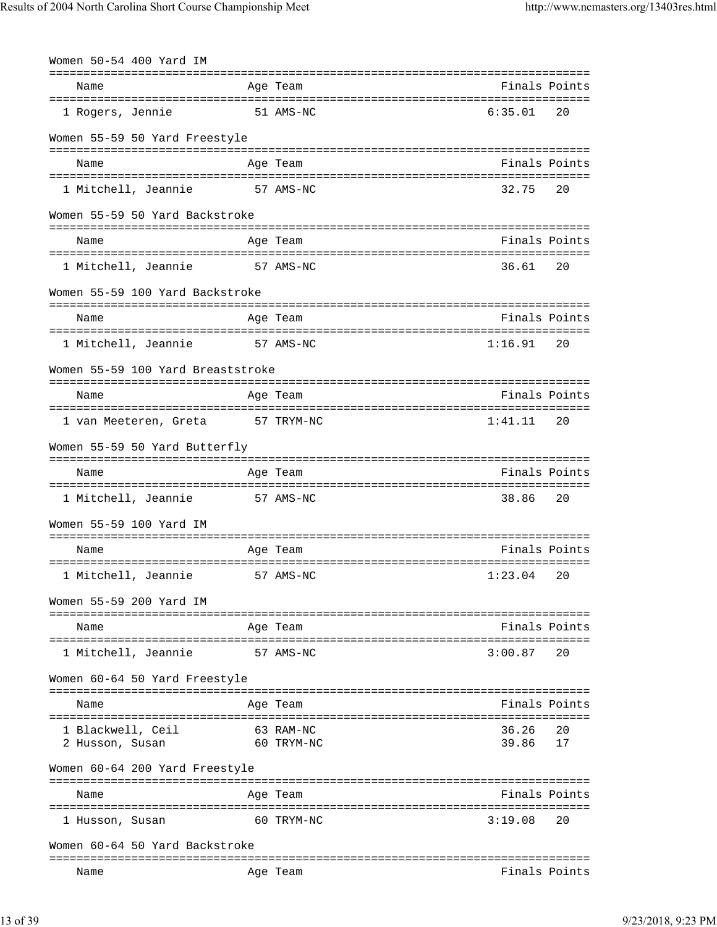| Women 50-54 400 Yard IM                       |           |                         |                  |               |
|-----------------------------------------------|-----------|-------------------------|------------------|---------------|
| Name                                          |           | Age Team                |                  | Finals Points |
| 1 Rogers, Jennie                              |           | 51 AMS-NC               | 6:35.01          | 20            |
| Women 55-59 50 Yard Freestyle                 |           |                         |                  |               |
| Name                                          |           | Age Team                |                  | Finals Points |
| 1 Mitchell, Jeannie                           | 57 AMS-NC |                         | 32.75            | 20            |
| Women 55-59 50 Yard Backstroke                |           |                         |                  |               |
| Name                                          |           | Age Team                |                  | Finals Points |
| 1 Mitchell, Jeannie                           | 57 AMS-NC |                         | 36.61            | 20            |
| Women 55-59 100 Yard Backstroke               |           |                         |                  |               |
| Name                                          |           | Age Team                |                  | Finals Points |
| 1 Mitchell, Jeannie                           | 57 AMS-NC |                         | 1:16.91          | 20            |
| Women 55-59 100 Yard Breaststroke             |           |                         |                  |               |
| Name                                          |           | Age Team                | Finals Points    |               |
| 1 van Meeteren, Greta 57 TRYM-NC              |           |                         | 1:41.11          | 20            |
| Women 55-59 50 Yard Butterfly                 |           |                         |                  |               |
| Name                                          |           | Age Team                |                  | Finals Points |
| 1 Mitchell, Jeannie                           | 57 AMS-NC |                         | 38.86            | 20            |
| Women 55-59 100 Yard IM                       |           |                         |                  |               |
| Name<br>===================================== |           | Age Team                | ================ | Finals Points |
| 1 Mitchell, Jeannie                           | 57 AMS-NC |                         | 1:23.04          | 20            |
| Women 55-59 200 Yard IM                       |           |                         |                  |               |
| Name                                          |           | Aqe Team                |                  | Finals Points |
| 1 Mitchell, Jeannie                           |           | 57 AMS-NC               | 3:00.87          | 20            |
| Women 60-64 50 Yard Freestyle                 |           |                         |                  |               |
| Name                                          |           | Age Team                |                  | Finals Points |
| 1 Blackwell, Ceil<br>2 Husson, Susan          |           | 63 RAM-NC<br>60 TRYM-NC | 36.26<br>39.86   | 20<br>17      |
| Women 60-64 200 Yard Freestyle                |           |                         |                  |               |
| Name                                          |           | Age Team                |                  | Finals Points |
| 1 Husson, Susan                               |           | 60 TRYM-NC              | 3:19.08          | 20            |
| Women 60-64 50 Yard Backstroke                |           |                         |                  |               |
| Name                                          |           | Age Team                |                  | Finals Points |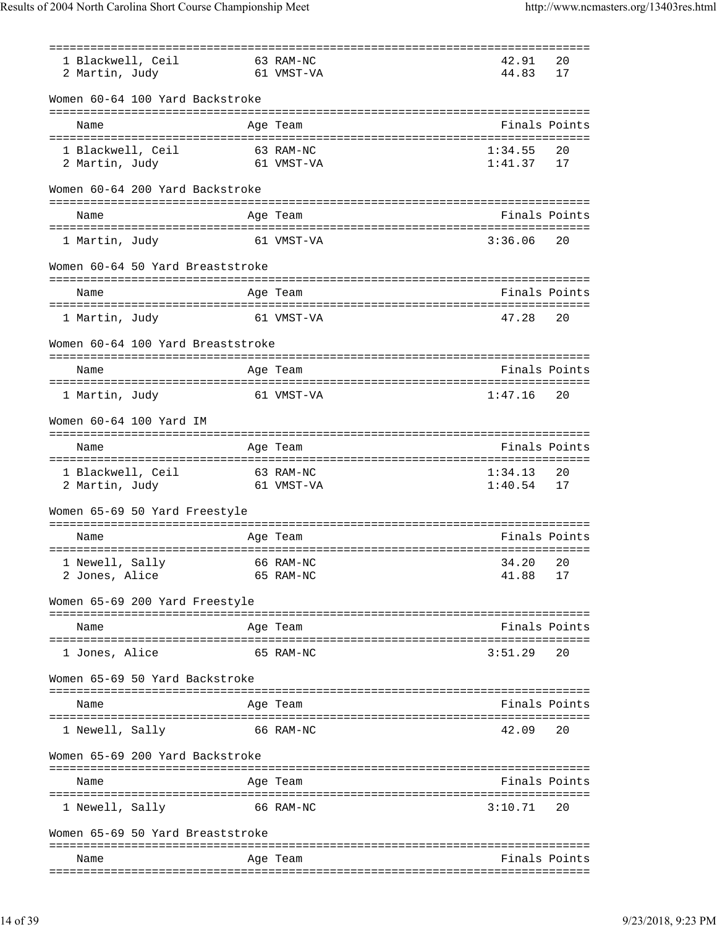| 1 Blackwell, Ceil                 | 63 RAM-NC  | 42.91     | 20            |
|-----------------------------------|------------|-----------|---------------|
| 2 Martin, Judy                    | 61 VMST-VA | 44.83     | 17            |
| Women 60-64 100 Yard Backstroke   |            |           |               |
|                                   |            |           |               |
| Name                              | Age Team   |           | Finals Points |
| 1 Blackwell, Ceil                 | 63 RAM-NC  | 1:34.55   | 20            |
| 2 Martin, Judy                    | 61 VMST-VA | 1:41.37   | 17            |
|                                   |            |           |               |
| Women 60-64 200 Yard Backstroke   |            |           |               |
| Name                              | Age Team   |           | Finals Points |
| 1 Martin, Judy                    | 61 VMST-VA | 3:36.06   | 20            |
| Women 60-64 50 Yard Breaststroke  |            |           |               |
| Name                              | Age Team   |           | Finals Points |
|                                   |            |           |               |
| 1 Martin, Judy                    | 61 VMST-VA | 47.28     | 20            |
| Women 60-64 100 Yard Breaststroke |            |           |               |
| Name                              | Age Team   |           | Finals Points |
|                                   |            |           |               |
| 1 Martin, Judy                    | 61 VMST-VA | 1:47.16   | 20            |
| Women 60-64 100 Yard IM           |            |           |               |
| Name                              | Age Team   |           | Finals Points |
|                                   |            |           |               |
| 1 Blackwell, Ceil                 | 63 RAM-NC  | 1:34.13   | 20            |
| 2 Martin, Judy<br>61 VMST-VA      |            | 1:40.54   | 17            |
| Women 65-69 50 Yard Freestyle     |            |           |               |
| Name                              | Age Team   |           | Finals Points |
|                                   |            |           |               |
| 1 Newell, Sally 66 RAM-NC         |            | 34, 20 20 |               |
| 2 Jones, Alice                    | 65 RAM-NC  | 41.88     | 17            |
| Women 65-69 200 Yard Freestyle    |            |           |               |
|                                   |            |           |               |
| Name                              | Age Team   |           | Finals Points |
| 1 Jones, Alice                    | 65 RAM-NC  | 3:51.29   | 20            |
| Women 65-69 50 Yard Backstroke    |            |           |               |
| Name                              | Age Team   |           | Finals Points |
|                                   | 66 RAM-NC  | 42.09     | 20            |
| 1 Newell, Sally                   |            |           |               |
| Women 65-69 200 Yard Backstroke   |            |           |               |
| Name                              | Age Team   |           | Finals Points |
| 1 Newell, Sally                   | 66 RAM-NC  | 3:10.71   | 20            |
|                                   |            |           |               |
| Women 65-69 50 Yard Breaststroke  |            |           |               |
| Name                              | Age Team   |           | Finals Points |
|                                   |            |           |               |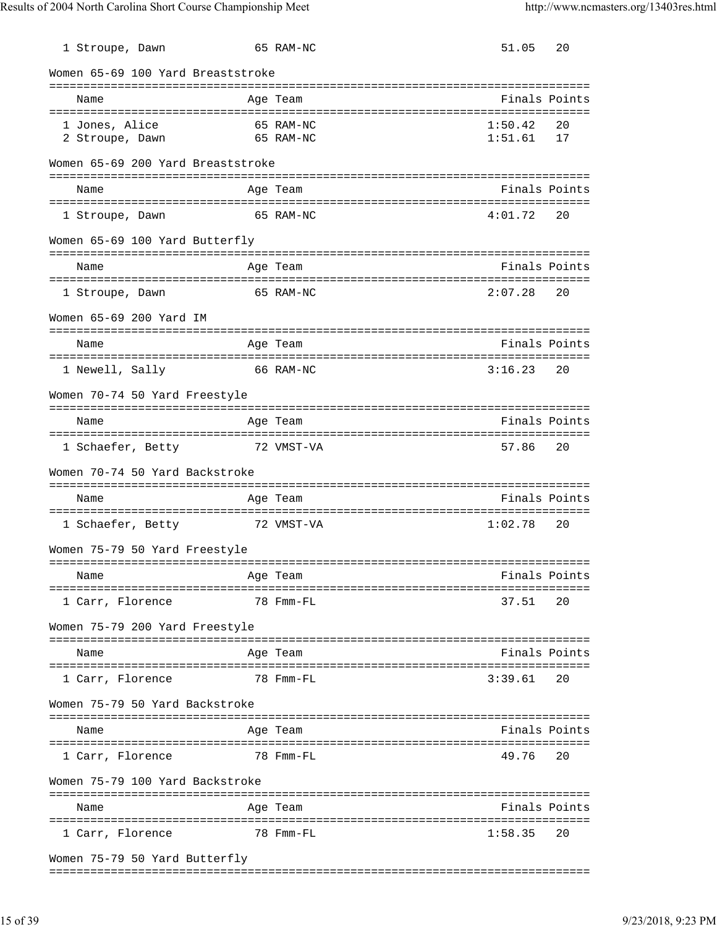| 1 Stroupe, Dawn                   | 65 RAM-NC              | 51.05              | 20            |
|-----------------------------------|------------------------|--------------------|---------------|
| Women 65-69 100 Yard Breaststroke |                        |                    |               |
| Name                              | Age Team               |                    | Finals Points |
| 1 Jones, Alice<br>2 Stroupe, Dawn | 65 RAM-NC<br>65 RAM-NC | 1:50.42<br>1:51.61 | 20<br>17      |
| Women 65-69 200 Yard Breaststroke |                        |                    |               |
| Name                              | Age Team               |                    | Finals Points |
| 1 Stroupe, Dawn                   | 65 RAM-NC              | 4:01.72            | 20            |
| Women 65-69 100 Yard Butterfly    |                        |                    |               |
| Name                              | Age Team               |                    | Finals Points |
| 1 Stroupe, Dawn                   | 65 RAM-NC              | 2:07.28            | 20            |
| Women 65-69 200 Yard IM           |                        |                    |               |
| Name                              | Age Team               |                    | Finals Points |
| 1 Newell, Sally                   | 66 RAM-NC              | 3:16.23            | 20            |
| Women 70-74 50 Yard Freestyle     |                        |                    |               |
| Name                              | Age Team               |                    | Finals Points |
| 1 Schaefer, Betty 72 VMST-VA      |                        | 57.86              | 20            |
| Women 70-74 50 Yard Backstroke    |                        |                    |               |
| Name                              | Age Team               |                    | Finals Points |
| 1 Schaefer, Betty                 | 72 VMST-VA             | 1:02.78            | 20            |
| Women 75-79 50 Yard Freestyle     |                        |                    |               |
| Name                              | Age Team               |                    | Finals Points |
| 1 Carr, Florence                  | 78 Fmm-FL              | 37.51              | 20            |
| Women 75-79 200 Yard Freestyle    |                        |                    |               |
| Name                              | Age Team               |                    | Finals Points |
| 1 Carr, Florence                  | 78 Fmm-FL              | 3:39.61            | 20            |
| Women 75-79 50 Yard Backstroke    |                        |                    |               |
| Name                              | Age Team               |                    | Finals Points |
| 1 Carr, Florence                  | 78 Fmm-FL              | 49.76              | 20            |
| Women 75-79 100 Yard Backstroke   |                        |                    |               |
| Name                              | Age Team               |                    | Finals Points |
| 1 Carr, Florence                  | 78 Fmm-FL              | 1:58.35            | 20            |
| Women 75-79 50 Yard Butterfly     |                        |                    |               |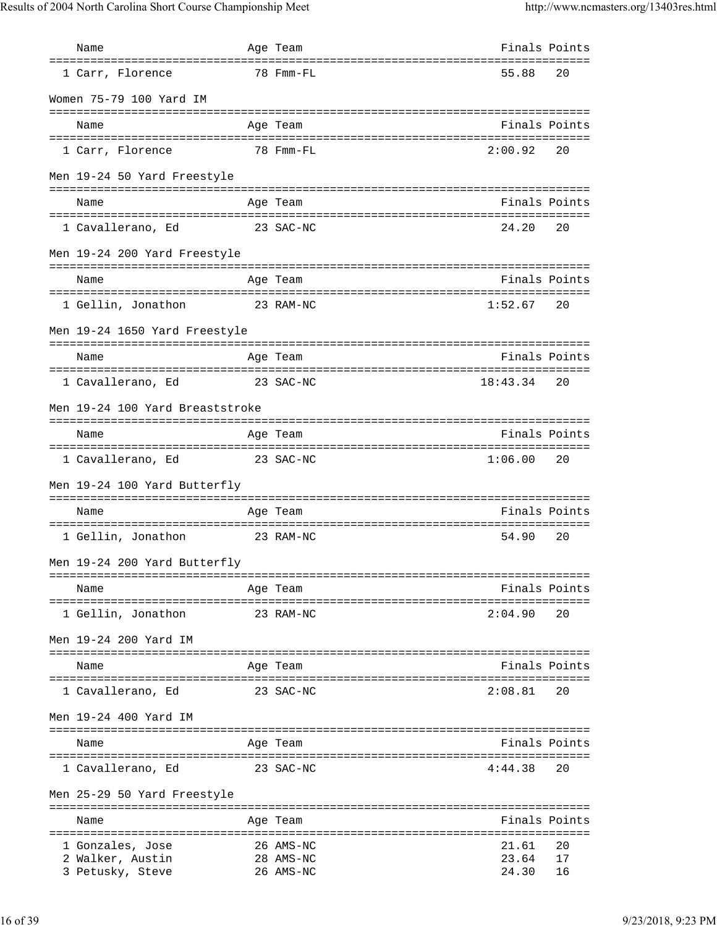| Name                                 | Age Team               | Finals Points  |          |
|--------------------------------------|------------------------|----------------|----------|
| 1 Carr, Florence                     | 78 Fmm-FL              | 55.88          | 20       |
| Women 75-79 100 Yard IM              |                        |                |          |
| Name                                 | Age Team               | Finals Points  |          |
| 1 Carr, Florence                     | 78 Fmm-FL              | 2:00.92        | 20       |
| Men 19-24 50 Yard Freestyle          |                        |                |          |
| Name                                 | Age Team               | Finals Points  |          |
| 1 Cavallerano, Ed <a> 23 SAC-NC</a>  |                        | 24.20          | 20       |
| Men 19-24 200 Yard Freestyle         |                        |                |          |
| Name                                 | Age Team               | Finals Points  |          |
| 1 Gellin, Jonathon<br>23 RAM-NC      |                        | 1:52.67        | 20       |
| Men 19-24 1650 Yard Freestyle        |                        |                |          |
| Name                                 | Age Team               | Finals Points  |          |
| 1 Cavallerano, Ed <a> 23 SAC-NC</a>  |                        | 18:43.34       | 20       |
| Men 19-24 100 Yard Breaststroke      |                        |                |          |
| Name                                 | Age Team               | Finals Points  |          |
| 1 Cavallerano, Ed<br>23 SAC-NC       |                        | 1:06.00        | 20       |
| Men 19-24 100 Yard Butterfly         |                        |                |          |
| Name                                 | Age Team               | Finals Points  |          |
| 1 Gellin, Jonathon<br>23 RAM-NC      |                        | 54.90          | 20       |
| Men 19-24 200 Yard Butterfly         |                        |                |          |
| Name                                 | Age Team               | Finals Points  |          |
| 1 Gellin, Jonathon                   | 23 RAM-NC              | 2:04.90        | 20       |
| Men 19-24 200 Yard IM                |                        |                |          |
| Name                                 | Age Team               | Finals Points  |          |
| 1 Cavallerano, Ed                    | 23 SAC-NC              | 2:08.81        | 20       |
| Men 19-24 400 Yard IM                |                        |                |          |
| Name                                 | Age Team               | Finals Points  |          |
| 1 Cavallerano, Ed                    | 23 SAC-NC              | 4:44.38        | 20       |
| Men 25-29 50 Yard Freestyle          |                        |                |          |
| Name                                 | Age Team               | Finals Points  |          |
| 1 Gonzales, Jose                     | 26 AMS-NC              | 21.61          | 20       |
| 2 Walker, Austin<br>3 Petusky, Steve | 28 AMS-NC<br>26 AMS-NC | 23.64<br>24.30 | 17<br>16 |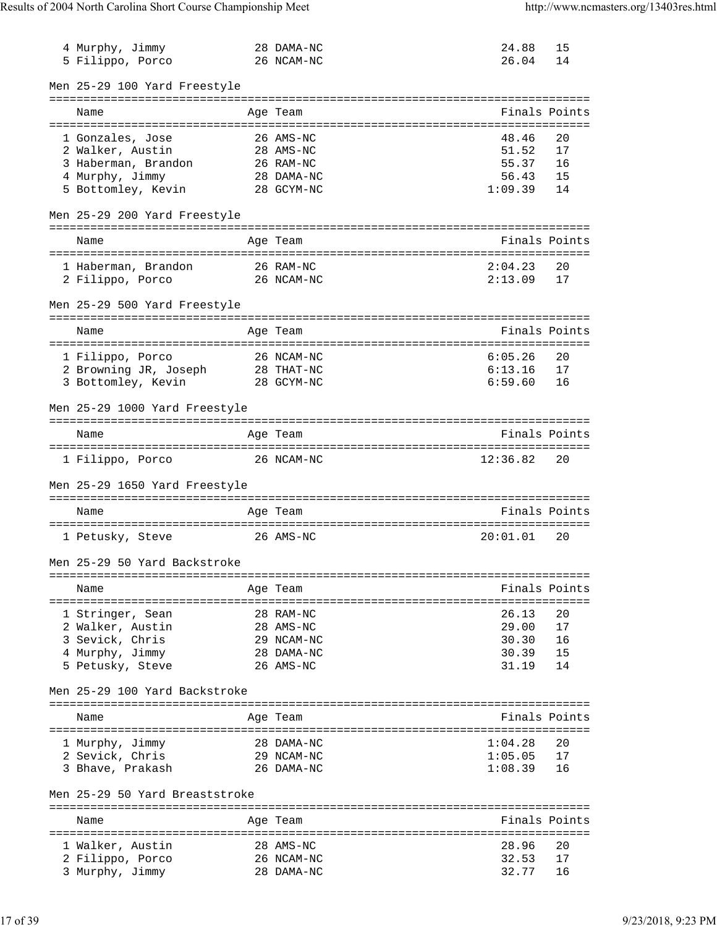| 4 Murphy, Jimmy<br>5 Filippo, Porco              | 28 DAMA-NC<br>26 NCAM-NC                  | 24.88<br>26.04 | 15<br>14      |
|--------------------------------------------------|-------------------------------------------|----------------|---------------|
| Men 25-29 100 Yard Freestyle                     |                                           |                |               |
| Name                                             | -----------------------------<br>Age Team |                | Finals Points |
| ======================================           |                                           |                |               |
| 1 Gonzales, Jose                                 | 26 AMS-NC                                 | 48.46<br>51.52 | 20<br>17      |
| 2 Walker, Austin<br>3 Haberman, Brandon          | 28 AMS-NC<br>26 RAM-NC                    | 55.37          | 16            |
|                                                  | 28 DAMA-NC                                | 56.43          | 15            |
| 4 Murphy, Jimmy<br>5 Bottomley, Kevin 28 GCYM-NC |                                           | 1:09.39        | 14            |
| Men 25-29 200 Yard Freestyle                     |                                           |                |               |
| Name                                             | Age Team                                  |                | Finals Points |
| ======================================           | :==================================       |                |               |
| 1 Haberman, Brandon                              | 26 RAM-NC                                 | 2:04.23        | 20            |
| 2 Filippo, Porco                                 | 26 NCAM-NC                                | 2:13.09        | 17            |
| Men 25-29 500 Yard Freestyle                     |                                           |                |               |
| Name                                             | Age Team                                  |                | Finals Points |
|                                                  |                                           |                |               |
| 1 Filippo, Porco                                 | 26 NCAM-NC                                | 6:05.26        | 20            |
| 2 Browning JR, Joseph                            | 28 THAT-NC                                | 6:13.16        | 17            |
| 3 Bottomley, Kevin                               | 28 GCYM-NC                                | 6:59.60        | 16            |
| Men 25-29 1000 Yard Freestyle                    |                                           |                |               |
| Name                                             | =============================<br>Age Team |                | Finals Points |
|                                                  |                                           |                |               |
| 1 Filippo, Porco                                 | 26 NCAM-NC                                | 12:36.82       | 20            |
| Men 25-29 1650 Yard Freestyle                    |                                           |                |               |
| Name                                             | Age Team                                  |                | Finals Points |
|                                                  |                                           |                |               |
| 1 Petusky, Steve                                 | 26 AMS-NC                                 | 20:01.01       | 20            |
| Men 25-29 50 Yard Backstroke                     |                                           |                |               |
| Name                                             | Age Team                                  |                | Finals Points |
|                                                  |                                           |                |               |
| 1 Stringer, Sean                                 | 28 RAM-NC                                 | 26.13          | 20            |
| 2 Walker, Austin                                 | 28 AMS-NC                                 | 29.00          | 17            |
| 3 Sevick, Chris                                  | 29 NCAM-NC                                | 30.30          | 16            |
| 4 Murphy, Jimmy                                  | 28 DAMA-NC                                | 30.39          | 15            |
| 5 Petusky, Steve                                 | 26 AMS-NC                                 | 31.19          | 14            |
| Men 25-29 100 Yard Backstroke                    |                                           |                |               |
|                                                  |                                           |                |               |
| Name                                             | Age Team                                  |                | Finals Points |
| 1 Murphy, Jimmy                                  | 28 DAMA-NC                                | 1:04.28        | 20            |
| 2 Sevick, Chris                                  | 29 NCAM-NC                                | 1:05.05        | 17            |
| 3 Bhave, Prakash                                 | 26 DAMA-NC                                | 1:08.39        | 16            |
| Men 25-29 50 Yard Breaststroke                   |                                           |                |               |
| Name                                             | ==================<br>Age Team            |                | Finals Points |
|                                                  |                                           |                |               |
| 1 Walker, Austin                                 | 28 AMS-NC                                 | 28.96          | 20            |
| 2 Filippo, Porco                                 | 26 NCAM-NC                                | 32.53          | 17            |
| 3 Murphy, Jimmy                                  | 28 DAMA-NC                                | 32.77          | 16            |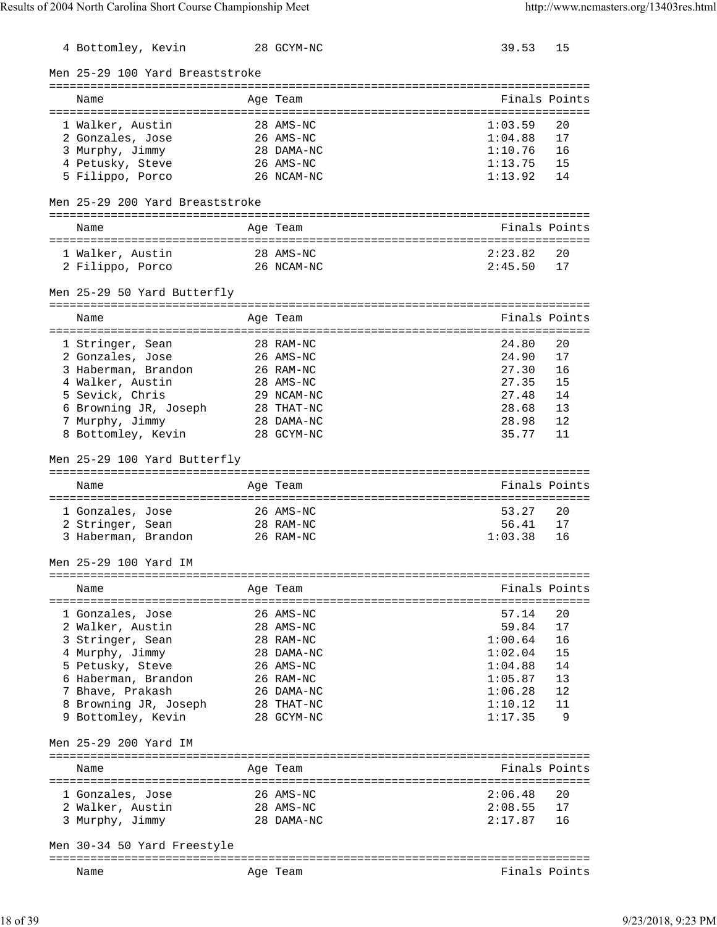| 4 Bottomley, Kevin               | 28 GCYM-NC                        | 39.53         | 15            |
|----------------------------------|-----------------------------------|---------------|---------------|
| Men 25-29 100 Yard Breaststroke  |                                   |               |               |
| Name                             | Age Team                          |               | Finals Points |
| 1 Walker, Austin                 | 28 AMS-NC                         | 1:03.59       | 20            |
| 2 Gonzales, Jose                 | 26 AMS-NC                         | 1:04.88       | 17            |
| 3 Murphy, Jimmy                  | 28 DAMA-NC                        | 1:10.76       | 16            |
| 4 Petusky, Steve                 | 26 AMS-NC                         | 1:13.75       | 15            |
| 5 Filippo, Porco                 | 26 NCAM-NC                        | 1:13.92       | 14            |
| Men 25-29 200 Yard Breaststroke  |                                   |               |               |
| Name                             | Age Team                          |               | Finals Points |
| 1 Walker, Austin                 | 28 AMS-NC                         | 2:23.82       | 20            |
| 2 Filippo, Porco                 | 26 NCAM-NC                        | 2:45.50       | 17            |
| Men 25-29 50 Yard Butterfly      |                                   |               |               |
| Name                             | Age Team                          |               | Finals Points |
|                                  |                                   |               |               |
| 1 Stringer, Sean                 | 28 RAM-NC                         | 24.80         | 20            |
| 2 Gonzales, Jose                 | 26 AMS-NC                         | 24.90         | 17            |
| 3 Haberman, Brandon              | 26 RAM-NC                         | 27.30         | 16            |
| 4 Walker, Austin                 | 28 AMS-NC                         | 27.35         | 15            |
| 5 Sevick, Chris                  | 29 NCAM-NC                        | 27.48         | 14            |
| 6 Browning JR, Joseph 28 THAT-NC |                                   | 28.68         | 13            |
| 7 Murphy, Jimmy                  | 28 DAMA-NC                        | 28.98         | 12            |
| 8 Bottomley, Kevin               | 28 GCYM-NC                        | 35.77         | 11            |
| Men 25-29 100 Yard Butterfly     |                                   |               |               |
|                                  |                                   |               |               |
| Name                             | Age Team                          |               | Finals Points |
|                                  |                                   |               |               |
| 1 Gonzales, Jose                 | 26 AMS-NC                         | 53.27         | 20            |
| 2 Stringer, Sean                 | 28 RAM-NC                         | 56.41         | 17            |
| 3 Haberman, Brandon              | 26 RAM-NC                         | 1:03.38       | 16            |
| Men 25-29 100 Yard IM            |                                   |               |               |
| Name                             | Age Team                          |               | Finals Points |
|                                  |                                   |               |               |
| 1 Gonzales, Jose                 | 26 AMS-NC                         | 57.14         | 20            |
| 2 Walker, Austin                 | 28 AMS-NC                         | 59.84         | 17            |
| 3 Stringer, Sean                 | 28 RAM-NC                         | 1:00.64       | 16            |
| 4 Murphy, Jimmy                  | 28 DAMA-NC                        | 1:02.04       | 15            |
| 5 Petusky, Steve                 | 26 AMS-NC                         | 1:04.88       | 14            |
| 6 Haberman, Brandon              | 26 RAM-NC                         | 1:05.87       | 13            |
| 7 Bhave, Prakash                 | 26 DAMA-NC                        | 1:06.28       | 12            |
| 8 Browning JR, Joseph            | 28 THAT-NC                        | 1:10.12       | 11            |
| 9 Bottomley, Kevin               | 28 GCYM-NC                        | 1:17.35       | 9             |
| Men 25-29 200 Yard IM            | ================================= |               |               |
| Name                             | Age Team                          |               | Finals Points |
| 1 Gonzales, Jose                 | 26 AMS-NC                         | 2:06.48       | 20            |
| 2 Walker, Austin                 | 28 AMS-NC                         | 2:08.55       | 17            |
| 3 Murphy, Jimmy                  | 28 DAMA-NC                        | 2:17.87       | 16            |
| Men 30-34 50 Yard Freestyle      |                                   |               |               |
| Name                             | Age Team                          | Finals Points |               |
|                                  |                                   |               |               |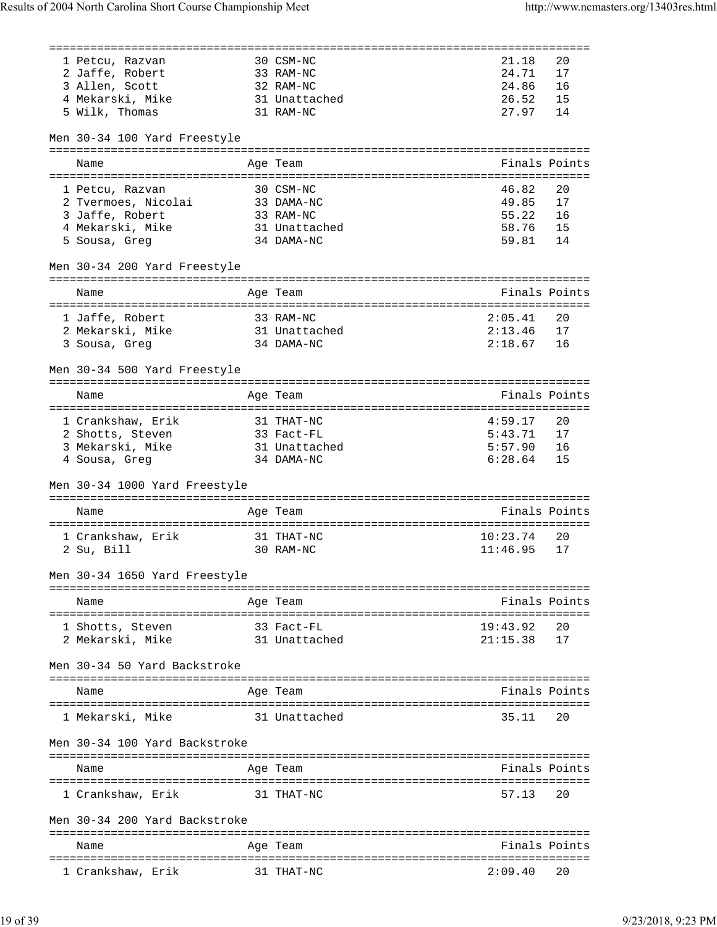|                                | ========== |               | ======================= |               |
|--------------------------------|------------|---------------|-------------------------|---------------|
| 1 Petcu, Razvan                |            | 30 CSM-NC     | 21.18                   | 20            |
| 2 Jaffe, Robert                |            | 33 RAM-NC     | 24.71                   | 17            |
| 3 Allen, Scott                 |            | 32 RAM-NC     | 24.86                   | 16            |
| 4 Mekarski, Mike 31 Unattached |            |               | 26.52                   | 15            |
| 5 Wilk, Thomas                 |            | 31 RAM-NC     | 27.97                   | 14            |
|                                |            |               |                         |               |
| Men 30-34 100 Yard Freestyle   |            |               |                         |               |
| Name                           |            | Age Team      |                         | Finals Points |
|                                |            |               |                         |               |
| 1 Petcu, Razvan                |            | 30 CSM-NC     | 46.82                   | 20            |
| 2 Tvermoes, Nicolai            |            | 33 DAMA-NC    | 49.85                   | 17            |
| 3 Jaffe, Robert                |            | 33 RAM-NC     | 55.22                   | 16            |
| 4 Mekarski, Mike               |            | 31 Unattached | 58.76                   | 15            |
| 5 Sousa, Greg                  |            | 34 DAMA-NC    | 59.81                   | 14            |
| Men 30-34 200 Yard Freestyle   |            |               |                         |               |
|                                |            |               |                         | Finals Points |
| Name                           |            | Age Team      |                         |               |
| 1 Jaffe, Robert                |            | 33 RAM-NC     | 2:05.41                 | 20            |
| 2 Mekarski, Mike 31 Unattached |            |               | 2:13.46                 | 17            |
| 3 Sousa, Greg                  |            | 34 DAMA-NC    | 2:18.67                 | 16            |
|                                |            |               |                         |               |
| Men 30-34 500 Yard Freestyle   |            |               |                         |               |
| Name                           |            | Age Team      |                         | Finals Points |
|                                |            |               |                         |               |
| 1 Crankshaw, Erik              |            | 31 THAT-NC    | 4:59.17                 | 20            |
| 2 Shotts, Steven               |            | 33 Fact-FL    | 5:43.71                 | 17            |
| 3 Mekarski, Mike               |            | 31 Unattached | 5:57.90                 | 16            |
| 4 Sousa, Greg                  |            | 34 DAMA-NC    | 6:28.64                 | 15            |
| Men 30-34 1000 Yard Freestyle  |            |               |                         |               |
|                                |            |               |                         |               |
| Name                           |            | Age Team      | Finals Points           |               |
| 1 Crankshaw, Erik              |            | 31 THAT-NC    | 10:23.74                | 20            |
| 2 Su, Bill                     |            | 30 RAM-NC     | 11:46.95                | 17            |
|                                |            |               |                         |               |
| Men 30-34 1650 Yard Freestyle  |            |               |                         |               |
| Name                           |            | Age Team      |                         | Finals Points |
|                                |            |               |                         |               |
| 1 Shotts, Steven               |            | 33 Fact-FL    | 19:43.92                | 20            |
| 2 Mekarski, Mike               |            | 31 Unattached | 21:15.38                | 17            |
| Men 30-34 50 Yard Backstroke   |            |               |                         |               |
|                                |            |               |                         |               |
| Name                           |            | Age Team      |                         | Finals Points |
|                                |            |               |                         |               |
| 1 Mekarski, Mike               |            | 31 Unattached | 35.11                   | 20            |
| Men 30-34 100 Yard Backstroke  |            |               |                         |               |
|                                |            |               |                         |               |
| Name<br>====================   |            | Age Team      |                         | Finals Points |
| 1 Crankshaw, Erik              |            | 31 THAT-NC    | 57.13                   | 20            |
| Men 30-34 200 Yard Backstroke  |            |               |                         |               |
|                                |            |               |                         |               |
| Name                           |            | Age Team      |                         | Finals Points |
| 1 Crankshaw, Erik              |            | 31 THAT-NC    | 2:09.40                 | 20            |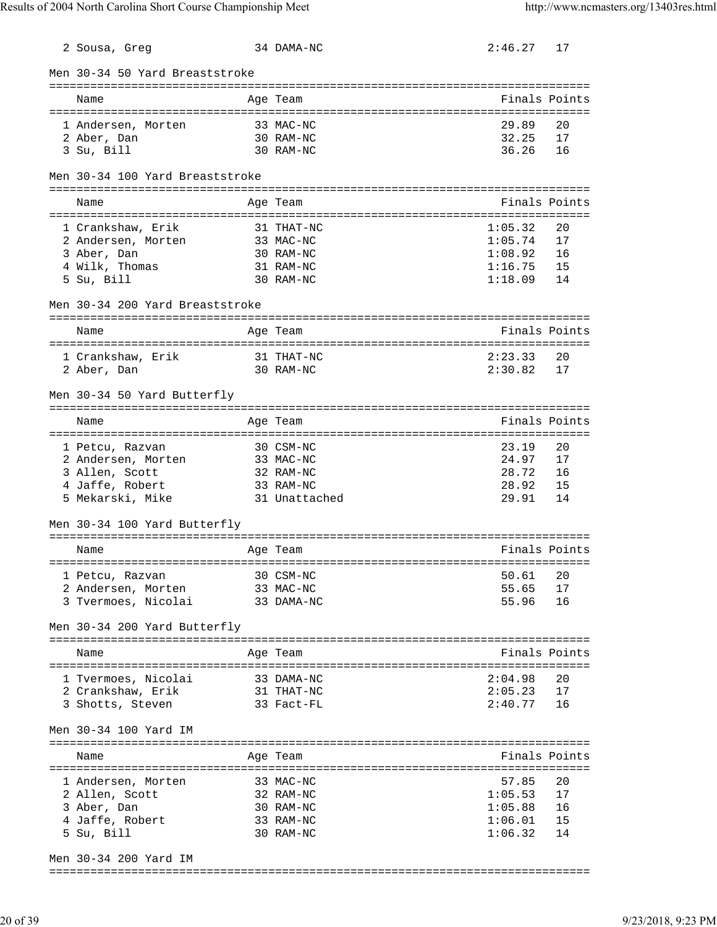| 2 Sousa, Greg                   | 34 DAMA-NC             | 2:46.27            | 17            |
|---------------------------------|------------------------|--------------------|---------------|
| Men 30-34 50 Yard Breaststroke  |                        |                    |               |
| Name                            | Age Team               |                    | Finals Points |
| 1 Andersen, Morten              | 33 MAC-NC              | 29.89              | 20            |
| 2 Aber, Dan<br>3 Su, Bill       | 30 RAM-NC<br>30 RAM-NC | 32.25<br>36.26     | 17<br>16      |
|                                 |                        |                    |               |
| Men 30-34 100 Yard Breaststroke |                        |                    |               |
| Name                            | Age Team               |                    | Finals Points |
| 1 Crankshaw, Erik               | 31 THAT-NC             | 1:05.32            | 20            |
| 2 Andersen, Morten              | 33 MAC-NC              | 1:05.74            | 17            |
| 3 Aber, Dan<br>4 Wilk, Thomas   | 30 RAM-NC<br>31 RAM-NC | 1:08.92<br>1:16.75 | 16<br>15      |
| 5 Su, Bill                      | 30 RAM-NC              | 1:18.09            | 14            |
| Men 30-34 200 Yard Breaststroke |                        |                    |               |
| Name                            | Age Team               |                    | Finals Points |
|                                 |                        |                    |               |
| 1 Crankshaw, Erik               | 31 THAT-NC             | 2:23.33            | 20            |
| 2 Aber, Dan                     | 30 RAM-NC              | 2:30.82            | 17            |
| Men 30-34 50 Yard Butterfly     |                        |                    |               |
| Name                            | Age Team               |                    | Finals Points |
| 1 Petcu, Razvan                 | 30 CSM-NC              | 23.19              | 20            |
| 2 Andersen, Morten              | 33 MAC-NC              | 24.97              | 17            |
| 3 Allen, Scott                  | 32 RAM-NC              | 28.72              | 16            |
| 4 Jaffe, Robert                 | 33 RAM-NC              | 28.92              | 15            |
| 5 Mekarski, Mike                | 31 Unattached          | 29.91              | 14            |
| Men 30-34 100 Yard Butterfly    |                        |                    |               |
| Name                            | Age Team               |                    | Finals Points |
| 1 Petcu, Razvan                 | 30 CSM-NC              | 50.61              | 20            |
| 2 Andersen, Morten              | 33 MAC-NC              | 55.65              | 17            |
| 3 Tvermoes, Nicolai             | 33 DAMA-NC             | 55.96              | 16            |
| Men 30-34 200 Yard Butterfly    |                        |                    |               |
| Name                            | Age Team               |                    | Finals Points |
| 1 Tvermoes, Nicolai             | 33 DAMA-NC             | 2:04.98            | 20            |
| 2 Crankshaw, Erik               | 31 THAT-NC             | 2:05.23            | 17            |
| 3 Shotts, Steven                | 33 Fact-FL             | 2:40.77            | 16            |
| Men 30-34 100 Yard IM           |                        |                    |               |
| Name                            | Age Team               |                    | Finals Points |
| 1 Andersen, Morten              | 33 MAC-NC              | 57.85              | 20            |
| 2 Allen, Scott                  | 32 RAM-NC              | 1:05.53            | 17            |
| 3 Aber, Dan                     | 30 RAM-NC              | 1:05.88            | 16            |
| 4 Jaffe, Robert                 | 33 RAM-NC              | 1:06.01            | 15            |
| 5 Su, Bill                      | 30 RAM-NC              | 1:06.32            | 14            |
|                                 |                        |                    |               |

Men 30-34 200 Yard IM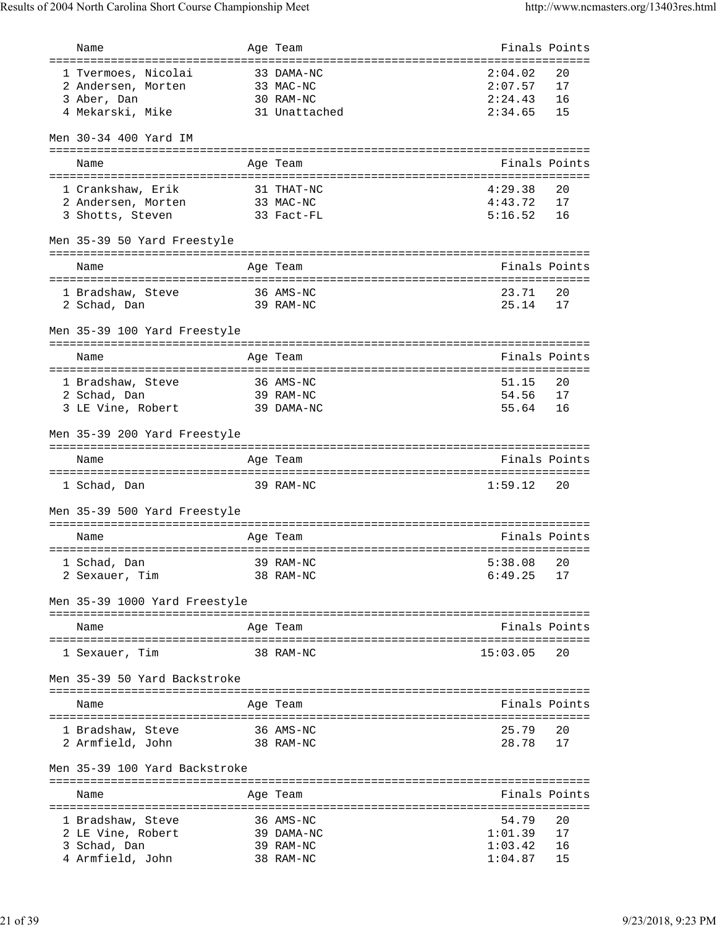| Name                                | Age Team                | Finals Points      |               |
|-------------------------------------|-------------------------|--------------------|---------------|
| =================================== | ====================    | ======:            |               |
| 1 Tvermoes, Nicolai                 | 33 DAMA-NC              | 2:04.02            | 20            |
| 2 Andersen, Morten                  | 33 MAC-NC               | 2:07.57            | 17            |
| 3 Aber, Dan                         | 30 RAM-NC               | 2:24.43            | 16            |
| 4 Mekarski, Mike                    | 31 Unattached           | 2:34.65            | 15            |
| Men 30-34 400 Yard IM               |                         |                    |               |
|                                     |                         |                    |               |
| Name                                | Age Team                |                    | Finals Points |
| 1 Crankshaw, Erik                   | 31 THAT-NC              | 4:29.38            | 20            |
| 2 Andersen, Morten<br>33 MAC-NC     |                         | 4:43.72            | 17            |
| 3 Shotts, Steven                    | 33 Fact-FL              | 5:16.52            | 16            |
|                                     |                         |                    |               |
| Men 35-39 50 Yard Freestyle         |                         |                    |               |
| Name                                | Age Team                |                    | Finals Points |
|                                     |                         |                    |               |
| 1 Bradshaw, Steve                   | 36 AMS-NC               | 23.71              | 20            |
| 2 Schad, Dan                        | 39 RAM-NC               | 25.14              | 17            |
|                                     |                         |                    |               |
| Men 35-39 100 Yard Freestyle        |                         |                    |               |
|                                     |                         |                    |               |
| Name                                | Age Team                |                    | Finals Points |
| 1 Bradshaw, Steve 36 AMS-NC         |                         | 51.15              | 20            |
| 2 Schad, Dan                        | 39 RAM-NC               | 54.56              | 17            |
| 3 LE Vine, Robert                   | 39 DAMA-NC              | 55.64              | 16            |
|                                     |                         |                    |               |
| Men 35-39 200 Yard Freestyle        |                         |                    |               |
|                                     |                         |                    |               |
|                                     |                         |                    |               |
| Name                                | Age Team                | Finals Points      |               |
|                                     |                         |                    |               |
| 1 Schad, Dan                        | 39 RAM-NC               | 1:59.12            | 20            |
| Men 35-39 500 Yard Freestyle        |                         |                    |               |
|                                     |                         |                    |               |
| Name                                | Age Team                |                    | Finals Points |
|                                     |                         |                    |               |
| $39$ RAM-NC<br>1 Schad, Dan         |                         | 5:38.08 20         |               |
| 2 Sexauer, Tim                      | 38 RAM-NC               | 6:49.25            | 17            |
| Men 35-39 1000 Yard Freestyle       |                         |                    |               |
|                                     |                         |                    |               |
| Name                                | Age Team                |                    | Finals Points |
| 1 Sexauer, Tim                      | 38 RAM-NC               | 15:03.05           | 20            |
|                                     |                         |                    |               |
| Men 35-39 50 Yard Backstroke        |                         |                    |               |
|                                     |                         |                    |               |
| Name                                | Age Team                |                    | Finals Points |
|                                     |                         |                    |               |
| 1 Bradshaw, Steve<br>38 RAM-NC      | 36 AMS-NC               | 25.79<br>28.78     | 20<br>17      |
| 2 Armfield, John                    |                         |                    |               |
| Men 35-39 100 Yard Backstroke       |                         |                    |               |
|                                     |                         |                    |               |
| Name                                | Age Team                |                    | Finals Points |
|                                     |                         |                    |               |
| 1 Bradshaw, Steve                   | 36 AMS-NC               | 54.79              | 20            |
| 2 LE Vine, Robert<br>3 Schad, Dan   | 39 DAMA-NC<br>39 RAM-NC | 1:01.39<br>1:03.42 | 17<br>16      |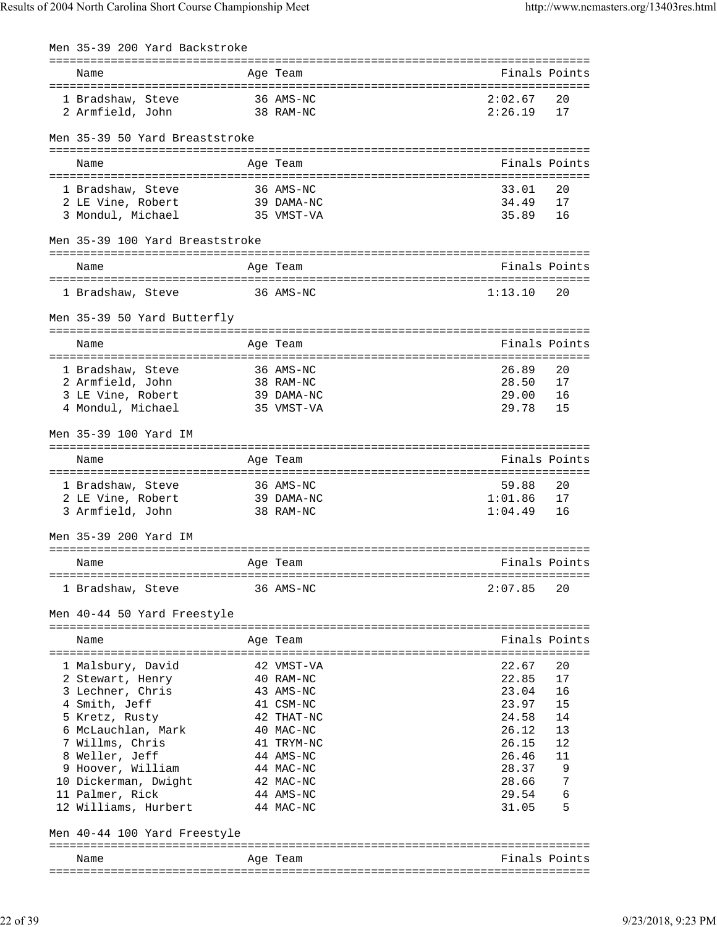| Men 35-39 200 Yard Backstroke             |                                                                                                                     |                |        |
|-------------------------------------------|---------------------------------------------------------------------------------------------------------------------|----------------|--------|
| Name                                      | Age Team                                                                                                            | Finals Points  |        |
| 36 AMS-NC<br>1 Bradshaw, Steve            |                                                                                                                     | 2:02.67        | 20     |
| 2 Armfield, John 38 RAM-NC                |                                                                                                                     | 2:26.19        | 17     |
|                                           |                                                                                                                     |                |        |
| Men 35-39 50 Yard Breaststroke            |                                                                                                                     |                |        |
|                                           |                                                                                                                     |                |        |
| Name                                      | Age Team                                                                                                            | Finals Points  |        |
| 1 Bradshaw, Steve                         | 36 AMS-NC                                                                                                           | 33.01          | 20     |
| 2 LE Vine, Robert                         | 39 DAMA-NC                                                                                                          | 34.49          | 17     |
| 3 Mondul, Michael                         | 35 VMST-VA                                                                                                          | 35.89          | 16     |
|                                           |                                                                                                                     |                |        |
| Men 35-39 100 Yard Breaststroke           |                                                                                                                     |                |        |
|                                           |                                                                                                                     |                |        |
| Name                                      | Age Team                                                                                                            | Finals Points  |        |
|                                           |                                                                                                                     |                |        |
| 1 Bradshaw, Steve 36 AMS-NC               |                                                                                                                     | 1:13.10        | 20     |
| Men 35-39 50 Yard Butterfly               |                                                                                                                     |                |        |
|                                           |                                                                                                                     |                |        |
| Name                                      | Age Team                                                                                                            | Finals Points  |        |
|                                           | 36 AMS-NC                                                                                                           | 26.89          | 20     |
| 1 Bradshaw, Steve<br>2 Armfield, John     | 38 RAM-NC                                                                                                           | 28.50          | 17     |
| 3 LE Vine, Robert                         | 39 DAMA-NC                                                                                                          | 29.00          | 16     |
| 4 Mondul, Michael                         | 35 VMST-VA                                                                                                          | 29.78          | 15     |
|                                           |                                                                                                                     |                |        |
| Men 35-39 100 Yard IM                     |                                                                                                                     |                |        |
| Name                                      | Age Team                                                                                                            | Finals Points  |        |
|                                           |                                                                                                                     |                |        |
| 1 Bradshaw, Steve                         | 36 AMS-NC                                                                                                           | 59.88          | 20     |
| 2 LE Vine, Robert 39 DAMA-NC              |                                                                                                                     | 1:01.86        | 17     |
| 3 Armfield, John                          | 38 RAM-NC                                                                                                           | 1:04.49        | 16     |
| Men 35-39 200 Yard IM                     |                                                                                                                     |                |        |
|                                           |                                                                                                                     |                |        |
| Name<br>and the Magnetic Page Team        | <b>Example 18 Service State Service Service State State Service State State State State State State State State</b> |                |        |
| 1 Bradshaw, Steve                         | 36 AMS-NC                                                                                                           | 2:07.85        | 20     |
|                                           |                                                                                                                     |                |        |
| Men 40-44 50 Yard Freestyle               |                                                                                                                     |                |        |
| Name                                      | Age Team                                                                                                            | Finals Points  |        |
|                                           |                                                                                                                     |                |        |
| 1 Malsbury, David                         | 42 VMST-VA                                                                                                          | 22.67          | 20     |
| 2 Stewart, Henry                          | 40 RAM-NC                                                                                                           | 22.85          | 17     |
| 3 Lechner, Chris                          | 43 AMS-NC                                                                                                           | 22.85<br>23.04 | 16     |
| 4 Smith, Jeff                             | 41 CSM-NC                                                                                                           | 23.97          | 15     |
| 5 Kretz, Rusty                            | 42 THAT-NC                                                                                                          | 24.58          | 14     |
| 6 McLauchlan, Mark                        | 40 MAC-NC                                                                                                           | 26.12          | 13     |
| 7 Willms, Chris                           | 41 TRYM-NC                                                                                                          | 26.15          | 12     |
| 8 Weller, Jeff                            | 44 AMS-NC                                                                                                           | 26.46          | 11     |
| 9 Hoover, William<br>10 Dickerman, Dwight | 44 MAC-NC<br>42 MAC-NC                                                                                              | 28.37<br>28.66 | 9<br>7 |
| 11 Palmer, Rick                           | 44 AMS-NC                                                                                                           | 29.54          | 6      |
| 12 Williams, Hurbert                      | 44 MAC-NC                                                                                                           | 31.05          | 5      |
|                                           |                                                                                                                     |                |        |
| Men 40-44 100 Yard Freestyle              |                                                                                                                     |                |        |
| Name                                      | Age Team                                                                                                            | Finals Points  |        |
|                                           |                                                                                                                     |                |        |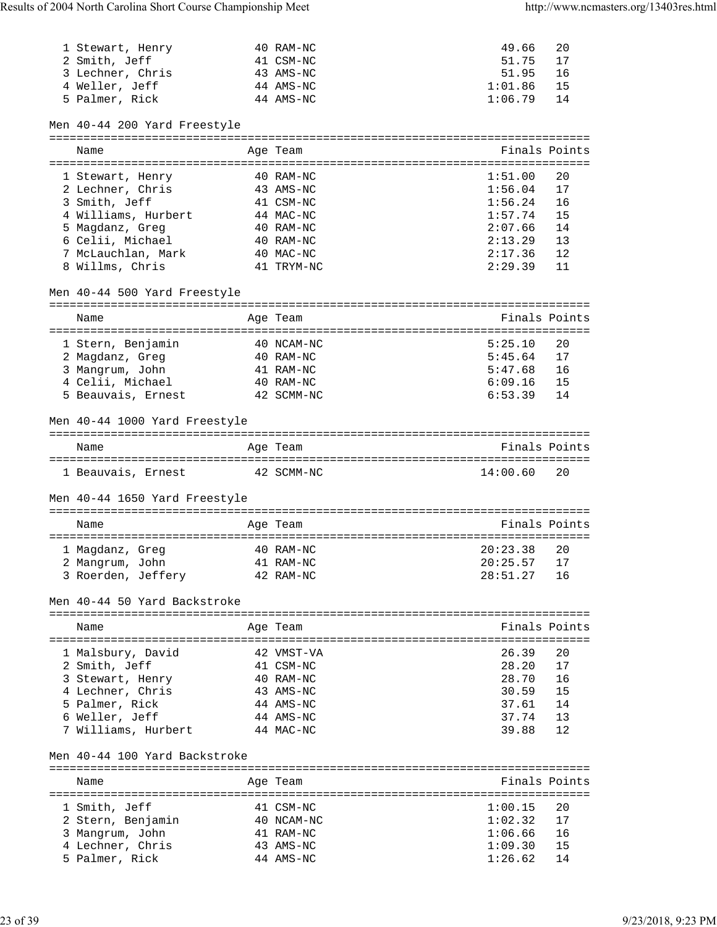| 1 Stewart, Henry<br>2 Smith, Jeff<br>3 Lechner, Chris<br>4 Weller, Jeff<br>5 Palmer, Rick | 40 RAM-NC<br>41 CSM-NC<br>43 AMS-NC<br>44 AMS-NC<br>44 AMS-NC | 49.66<br>51.75<br>51.95<br>1:01.86<br>1:06.79 | 20<br>17<br>16<br>15<br>14 |
|-------------------------------------------------------------------------------------------|---------------------------------------------------------------|-----------------------------------------------|----------------------------|
| Men 40-44 200 Yard Freestyle                                                              |                                                               |                                               |                            |
| Name                                                                                      | Age Team                                                      | Finals Points                                 |                            |
| 1 Stewart, Henry                                                                          | 40 RAM-NC                                                     | 1:51.00                                       | 20                         |
| 2 Lechner, Chris                                                                          | 43 AMS-NC                                                     | 1:56.04                                       | 17                         |
| 3 Smith, Jeff                                                                             | 41 CSM-NC                                                     | 1:56.24                                       | 16                         |
| 4 Williams, Hurbert                                                                       | 44 MAC-NC                                                     | 1:57.74                                       | 15                         |
| 5 Magdanz, Greg                                                                           | 40 RAM-NC                                                     | 2:07.66                                       | 14                         |
| 6 Celii, Michael                                                                          | 40 RAM-NC                                                     | 2:13.29                                       | 13                         |
| 7 McLauchlan, Mark<br>8 Willms, Chris                                                     | 40 MAC-NC<br>41 TRYM-NC                                       | 2:17.36<br>2:29.39                            | 12<br>11                   |
| Men 40-44 500 Yard Freestyle                                                              |                                                               |                                               |                            |
| Name                                                                                      | Age Team                                                      |                                               | Finals Points              |
|                                                                                           |                                                               |                                               |                            |
| 1 Stern, Benjamin                                                                         | 40 NCAM-NC                                                    | 5:25.10                                       | 20                         |
| 2 Magdanz, Greg                                                                           | 40 RAM-NC                                                     | 5:45.64                                       | 17                         |
| 3 Mangrum, John                                                                           | 41 RAM-NC                                                     | 5:47.68                                       | 16                         |
| 4 Celii, Michael                                                                          | 40 RAM-NC                                                     | 6:09.16                                       | 15                         |
| 5 Beauvais, Ernest                                                                        | 42 SCMM-NC                                                    | 6:53.39                                       | 14                         |
| Men 40-44 1000 Yard Freestyle                                                             |                                                               |                                               |                            |
| Name                                                                                      | Age Team                                                      | Finals Points                                 |                            |
| 1 Beauvais, Ernest 42 SCMM-NC                                                             |                                                               | 14:00.60                                      | 20                         |
| Men 40-44 1650 Yard Freestyle                                                             |                                                               |                                               |                            |
| Name                                                                                      | Age Team                                                      | Finals Points                                 |                            |
| 1 Magdanz, Greg                                                                           | 40 RAM-NC                                                     | 20:23.38                                      | 20                         |
| 2 Mangrum, John 41 RAM-NC                                                                 |                                                               | $20:25.57$ 17                                 |                            |
| 3 Roerden, Jeffery                                                                        | 42 RAM-NC                                                     | 28:51.27                                      | 16                         |
| Men 40-44 50 Yard Backstroke                                                              |                                                               |                                               |                            |
| Name                                                                                      | Age Team                                                      |                                               | Finals Points              |
| 1 Malsbury, David                                                                         | 42 VMST-VA                                                    | 26.39                                         | 20                         |
| 2 Smith, Jeff                                                                             | 41 CSM-NC                                                     | 28.20                                         | 17                         |
| 3 Stewart, Henry                                                                          | 40 RAM-NC                                                     | 28.70                                         | 16                         |
| 4 Lechner, Chris                                                                          | 43 AMS-NC                                                     | 30.59                                         | 15                         |
| 5 Palmer, Rick                                                                            | 44 AMS-NC                                                     | 37.61                                         | 14                         |
| 6 Weller, Jeff                                                                            | 44 AMS-NC                                                     | 37.74                                         | 13                         |
| 7 Williams, Hurbert                                                                       | 44 MAC-NC                                                     | 39.88                                         | 12                         |
| Men 40-44 100 Yard Backstroke                                                             |                                                               |                                               |                            |
| Name                                                                                      | Age Team                                                      | Finals Points                                 |                            |
|                                                                                           |                                                               |                                               |                            |
| 1 Smith, Jeff                                                                             | 41 CSM-NC<br>40 NCAM-NC                                       | 1:00.15<br>1:02.32                            | 20<br>17                   |
| 2 Stern, Benjamin<br>3 Mangrum, John                                                      | 41 RAM-NC                                                     | 1:06.66                                       | 16                         |
| 4 Lechner, Chris                                                                          | 43 AMS-NC                                                     | 1:09.30                                       | 15                         |
| 5 Palmer, Rick                                                                            | 44 AMS-NC                                                     | 1:26.62                                       | 14                         |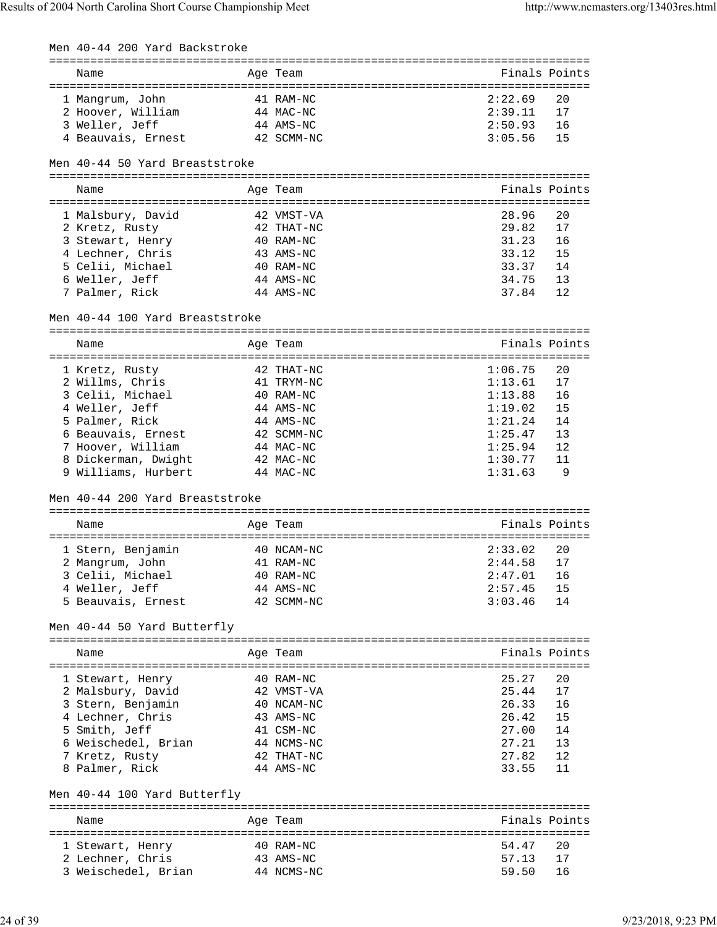| Men 40-44 200 Yard Backstroke   |            |               |               |
|---------------------------------|------------|---------------|---------------|
| Name                            | Age Team   |               | Finals Points |
|                                 |            |               |               |
| 1 Mangrum, John                 | 41 RAM-NC  | 2:22.69       | 20            |
| 2 Hoover, William               | 44 MAC-NC  | 2:39.11       | 17            |
| 3 Weller, Jeff                  | 44 AMS-NC  | 2:50.93       | 16            |
| 4 Beauvais, Ernest              | 42 SCMM-NC | 3:05.56       | 15            |
| Men 40-44 50 Yard Breaststroke  |            |               |               |
|                                 |            |               |               |
| Name                            | Age Team   |               | Finals Points |
| 1 Malsbury, David               | 42 VMST-VA | 28.96         | 20            |
| 2 Kretz, Rusty                  | 42 THAT-NC | 29.82         | 17            |
| 3 Stewart, Henry                | 40 RAM-NC  | 31.23         | 16            |
| 4 Lechner, Chris                | 43 AMS-NC  | 33.12         | 15            |
| 5 Celii, Michael                | 40 RAM-NC  | 33.37         | 14            |
| 6 Weller, Jeff                  | 44 AMS-NC  | 34.75         | 13            |
| 7 Palmer, Rick                  | 44 AMS-NC  | 37.84         | 12            |
|                                 |            |               |               |
| Men 40-44 100 Yard Breaststroke |            |               |               |
| Name                            | Age Team   |               | Finals Points |
|                                 |            |               |               |
| 1 Kretz, Rusty                  | 42 THAT-NC | 1:06.75       | 20            |
| 2 Willms, Chris                 | 41 TRYM-NC | 1:13.61       | 17            |
| 3 Celii, Michael                | 40 RAM-NC  | 1:13.88       | 16            |
| 4 Weller, Jeff                  | 44 AMS-NC  | 1:19.02       | 15            |
| 5 Palmer, Rick                  | 44 AMS-NC  | 1:21.24       | 14            |
| 6 Beauvais, Ernest              | 42 SCMM-NC | 1:25.47       | 13            |
| 7 Hoover, William               | 44 MAC-NC  | 1:25.94       | 12            |
| 8 Dickerman, Dwight             | 42 MAC-NC  | 1:30.77       | 11            |
| 9 Williams, Hurbert             | 44 MAC-NC  | 1:31.63       | 9             |
|                                 |            |               |               |
| Men 40-44 200 Yard Breaststroke |            |               |               |
| Name                            | Age Team   | Finals Points |               |
|                                 |            |               |               |
| 1 Stern, Benjamin               | 40 NCAM-NC | 2:33.02       | 20            |
| 2 Mangrum, John 41 RAM-NC       |            | $2:44.58$ 17  |               |
| 3 Celii, Michael                | 40 RAM-NC  | 2:47.01       | 16            |
| 4 Weller, Jeff                  | 44 AMS-NC  | 2:57.45       | 15            |
| 5 Beauvais, Ernest              | 42 SCMM-NC | 3:03.46       | 14            |
| Men 40-44 50 Yard Butterfly     |            |               |               |
| Name                            | Age Team   |               | Finals Points |
|                                 |            |               |               |
| 1 Stewart, Henry                | 40 RAM-NC  | 25.27         | 20            |
| 2 Malsbury, David               | 42 VMST-VA | 25.44         | 17            |
| 3 Stern, Benjamin               | 40 NCAM-NC | 26.33         | 16            |
| 4 Lechner, Chris                | 43 AMS-NC  | 26.42         | 15            |
| 5 Smith, Jeff                   | 41 CSM-NC  | 27.00         | 14            |
| 6 Weischedel, Brian             | 44 NCMS-NC | 27.21         | 13            |
| 7 Kretz, Rusty                  | 42 THAT-NC | 27.82         | 12            |
| 8 Palmer, Rick                  | 44 AMS-NC  | 33.55         | 11            |
| Men 40-44 100 Yard Butterfly    |            |               |               |
| Name                            |            |               | Finals Points |
|                                 | Age Team   |               |               |
| 1 Stewart, Henry                | 40 RAM-NC  | 54.47         | 20            |
| 2 Lechner, Chris                | 43 AMS-NC  | 57.13         | 17            |
| 3 Weischedel, Brian             | 44 NCMS-NC | 59.50         | 16            |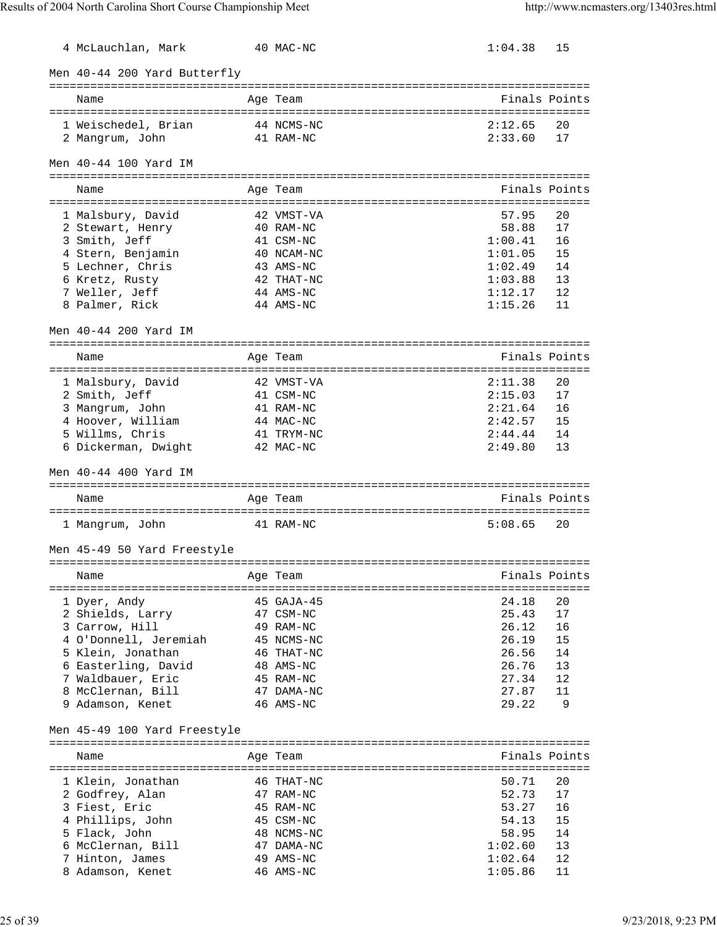| 4 McLauchlan, Mark                       | 40 MAC-NC               | 1:04.38            | 15            |
|------------------------------------------|-------------------------|--------------------|---------------|
| Men 40-44 200 Yard Butterfly             |                         |                    |               |
| Name                                     | Age Team                |                    | Finals Points |
|                                          |                         |                    |               |
| 1 Weischedel, Brian                      | 44 NCMS-NC              | 2:12.65            | 20            |
| 2 Mangrum, John                          | 41 RAM-NC               | 2:33.60            | 17            |
| Men 40-44 100 Yard IM                    |                         |                    |               |
| Name                                     | Age Team                |                    | Finals Points |
|                                          |                         |                    |               |
| 1 Malsbury, David                        | 42 VMST-VA<br>40 RAM-NC | 57.95<br>58.88     | 20<br>17      |
| 2 Stewart, Henry<br>3 Smith, Jeff        | 41 CSM-NC               | 1:00.41            | 16            |
| 4 Stern, Benjamin                        | 40 NCAM-NC              | 1:01.05            | 15            |
| 5 Lechner, Chris                         | 43 AMS-NC               | 1:02.49            | 14            |
|                                          | 42 THAT-NC              | 1:03.88            | 13            |
| 6 Kretz, Rusty                           |                         |                    | 12            |
| 7 Weller, Jeff<br>8 Palmer, Rick         | 44 AMS-NC<br>44 AMS-NC  | 1:12.17<br>1:15.26 | 11            |
|                                          |                         |                    |               |
| Men 40-44 200 Yard IM                    |                         |                    |               |
| Name                                     | Age Team                |                    | Finals Points |
|                                          |                         |                    |               |
| 1 Malsbury, David                        | 42 VMST-VA              | 2:11.38            | 20            |
| 2 Smith, Jeff                            | 41 CSM-NC               | 2:15.03            | 17            |
| 3 Mangrum, John                          | 41 RAM-NC               | 2:21.64            | 16            |
| 4 Hoover, William                        | 44 MAC-NC               | 2:42.57            | 15            |
| 5 Willms, Chris                          | 41 TRYM-NC              | 2:44.44            | 14            |
| 6 Dickerman, Dwight                      | 42 MAC-NC               | 2:49.80            | 13            |
| Men 40-44 400 Yard IM                    |                         |                    |               |
|                                          |                         |                    |               |
|                                          |                         |                    |               |
| Name                                     | Age Team                | Finals Points      |               |
| 1 Mangrum, John                          | 41 RAM-NC               | 5:08.65            | 20            |
| Men 45-49 50 Yard Freestyle              |                         |                    |               |
| Name                                     |                         |                    |               |
|                                          | Age Team                |                    | Finals Points |
|                                          | $45$ GAJA- $45$         | 24.18              | 20            |
| 1 Dyer, Andy<br>2 Shields, Larry         | 47 CSM-NC               | 25.43              | 17            |
| 3 Carrow, Hill                           | 49 RAM-NC               | 26.12              | 16            |
| 4 O'Donnell, Jeremiah                    | 45 NCMS-NC              | 26.19              | 15            |
| 5 Klein, Jonathan                        | 46 THAT-NC              | 26.56              | 14            |
|                                          | 48 AMS-NC               | 26.76              | 13            |
| 6 Easterling, David<br>7 Waldbauer, Eric | 45 RAM-NC               | 27.34              | 12            |
| 8 McClernan, Bill                        | 47 DAMA-NC              | 27.87              | 11            |
| 9 Adamson, Kenet                         | 46 AMS-NC               | 29.22              | 9             |
|                                          |                         |                    |               |
| Men 45-49 100 Yard Freestyle             |                         |                    |               |
| Name                                     | Age Team                |                    | Finals Points |
|                                          |                         |                    |               |
| 1 Klein, Jonathan                        | 46 THAT-NC              | 50.71              | 20            |
| 2 Godfrey, Alan                          | 47 RAM-NC               | 52.73              | 17            |
| 3 Fiest, Eric                            | 45 RAM-NC               | 53.27              | 16            |
| 4 Phillips, John                         | 45 CSM-NC               | 54.13              | 15            |
| 5 Flack, John                            | 48 NCMS-NC              | 58.95              | 14            |
| 6 McClernan, Bill                        | 47 DAMA-NC              | 1:02.60            | 13            |
| 7 Hinton, James<br>8 Adamson, Kenet      | 49 AMS-NC<br>46 AMS-NC  | 1:02.64<br>1:05.86 | 12<br>11      |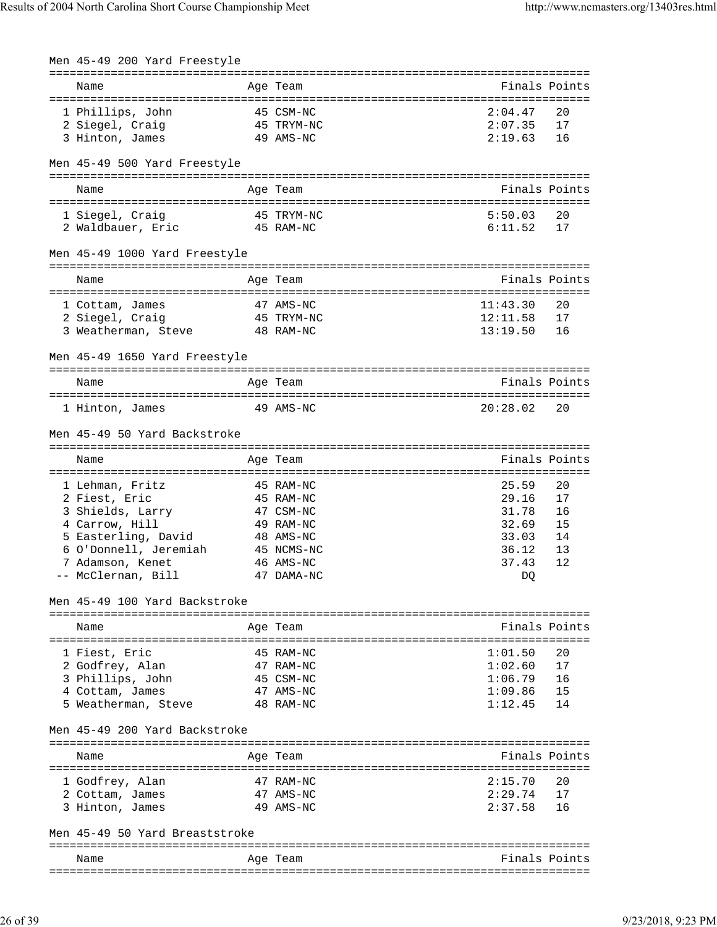| Men 45-49 200 Yard Freestyle                                   |                         |                    |               |
|----------------------------------------------------------------|-------------------------|--------------------|---------------|
| Name                                                           | Age Team                |                    | Finals Points |
|                                                                |                         |                    |               |
| 1 Phillips, John                                               | 45 CSM-NC<br>45 TRYM-NC | 2:04.47            | 20            |
| 2 Siegel, Craig                                                |                         | 2:07.35            | 17            |
| 3 Hinton, James                                                | 49 AMS-NC               | 2:19.63            | 16            |
| Men 45-49 500 Yard Freestyle                                   |                         |                    |               |
| Name                                                           | Age Team                |                    | Finals Points |
| 1 Siegel, Craig                                                | 45 TRYM-NC              | 5:50.03            | 20            |
| 2 Waldbauer, Eric                                              | 45 RAM-NC               | 6:11.52            | 17            |
|                                                                |                         |                    |               |
| Men 45-49 1000 Yard Freestyle                                  |                         |                    |               |
| Name                                                           | Age Team                |                    | Finals Points |
| 1 Cottam, James                                                | 47 AMS-NC               | 11:43.30           | 20            |
| 45 TRYM-NC<br>2 Siegel, Craig                                  |                         | 12:11.58           | 17            |
| 3 Weatherman, Steve 48 RAM-NC                                  |                         | 13:19.50           | 16            |
| Men 45-49 1650 Yard Freestyle                                  |                         |                    |               |
|                                                                |                         |                    |               |
| Name                                                           | Age Team                |                    | Finals Points |
| 1 Hinton, James                                                | 49 AMS-NC               | 20:28.02           | 20            |
| Men 45-49 50 Yard Backstroke                                   |                         |                    |               |
|                                                                |                         |                    |               |
| Name                                                           | Age Team                |                    | Finals Points |
| 1 Lehman, Fritz                                                | 45 RAM-NC               | 25.59              | 20            |
| 2 Fiest, Eric                                                  | 45 RAM-NC               | 29.16              | 17            |
| 3 Shields, Larry<br>4 Carrow, Hill                             | 47 CSM-NC               | 31.78              | 16            |
| 4 Carrow, Hill                                                 | 49 RAM-NC               | 32.69              | 15            |
| 5 Easterling, David                                            | 48 AMS-NC               | 33.03              | 14            |
| 6 O'Donnell, Jeremiah 45 NCMS-NC                               |                         | 36.12              | 13            |
| 7 Adamson, Kenet                                               | 46 AMS-NC               | 37.43              | 12            |
| -- McClernan, Bill                                             | 47 DAMA-NC              | DO.                |               |
| Men 45-49 100 Yard Backstroke<br>----------------------------- | ----------              |                    |               |
| Name                                                           | Age Team                |                    | Finals Points |
| --------------                                                 |                         |                    |               |
| 1 Fiest, Eric                                                  | 45 RAM-NC               | 1:01.50            | 20            |
| 2 Godfrey, Alan                                                | 47 RAM-NC               | 1:02.60            | 17            |
| 3 Phillips, John<br>4 Cottam, James                            | 45 CSM-NC<br>47 AMS-NC  | 1:06.79<br>1:09.86 | 16<br>15      |
| 5 Weatherman, Steve                                            | 48 RAM-NC               | 1:12.45            | 14            |
| Men 45-49 200 Yard Backstroke                                  |                         |                    |               |
|                                                                |                         |                    |               |
| Name<br>--------------------                                   | Age Team                |                    | Finals Points |
| 1 Godfrey, Alan                                                | 47 RAM-NC               | 2:15.70            | 20            |
| 2 Cottam, James                                                | 47 AMS-NC               | 2:29.74            | 17            |
| 3 Hinton, James                                                | 49 AMS-NC               | 2:37.58            | 16            |
| Men 45-49 50 Yard Breaststroke                                 |                         |                    |               |
| Name                                                           | Aqe Team                |                    | Finals Points |
|                                                                |                         |                    |               |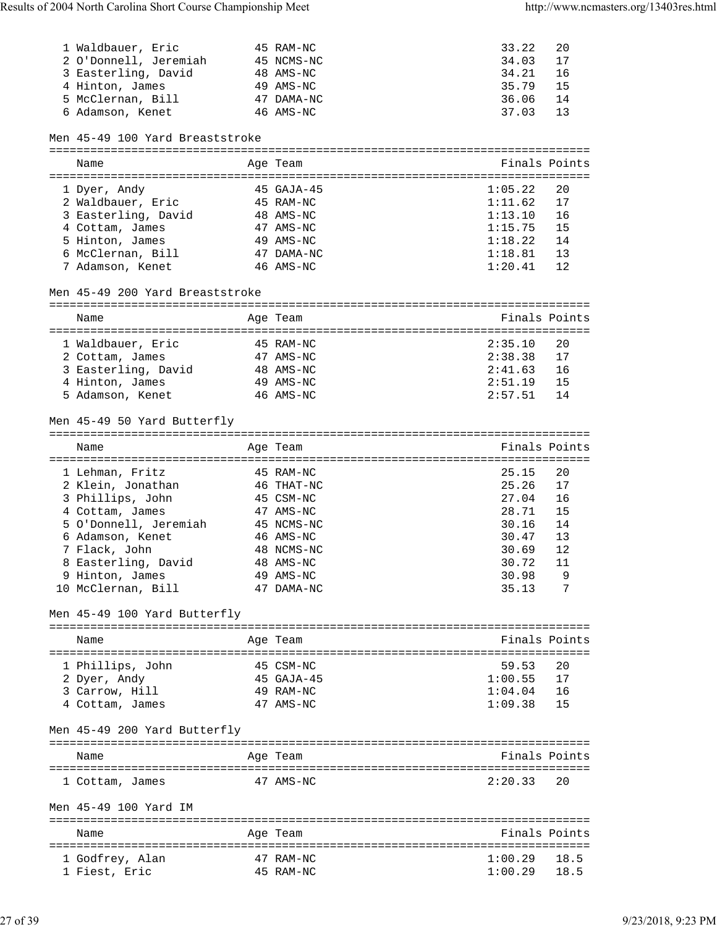| 1 Waldbauer, Eric<br>2 O'Donnell, Jeremiah 45 NCMS-NC<br>3 Easterling, David<br>4 Hinton, James<br>5 McClernan, Bill<br>6 Adamson, Kenet | 45 RAM-NC<br>48 AMS-NC<br>49 AMS-NC<br>47 DAMA-NC<br>46 AMS-NC | 33.22<br>34.03<br>34.21<br>35.79<br>36.06<br>37.03 | 20<br>17<br>16<br>15<br>14<br>13 |
|------------------------------------------------------------------------------------------------------------------------------------------|----------------------------------------------------------------|----------------------------------------------------|----------------------------------|
| Men 45-49 100 Yard Breaststroke                                                                                                          |                                                                |                                                    |                                  |
|                                                                                                                                          |                                                                |                                                    |                                  |
| Name                                                                                                                                     | Age Team                                                       |                                                    | Finals Points                    |
| 1 Dyer, Andy                                                                                                                             | 45 GAJA-45                                                     | 1:05.22                                            | 20                               |
| 2 Waldbauer, Eric                                                                                                                        | 45 RAM-NC                                                      | 1:11.62                                            | 17                               |
| 3 Easterling, David                                                                                                                      | 48 AMS-NC                                                      | 1:13.10                                            | 16                               |
| 4 Cottam, James                                                                                                                          | 47 AMS-NC                                                      | 1:15.75                                            | 15                               |
| 5 Hinton, James                                                                                                                          | 49 AMS-NC                                                      | 1:18.22                                            | 14                               |
| 6 McClernan, Bill                                                                                                                        | 47 DAMA-NC                                                     | 1:18.81                                            | 13                               |
| 7 Adamson, Kenet                                                                                                                         | 46 AMS-NC                                                      | 1:20.41                                            | 12                               |
| Men 45-49 200 Yard Breaststroke                                                                                                          |                                                                |                                                    |                                  |
| Name                                                                                                                                     | Age Team                                                       |                                                    | Finals Points                    |
|                                                                                                                                          |                                                                |                                                    |                                  |
| 1 Waldbauer, Eric                                                                                                                        | 45 RAM-NC                                                      | 2:35.10                                            | 20                               |
| 2 Cottam, James                                                                                                                          | 47 AMS-NC                                                      | 2:38.38                                            | 17                               |
| 3 Easterling, David 48 AMS-NC                                                                                                            |                                                                | 2:41.63                                            | 16                               |
| 4 Hinton, James                                                                                                                          | 49 AMS-NC                                                      | 2:51.19                                            | 15                               |
| 5 Adamson, Kenet                                                                                                                         | 46 AMS-NC                                                      | 2:57.51                                            | 14                               |
| Men 45-49 50 Yard Butterfly                                                                                                              |                                                                |                                                    |                                  |
| Name                                                                                                                                     | Age Team                                                       |                                                    | Finals Points                    |
|                                                                                                                                          |                                                                |                                                    |                                  |
| 1 Lehman, Fritz                                                                                                                          | 45 RAM-NC                                                      | 25.15                                              | 20                               |
| 2 Klein, Jonathan                                                                                                                        | 46 THAT-NC                                                     | 25.26                                              | 17                               |
| 3 Phillips, John                                                                                                                         | 45 CSM-NC                                                      | 27.04                                              | 16                               |
| 4 Cottam, James                                                                                                                          | 47 AMS-NC                                                      | 28.71                                              | 15                               |
| 5 O'Donnell, Jeremiah 45 NCMS-NC                                                                                                         |                                                                | 30.16                                              | 14                               |
| 6 Adamson, Kenet                                                                                                                         | 46 AMS-NC                                                      | 30.47                                              | 13                               |
| 7 Flack, John                                                                                                                            | 48 NCMS-NC                                                     | 30.69                                              | 12                               |
| 8 Easterling, David 48 AMS-NC                                                                                                            |                                                                | 30.72 11                                           |                                  |
| 9 Hinton, James                                                                                                                          | 49 AMS-NC                                                      | 30.98                                              | 9                                |
| 10 McClernan, Bill                                                                                                                       | 47 DAMA-NC                                                     | 35.13                                              | 7                                |
| Men 45-49 100 Yard Butterfly                                                                                                             |                                                                |                                                    |                                  |
|                                                                                                                                          |                                                                |                                                    | Finals Points                    |
| Name                                                                                                                                     | Age Team                                                       |                                                    |                                  |
| 1 Phillips, John                                                                                                                         | 45 CSM-NC                                                      | 59.53                                              | 20                               |
| 2 Dyer, Andy                                                                                                                             | 45 GAJA-45                                                     | 1:00.55                                            | 17                               |
| 3 Carrow, Hill                                                                                                                           | 49 RAM-NC                                                      | 1:04.04                                            | 16                               |
| 4 Cottam, James                                                                                                                          | 47 AMS-NC                                                      | 1:09.38                                            | 15                               |
| Men 45-49 200 Yard Butterfly                                                                                                             |                                                                |                                                    |                                  |
|                                                                                                                                          |                                                                |                                                    |                                  |
| Name                                                                                                                                     | Age Team                                                       |                                                    | Finals Points                    |
| 1 Cottam, James                                                                                                                          | 47 AMS-NC                                                      | 2:20.33                                            | 20                               |
| Men 45-49 100 Yard IM                                                                                                                    |                                                                |                                                    |                                  |
| Name                                                                                                                                     | Age Team                                                       |                                                    | Finals Points                    |
|                                                                                                                                          |                                                                |                                                    |                                  |
| 1 Godfrey, Alan                                                                                                                          | 47 RAM-NC                                                      | 1:00.29                                            | 18.5                             |
| 1 Fiest, Eric                                                                                                                            | 45 RAM-NC                                                      | 1:00.29                                            | 18.5                             |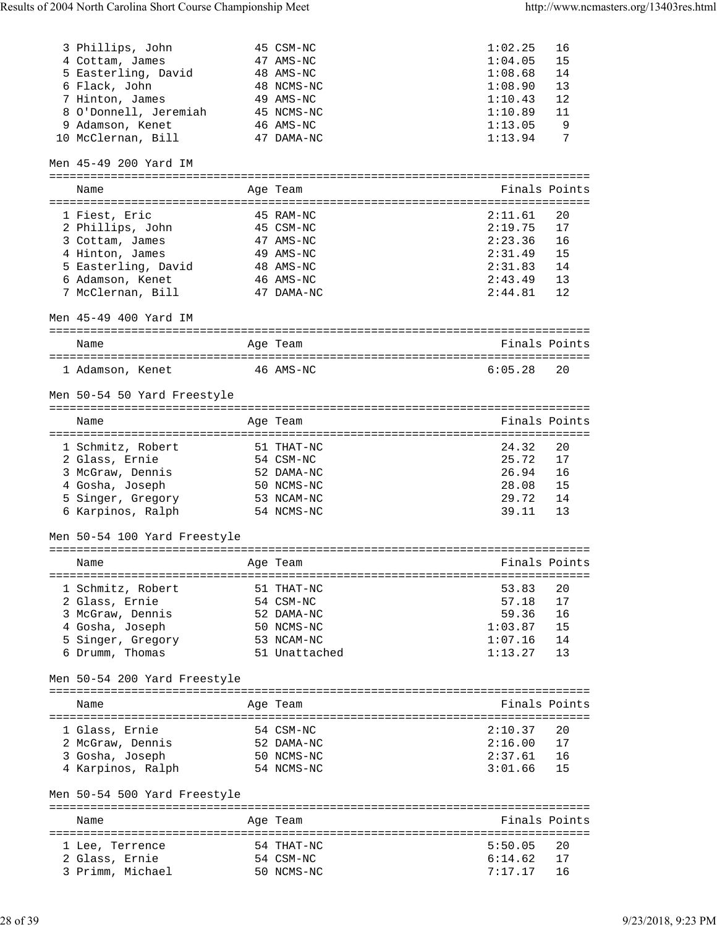| 3 Phillips, John                   | 45 CSM-NC               | 1:02.25                           | 16       |
|------------------------------------|-------------------------|-----------------------------------|----------|
| 4 Cottam, James                    | 47 AMS-NC               | 1:04.05                           | 15       |
| 5 Easterling, David                | 48 AMS-NC               | 1:08.68                           | 14       |
| 6 Flack, John                      | 48 NCMS-NC              | 1:08.90                           | 13       |
| 7 Hinton, James                    | 49 AMS-NC               | 1:10.43                           | 12       |
| 8 O'Donnell, Jeremiah 45 NCMS-NC   |                         | 1:10.89                           | 11       |
| 9 Adamson, Kenet                   | 46 AMS-NC               | 1:13.05                           | 9        |
|                                    | 47 DAMA-NC              | 1:13.94                           | 7        |
| 10 McClernan, Bill                 |                         |                                   |          |
| Men 45-49 200 Yard IM              |                         |                                   |          |
| Name                               | Age Team                | Finals Points                     |          |
|                                    |                         |                                   |          |
| 1 Fiest, Eric                      | 45 RAM-NC               | 2:11.61                           | 20       |
| 2 Phillips, John                   | 45 CSM-NC               | 2:19.75                           | 17       |
|                                    |                         |                                   |          |
| 3 Cottam, James                    | 47 AMS-NC               | 2:23.36                           | 16       |
| 4 Hinton, James                    | 49 AMS-NC               | 2:31.49                           | 15       |
| 5 Easterling, David                | 48 AMS-NC               | 2:31.83                           | 14       |
| 6 Adamson, Kenet                   | 46 AMS-NC               | 2:43.49                           | 13       |
| 7 McClernan, Bill                  | 47 DAMA-NC              | 2:44.81                           | 12       |
| Men 45-49 400 Yard IM              |                         |                                   |          |
|                                    |                         |                                   |          |
| Name                               | Age Team                | Finals Points                     |          |
|                                    |                         |                                   |          |
| $46$ AMS-NC<br>1 Adamson, Kenet    |                         | 6:05.28                           | 20       |
|                                    |                         |                                   |          |
| Men 50-54 50 Yard Freestyle        |                         |                                   |          |
|                                    |                         |                                   |          |
| Name                               | Age Team                | Finals Points                     |          |
|                                    |                         |                                   |          |
| 1 Schmitz, Robert                  | 51 THAT-NC              | 24.32                             | 20       |
| 2 Glass, Ernie                     | 54 CSM-NC               | 25.72                             | 17       |
| 3 McGraw, Dennis                   | 52 DAMA-NC              | 26.94                             | 16       |
| 4 Gosha, Joseph                    | 50 NCMS-NC              | 28.08                             | 15       |
| 5 Singer, Gregory                  | 53 NCAM-NC              | 29.72                             | 14       |
|                                    |                         |                                   |          |
| 6 Karpinos, Ralph                  | 54 NCMS-NC              | 39.11                             | 13       |
| Men 50-54 100 Yard Freestyle       |                         |                                   |          |
|                                    |                         |                                   |          |
|                                    |                         | Finals Points                     |          |
| Name                               | Age Team                |                                   |          |
|                                    |                         |                                   | 20       |
| 1 Schmitz, Robert                  | 51 THAT-NC              | 53.83                             |          |
| 2 Glass, Ernie                     | 54 CSM-NC               | 57.18                             | 17       |
| 3 McGraw, Dennis                   | 52 DAMA-NC              | 59.36                             | 16       |
| 4 Gosha, Joseph                    | 50 NCMS-NC              | 1:03.87                           | 15       |
| 5 Singer, Gregory                  | 53 NCAM-NC              | 1:07.16                           | 14       |
| 6 Drumm, Thomas                    |                         |                                   | 13       |
|                                    | 51 Unattached           | 1:13.27                           |          |
|                                    |                         |                                   |          |
| Men 50-54 200 Yard Freestyle       |                         |                                   |          |
|                                    |                         |                                   |          |
| Name                               | Age Team                | Finals Points                     |          |
|                                    |                         |                                   |          |
| 1 Glass, Ernie                     | 54 CSM-NC               | 2:10.37                           | 20       |
| 2 McGraw, Dennis                   | 52 DAMA-NC              |                                   | 17       |
| 3 Gosha, Joseph                    | 50 NCMS-NC              |                                   | 16       |
| 4 Karpinos, Ralph                  | 54 NCMS-NC              | $2:16.00$<br>$2:37.61$<br>3:01.66 | 15       |
|                                    |                         |                                   |          |
| Men 50-54 500 Yard Freestyle       |                         |                                   |          |
|                                    |                         |                                   |          |
| Name                               | Age Team                | Finals Points                     |          |
|                                    |                         |                                   |          |
| 1 Lee, Terrence                    | 54 THAT-NC              | 5:50.05                           | 20       |
| 2 Glass, Ernie<br>3 Primm, Michael | 54 CSM-NC<br>50 NCMS-NC | 6:14.62<br>7:17.17                | 17<br>16 |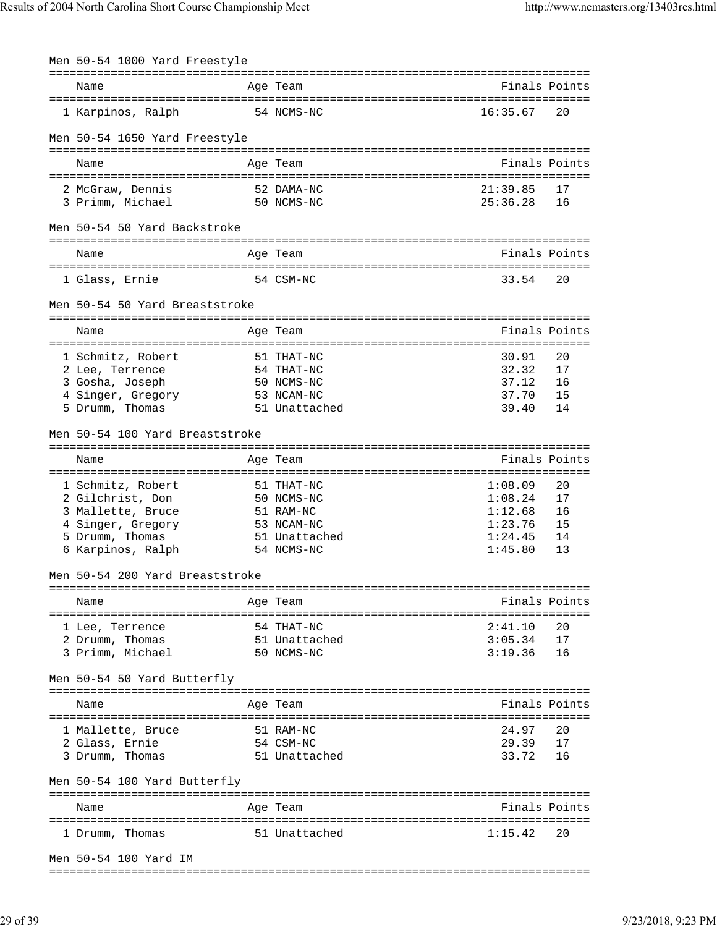| Finals Points<br>Name<br>Age Team<br>1 Karpinos, Ralph<br>16:35.67<br>20<br>54 NCMS-NC<br>Men 50-54 1650 Yard Freestyle<br>Finals Points<br>Age Team<br>Name<br>52 DAMA-NC<br>21:39.85<br>17<br>2 McGraw, Dennis<br>3 Primm, Michael<br>25:36.28<br>16<br>50 NCMS-NC<br>Men 50-54 50 Yard Backstroke<br>Finals Points<br>Name<br>Age Team<br>54 CSM-NC<br>33.54<br>20<br>1 Glass, Ernie<br>Men 50-54 50 Yard Breaststroke<br>Finals Points<br>Age Team<br>Name<br>1 Schmitz, Robert<br>30.91<br>20<br>51 THAT-NC<br>54 THAT-NC<br>32.32<br>17<br>2 Lee, Terrence<br>37.12<br>3 Gosha, Joseph<br>50 NCMS-NC<br>16<br>4 Singer, Gregory<br>37.70<br>53 NCAM-NC<br>15<br>5 Drumm, Thomas<br>51 Unattached<br>39.40<br>14<br>Men 50-54 100 Yard Breaststroke<br>Finals Points<br>Age Team<br>Name<br>1 Schmitz, Robert<br>51 THAT-NC<br>1:08.09<br>20<br>17<br>2 Gilchrist, Don<br>50 NCMS-NC<br>1:08.24<br>16<br>3 Mallette, Bruce<br>51 RAM-NC<br>1:12.68<br>1:23.76<br>15<br>4 Singer, Gregory<br>53 NCAM-NC<br>5 Drumm, Thomas<br>1:24.45<br>51 Unattached<br>14<br>6 Karpinos, Ralph<br>54 NCMS-NC<br>1:45.80<br>13<br>Men 50-54 200 Yard Breaststroke<br>Finals Points<br>Name<br>Age Team<br>2:41.10<br>20<br>54 THAT-NC<br>1 Lee, Terrence<br>51 Unattached<br>3:05.34<br>17<br>2 Drumm, Thomas<br>3 Primm, Michael<br>3:19.36<br>16<br>50 NCMS-NC<br>Men 50-54 50 Yard Butterfly<br>Finals Points<br>Name<br>Age Team<br>24.97<br>20<br>1 Mallette, Bruce<br>51 RAM-NC<br>17<br>2 Glass, Ernie<br>54 CSM-NC<br>29.39<br>51 Unattached<br>33.72<br>16<br>3 Drumm, Thomas<br>Men 50-54 100 Yard Butterfly<br>Finals Points<br>Name<br>Age Team<br>51 Unattached<br>1:15.42<br>20<br>1 Drumm, Thomas<br>Men 50-54 100 Yard IM | Men 50-54 1000 Yard Freestyle |  |  |
|---------------------------------------------------------------------------------------------------------------------------------------------------------------------------------------------------------------------------------------------------------------------------------------------------------------------------------------------------------------------------------------------------------------------------------------------------------------------------------------------------------------------------------------------------------------------------------------------------------------------------------------------------------------------------------------------------------------------------------------------------------------------------------------------------------------------------------------------------------------------------------------------------------------------------------------------------------------------------------------------------------------------------------------------------------------------------------------------------------------------------------------------------------------------------------------------------------------------------------------------------------------------------------------------------------------------------------------------------------------------------------------------------------------------------------------------------------------------------------------------------------------------------------------------------------------------------------------------------------------------------------------------------------------------------------------------------------------------------------|-------------------------------|--|--|
|                                                                                                                                                                                                                                                                                                                                                                                                                                                                                                                                                                                                                                                                                                                                                                                                                                                                                                                                                                                                                                                                                                                                                                                                                                                                                                                                                                                                                                                                                                                                                                                                                                                                                                                                 |                               |  |  |
|                                                                                                                                                                                                                                                                                                                                                                                                                                                                                                                                                                                                                                                                                                                                                                                                                                                                                                                                                                                                                                                                                                                                                                                                                                                                                                                                                                                                                                                                                                                                                                                                                                                                                                                                 |                               |  |  |
|                                                                                                                                                                                                                                                                                                                                                                                                                                                                                                                                                                                                                                                                                                                                                                                                                                                                                                                                                                                                                                                                                                                                                                                                                                                                                                                                                                                                                                                                                                                                                                                                                                                                                                                                 |                               |  |  |
|                                                                                                                                                                                                                                                                                                                                                                                                                                                                                                                                                                                                                                                                                                                                                                                                                                                                                                                                                                                                                                                                                                                                                                                                                                                                                                                                                                                                                                                                                                                                                                                                                                                                                                                                 |                               |  |  |
|                                                                                                                                                                                                                                                                                                                                                                                                                                                                                                                                                                                                                                                                                                                                                                                                                                                                                                                                                                                                                                                                                                                                                                                                                                                                                                                                                                                                                                                                                                                                                                                                                                                                                                                                 |                               |  |  |
|                                                                                                                                                                                                                                                                                                                                                                                                                                                                                                                                                                                                                                                                                                                                                                                                                                                                                                                                                                                                                                                                                                                                                                                                                                                                                                                                                                                                                                                                                                                                                                                                                                                                                                                                 |                               |  |  |
|                                                                                                                                                                                                                                                                                                                                                                                                                                                                                                                                                                                                                                                                                                                                                                                                                                                                                                                                                                                                                                                                                                                                                                                                                                                                                                                                                                                                                                                                                                                                                                                                                                                                                                                                 |                               |  |  |
|                                                                                                                                                                                                                                                                                                                                                                                                                                                                                                                                                                                                                                                                                                                                                                                                                                                                                                                                                                                                                                                                                                                                                                                                                                                                                                                                                                                                                                                                                                                                                                                                                                                                                                                                 |                               |  |  |
|                                                                                                                                                                                                                                                                                                                                                                                                                                                                                                                                                                                                                                                                                                                                                                                                                                                                                                                                                                                                                                                                                                                                                                                                                                                                                                                                                                                                                                                                                                                                                                                                                                                                                                                                 |                               |  |  |
|                                                                                                                                                                                                                                                                                                                                                                                                                                                                                                                                                                                                                                                                                                                                                                                                                                                                                                                                                                                                                                                                                                                                                                                                                                                                                                                                                                                                                                                                                                                                                                                                                                                                                                                                 |                               |  |  |
|                                                                                                                                                                                                                                                                                                                                                                                                                                                                                                                                                                                                                                                                                                                                                                                                                                                                                                                                                                                                                                                                                                                                                                                                                                                                                                                                                                                                                                                                                                                                                                                                                                                                                                                                 |                               |  |  |
|                                                                                                                                                                                                                                                                                                                                                                                                                                                                                                                                                                                                                                                                                                                                                                                                                                                                                                                                                                                                                                                                                                                                                                                                                                                                                                                                                                                                                                                                                                                                                                                                                                                                                                                                 |                               |  |  |
|                                                                                                                                                                                                                                                                                                                                                                                                                                                                                                                                                                                                                                                                                                                                                                                                                                                                                                                                                                                                                                                                                                                                                                                                                                                                                                                                                                                                                                                                                                                                                                                                                                                                                                                                 |                               |  |  |
|                                                                                                                                                                                                                                                                                                                                                                                                                                                                                                                                                                                                                                                                                                                                                                                                                                                                                                                                                                                                                                                                                                                                                                                                                                                                                                                                                                                                                                                                                                                                                                                                                                                                                                                                 |                               |  |  |
|                                                                                                                                                                                                                                                                                                                                                                                                                                                                                                                                                                                                                                                                                                                                                                                                                                                                                                                                                                                                                                                                                                                                                                                                                                                                                                                                                                                                                                                                                                                                                                                                                                                                                                                                 |                               |  |  |
|                                                                                                                                                                                                                                                                                                                                                                                                                                                                                                                                                                                                                                                                                                                                                                                                                                                                                                                                                                                                                                                                                                                                                                                                                                                                                                                                                                                                                                                                                                                                                                                                                                                                                                                                 |                               |  |  |
|                                                                                                                                                                                                                                                                                                                                                                                                                                                                                                                                                                                                                                                                                                                                                                                                                                                                                                                                                                                                                                                                                                                                                                                                                                                                                                                                                                                                                                                                                                                                                                                                                                                                                                                                 |                               |  |  |
|                                                                                                                                                                                                                                                                                                                                                                                                                                                                                                                                                                                                                                                                                                                                                                                                                                                                                                                                                                                                                                                                                                                                                                                                                                                                                                                                                                                                                                                                                                                                                                                                                                                                                                                                 |                               |  |  |
|                                                                                                                                                                                                                                                                                                                                                                                                                                                                                                                                                                                                                                                                                                                                                                                                                                                                                                                                                                                                                                                                                                                                                                                                                                                                                                                                                                                                                                                                                                                                                                                                                                                                                                                                 |                               |  |  |
|                                                                                                                                                                                                                                                                                                                                                                                                                                                                                                                                                                                                                                                                                                                                                                                                                                                                                                                                                                                                                                                                                                                                                                                                                                                                                                                                                                                                                                                                                                                                                                                                                                                                                                                                 |                               |  |  |
|                                                                                                                                                                                                                                                                                                                                                                                                                                                                                                                                                                                                                                                                                                                                                                                                                                                                                                                                                                                                                                                                                                                                                                                                                                                                                                                                                                                                                                                                                                                                                                                                                                                                                                                                 |                               |  |  |
|                                                                                                                                                                                                                                                                                                                                                                                                                                                                                                                                                                                                                                                                                                                                                                                                                                                                                                                                                                                                                                                                                                                                                                                                                                                                                                                                                                                                                                                                                                                                                                                                                                                                                                                                 |                               |  |  |
|                                                                                                                                                                                                                                                                                                                                                                                                                                                                                                                                                                                                                                                                                                                                                                                                                                                                                                                                                                                                                                                                                                                                                                                                                                                                                                                                                                                                                                                                                                                                                                                                                                                                                                                                 |                               |  |  |
|                                                                                                                                                                                                                                                                                                                                                                                                                                                                                                                                                                                                                                                                                                                                                                                                                                                                                                                                                                                                                                                                                                                                                                                                                                                                                                                                                                                                                                                                                                                                                                                                                                                                                                                                 |                               |  |  |
|                                                                                                                                                                                                                                                                                                                                                                                                                                                                                                                                                                                                                                                                                                                                                                                                                                                                                                                                                                                                                                                                                                                                                                                                                                                                                                                                                                                                                                                                                                                                                                                                                                                                                                                                 |                               |  |  |
|                                                                                                                                                                                                                                                                                                                                                                                                                                                                                                                                                                                                                                                                                                                                                                                                                                                                                                                                                                                                                                                                                                                                                                                                                                                                                                                                                                                                                                                                                                                                                                                                                                                                                                                                 |                               |  |  |
|                                                                                                                                                                                                                                                                                                                                                                                                                                                                                                                                                                                                                                                                                                                                                                                                                                                                                                                                                                                                                                                                                                                                                                                                                                                                                                                                                                                                                                                                                                                                                                                                                                                                                                                                 |                               |  |  |
|                                                                                                                                                                                                                                                                                                                                                                                                                                                                                                                                                                                                                                                                                                                                                                                                                                                                                                                                                                                                                                                                                                                                                                                                                                                                                                                                                                                                                                                                                                                                                                                                                                                                                                                                 |                               |  |  |
|                                                                                                                                                                                                                                                                                                                                                                                                                                                                                                                                                                                                                                                                                                                                                                                                                                                                                                                                                                                                                                                                                                                                                                                                                                                                                                                                                                                                                                                                                                                                                                                                                                                                                                                                 |                               |  |  |
|                                                                                                                                                                                                                                                                                                                                                                                                                                                                                                                                                                                                                                                                                                                                                                                                                                                                                                                                                                                                                                                                                                                                                                                                                                                                                                                                                                                                                                                                                                                                                                                                                                                                                                                                 |                               |  |  |
|                                                                                                                                                                                                                                                                                                                                                                                                                                                                                                                                                                                                                                                                                                                                                                                                                                                                                                                                                                                                                                                                                                                                                                                                                                                                                                                                                                                                                                                                                                                                                                                                                                                                                                                                 |                               |  |  |
|                                                                                                                                                                                                                                                                                                                                                                                                                                                                                                                                                                                                                                                                                                                                                                                                                                                                                                                                                                                                                                                                                                                                                                                                                                                                                                                                                                                                                                                                                                                                                                                                                                                                                                                                 |                               |  |  |
|                                                                                                                                                                                                                                                                                                                                                                                                                                                                                                                                                                                                                                                                                                                                                                                                                                                                                                                                                                                                                                                                                                                                                                                                                                                                                                                                                                                                                                                                                                                                                                                                                                                                                                                                 |                               |  |  |
|                                                                                                                                                                                                                                                                                                                                                                                                                                                                                                                                                                                                                                                                                                                                                                                                                                                                                                                                                                                                                                                                                                                                                                                                                                                                                                                                                                                                                                                                                                                                                                                                                                                                                                                                 |                               |  |  |
|                                                                                                                                                                                                                                                                                                                                                                                                                                                                                                                                                                                                                                                                                                                                                                                                                                                                                                                                                                                                                                                                                                                                                                                                                                                                                                                                                                                                                                                                                                                                                                                                                                                                                                                                 |                               |  |  |
|                                                                                                                                                                                                                                                                                                                                                                                                                                                                                                                                                                                                                                                                                                                                                                                                                                                                                                                                                                                                                                                                                                                                                                                                                                                                                                                                                                                                                                                                                                                                                                                                                                                                                                                                 |                               |  |  |
|                                                                                                                                                                                                                                                                                                                                                                                                                                                                                                                                                                                                                                                                                                                                                                                                                                                                                                                                                                                                                                                                                                                                                                                                                                                                                                                                                                                                                                                                                                                                                                                                                                                                                                                                 |                               |  |  |
|                                                                                                                                                                                                                                                                                                                                                                                                                                                                                                                                                                                                                                                                                                                                                                                                                                                                                                                                                                                                                                                                                                                                                                                                                                                                                                                                                                                                                                                                                                                                                                                                                                                                                                                                 |                               |  |  |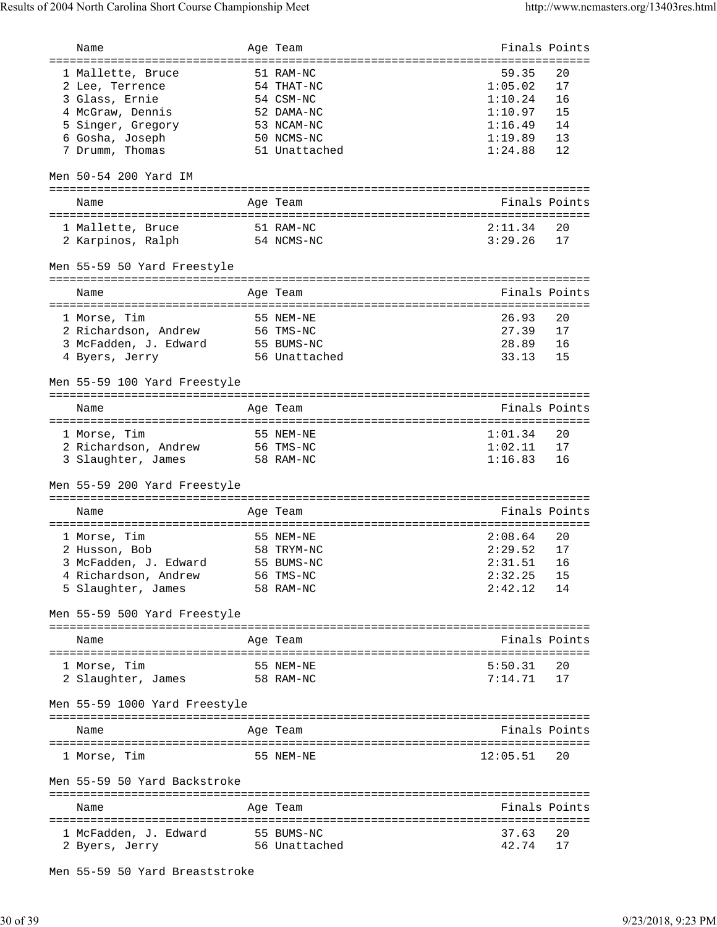| Name                                       | Age Team                          | Finals Points |               |
|--------------------------------------------|-----------------------------------|---------------|---------------|
|                                            |                                   |               |               |
| 1 Mallette, Bruce                          | 51 RAM-NC                         | 59.35         | 20            |
| 2 Lee, Terrence                            | 54 THAT-NC                        | 1:05.02       | 17            |
| 3 Glass, Ernie                             | 54 CSM-NC                         | 1:10.24       | 16            |
| 4 McGraw, Dennis                           | 52 DAMA-NC                        | 1:10.97       | 15            |
| 5 Singer, Gregory                          | 53 NCAM-NC                        | 1:16.49       | 14            |
| 6 Gosha, Joseph                            | 50 NCMS-NC                        | 1:19.89       | 13            |
| 7 Drumm, Thomas                            | 51 Unattached                     | 1:24.88       | 12            |
|                                            |                                   |               |               |
| Men 50-54 200 Yard IM                      |                                   |               |               |
|                                            |                                   | Finals Points |               |
| Name                                       | Age Team                          |               |               |
| 1 Mallette, Bruce                          | 51 RAM-NC                         | 2:11.34       | 20            |
| 2 Karpinos, Ralph                          | 54 NCMS-NC                        | 3:29.26       | 17            |
|                                            |                                   |               |               |
| Men 55-59 50 Yard Freestyle                |                                   |               |               |
| Name                                       | Age Team                          |               | Finals Points |
|                                            |                                   |               |               |
| 1 Morse, Tim                               | 55 NEM-NE                         | 26.93         | 20            |
| 2 Richardson, Andrew                       | 56 TMS-NC                         | 27.39         | 17            |
| 3 McFadden, J. Edward                      | 55 BUMS-NC                        | 28.89         | 16            |
| 4 Byers, Jerry                             | 56 Unattached                     | 33.13         | 15            |
|                                            |                                   |               |               |
| Men 55-59 100 Yard Freestyle               | ================================= |               |               |
| Name                                       | Age Team                          | Finals Points |               |
|                                            |                                   |               |               |
| 1 Morse, Tim                               | 55 NEM-NE                         | 1:01.34       | 20            |
| 2 Richardson, Andrew                       | 56 TMS-NC                         | 1:02.11       | 17            |
| 3 Slaughter, James                         | 58 RAM-NC                         | 1:16.83       | 16            |
|                                            |                                   |               |               |
| Men 55-59 200 Yard Freestyle               |                                   |               |               |
|                                            |                                   |               |               |
| Name                                       | Age Team                          | Finals Points |               |
| 1 Morse, Tim                               | 55 NEM-NE                         | 2:08.64       | 20            |
| 2 Husson, Bob                              | 58 TRYM-NC                        | 2:29.52       | 17            |
|                                            |                                   | 2:31.51       | 16            |
| 3 McFadden, J. Edward                      | 55 BUMS-NC                        | 2:32.25       | 15            |
| 4 Richardson, Andrew<br>5 Slaughter, James | 56 TMS-NC<br>58 RAM-NC            | 2:42.12       | 14            |
|                                            |                                   |               |               |
| Men 55-59 500 Yard Freestyle               |                                   |               |               |
| Name                                       | Age Team                          |               | Finals Points |
|                                            |                                   |               |               |
| 1 Morse, Tim                               | 55 NEM-NE                         | 5:50.31       | 20            |
| 2 Slaughter, James                         | 58 RAM-NC                         | 7:14.71       | 17            |
| Men 55-59 1000 Yard Freestyle              |                                   |               |               |
| Name                                       | Age Team                          | Finals Points |               |
|                                            |                                   |               |               |
| 1 Morse, Tim                               | 55 NEM-NE                         | 12:05.51      | 20            |
| Men 55-59 50 Yard Backstroke               |                                   |               |               |
|                                            |                                   |               |               |
| Name                                       | Age Team                          | Finals Points |               |
| 1 McFadden, J. Edward                      | 55 BUMS-NC                        | 37.63         | 20            |
| 2 Byers, Jerry                             | 56 Unattached                     | 42.74         | 17            |
|                                            |                                   |               |               |

Men 55-59 50 Yard Breaststroke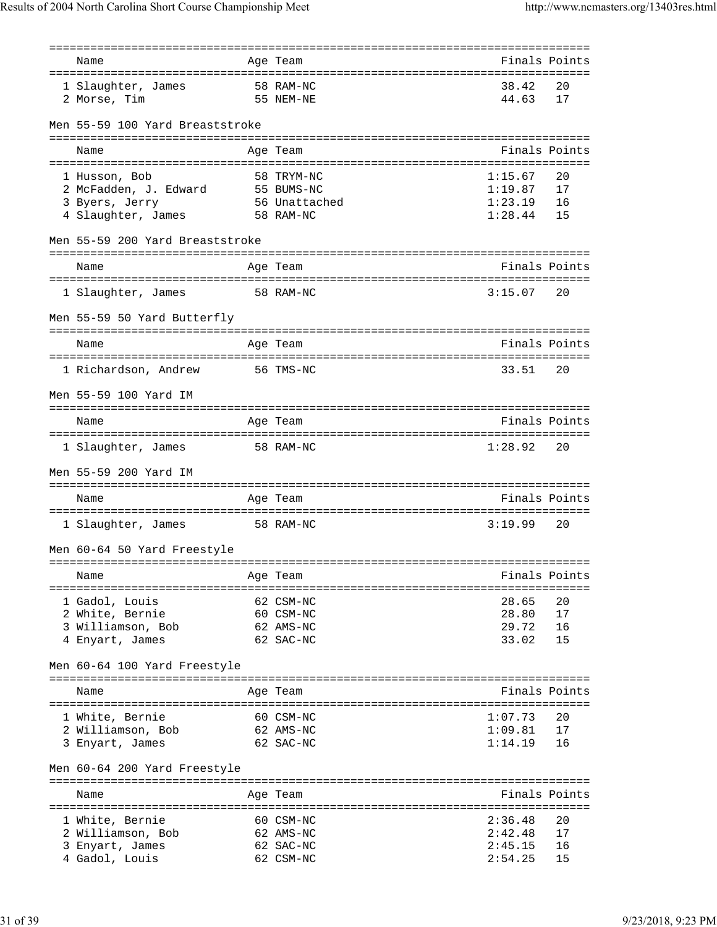| Name                                   | Age Team      |         | Finals Points |
|----------------------------------------|---------------|---------|---------------|
|                                        |               |         |               |
| 1 Slaughter, James                     | 58 RAM-NC     | 38.42   | 20            |
|                                        | 55 NEM-NE     | 44.63   | 17            |
| 2 Morse, Tim                           |               |         |               |
|                                        |               |         |               |
| Men 55-59 100 Yard Breaststroke        |               |         |               |
|                                        |               |         |               |
| Name                                   | Age Team      |         | Finals Points |
|                                        |               |         |               |
| 1 Husson, Bob                          | 58 TRYM-NC    | 1:15.67 | 20            |
| 2 McFadden, J. Edward 55 BUMS-NC       |               | 1:19.87 | 17            |
|                                        | 56 Unattached | 1:23.19 | 16            |
| 3 Byers, Jerry<br>4 Slaughter, James   | 58 RAM-NC     | 1:28.44 | 15            |
|                                        |               |         |               |
| Men 55-59 200 Yard Breaststroke        |               |         |               |
|                                        |               |         |               |
| Name                                   | Age Team      |         | Finals Points |
|                                        |               |         |               |
| 58 RAM-NC                              |               | 3:15.07 | 20            |
| 1 Slaughter, James                     |               |         |               |
|                                        |               |         |               |
| Men 55-59 50 Yard Butterfly            |               |         |               |
|                                        |               |         |               |
| Name                                   | Age Team      |         | Finals Points |
|                                        |               |         |               |
| 1 Richardson, Andrew                   | 56 TMS-NC     | 33.51   | 20            |
|                                        |               |         |               |
| Men 55-59 100 Yard IM                  |               |         |               |
|                                        |               |         |               |
| Name                                   | Age Team      |         | Finals Points |
|                                        |               |         |               |
| 1 Slaughter, James 58 RAM-NC           |               | 1:28.92 | 20            |
|                                        |               |         |               |
| Men 55-59 200 Yard IM                  |               |         |               |
|                                        |               |         |               |
| Name                                   | Age Team      |         | Finals Points |
|                                        |               |         |               |
| 58 RAM-NC<br>1 Slaughter, James        |               | 3:19.99 | 20            |
|                                        |               |         |               |
| Men 60-64 50 Yard Freestyle            |               |         |               |
|                                        |               |         |               |
| Name                                   | Age Team      |         | Finals Points |
| ====================================== |               |         |               |
| 1 Gadol, Louis                         | 62 CSM-NC     | 28.65   | 20            |
|                                        |               |         |               |
| 2 White, Bernie                        | 60 CSM-NC     | 28.80   | 17            |
| 3 Williamson, Bob                      | 62 AMS-NC     | 29.72   | 16            |
| 4 Enyart, James                        | 62 SAC-NC     | 33.02   | 15            |
|                                        |               |         |               |
| Men 60-64 100 Yard Freestyle           |               |         |               |
|                                        |               |         |               |
| Name                                   | Age Team      |         | Finals Points |
|                                        |               |         |               |
| 1 White, Bernie                        | 60 CSM-NC     | 1:07.73 | 20            |
| 2 Williamson, Bob                      | 62 AMS-NC     | 1:09.81 | 17            |
| 3 Enyart, James                        | 62 SAC-NC     | 1:14.19 | 16            |
|                                        |               |         |               |
| Men 60-64 200 Yard Freestyle           |               |         |               |
|                                        |               |         |               |
| Name                                   | Aqe Team      |         | Finals Points |
|                                        |               |         |               |
| 1 White, Bernie                        | 60 CSM-NC     | 2:36.48 | 20            |
| 2 Williamson, Bob                      | 62 AMS-NC     | 2:42.48 | 17            |
|                                        |               | 2:45.15 | 16            |
| 3 Enyart, James                        | 62 SAC-NC     |         |               |
| 4 Gadol, Louis                         | 62 CSM-NC     | 2:54.25 | 15            |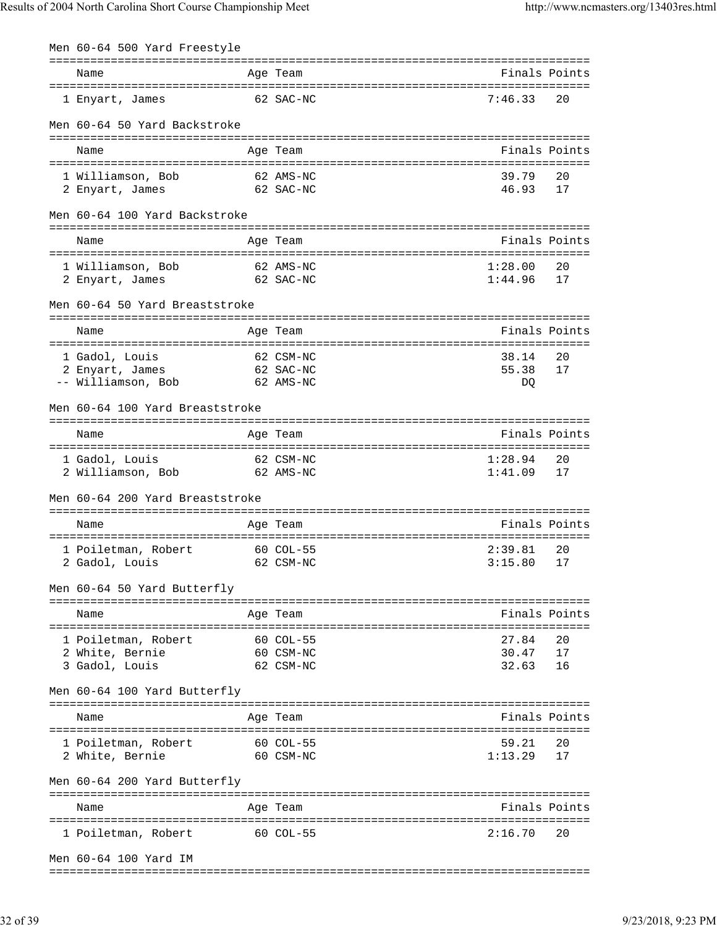| Men 60-64 500 Yard Freestyle    |                                                 |              |               |
|---------------------------------|-------------------------------------------------|--------------|---------------|
| Name                            | Age Team                                        |              | Finals Points |
|                                 |                                                 |              |               |
| 1 Enyart, James                 | 62 SAC-NC                                       | 7:46.33      | 20            |
| Men 60-64 50 Yard Backstroke    |                                                 |              |               |
|                                 |                                                 |              |               |
| Name                            | Age Team                                        |              | Finals Points |
| 1 Williamson, Bob               | 62 AMS-NC                                       | 39.79        | 20            |
| 2 Enyart, James                 | 62 SAC-NC                                       | 46.93        | 17            |
| Men 60-64 100 Yard Backstroke   |                                                 |              |               |
|                                 |                                                 |              |               |
| Name                            | Age Team                                        |              | Finals Points |
| 1 Williamson, Bob               | 62 AMS-NC                                       | 1:28.00      | 20            |
| 2 Enyart, James                 | 62 SAC-NC                                       | 1:44.96      | 17            |
| Men 60-64 50 Yard Breaststroke  |                                                 |              |               |
|                                 |                                                 |              |               |
| Name                            | Age Team                                        |              | Finals Points |
| 1 Gadol, Louis                  | 62 CSM-NC                                       | 38.14        | 20            |
| 2 Enyart, James                 | 62 SAC-NC                                       | 55.38        | 17            |
| -- Williamson, Bob              | 62 AMS-NC                                       | DQ           |               |
| Men 60-64 100 Yard Breaststroke |                                                 |              |               |
|                                 |                                                 |              |               |
| Name                            | Age Team<br>=================================== |              | Finals Points |
| 1 Gadol, Louis                  | 62 CSM-NC                                       | 1:28.94      | 20            |
| 2 Williamson, Bob               | 62 AMS-NC                                       | 1:41.09      | 17            |
| Men 60-64 200 Yard Breaststroke |                                                 |              |               |
|                                 |                                                 |              |               |
| Name                            | Age Team                                        |              | Finals Points |
| 1 Poiletman, Robert             | 60 COL-55                                       | 2:39.81      | 20            |
| 2 Gadol, Louis                  | 62 CSM-NC                                       | $3:15.80$ 17 |               |
| Men 60-64 50 Yard Butterfly     |                                                 |              |               |
|                                 |                                                 |              | Finals Points |
| Name                            | Age Team                                        |              |               |
| 1 Poiletman, Robert             | 60 COL-55                                       | 27.84        | 20            |
| 2 White, Bernie<br>60 CSM-NC    |                                                 | 30.47        | 17            |
| 3 Gadol, Louis                  | 62 CSM-NC                                       | 32.63        | 16            |
| Men 60-64 100 Yard Butterfly    |                                                 |              |               |
| Name                            | Age Team                                        |              | Finals Points |
|                                 |                                                 |              |               |
| 1 Poiletman, Robert             | 60 COL-55                                       | 59.21        | 20<br>17      |
| 2 White, Bernie                 | 60 CSM-NC                                       | 1:13.29      |               |
| Men 60-64 200 Yard Butterfly    |                                                 |              |               |
| Name                            | Age Team                                        |              | Finals Points |
|                                 |                                                 |              | 20            |
| 1 Poiletman, Robert 60 COL-55   |                                                 | 2:16.70      |               |
| Men 60-64 100 Yard IM           |                                                 |              |               |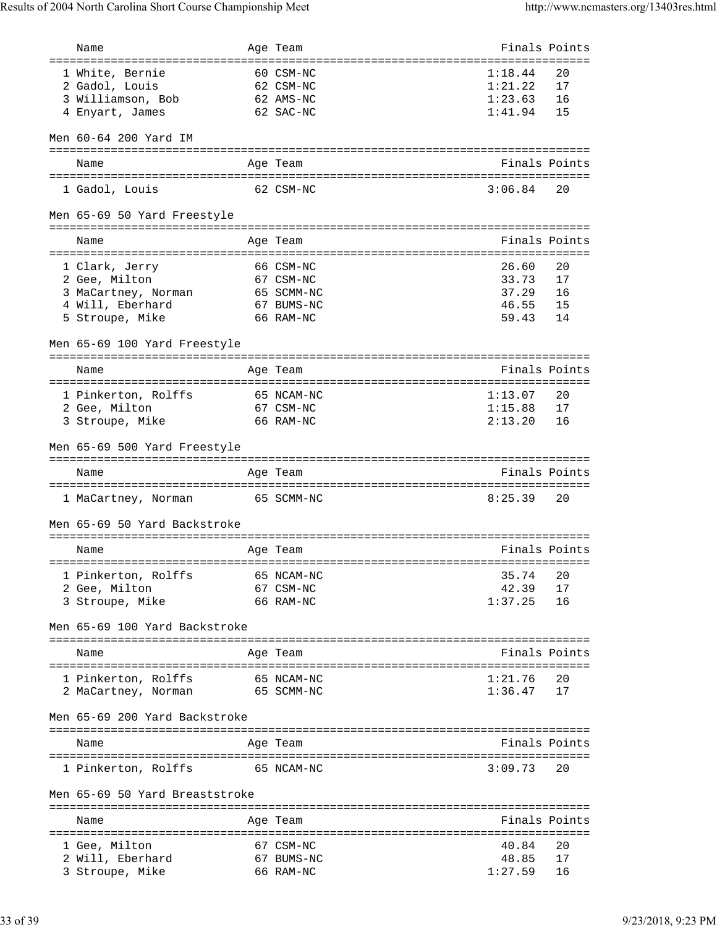| Name                                       | Age Team                              | Finals Points      |               |
|--------------------------------------------|---------------------------------------|--------------------|---------------|
| ====================================       | ------------------------------------- |                    |               |
| 1 White, Bernie                            | 60 CSM-NC                             | 1:18.44            | 20            |
| 2 Gadol, Louis                             | 62 CSM-NC                             | 1:21.22            | 17            |
| 3 Williamson, Bob                          | 62 AMS-NC                             | 1:23.63            | 16            |
| 4 Enyart, James                            | 62 SAC-NC                             | 1:41.94            | 15            |
| Men 60-64 200 Yard IM                      |                                       |                    |               |
| Name                                       | Age Team                              |                    | Finals Points |
|                                            |                                       |                    |               |
| 1 Gadol, Louis                             | 62 CSM-NC                             | 3:06.84            | 20            |
| Men 65-69 50 Yard Freestyle                |                                       |                    |               |
| Name                                       | Age Team                              |                    | Finals Points |
|                                            |                                       |                    |               |
| 1 Clark, Jerry                             | 66 CSM-NC                             | 26.60              | 20            |
| 2 Gee, Milton                              | 67 CSM-NC                             | 33.73              | 17            |
| 3 MaCartney, Norman                        | 65 SCMM-NC                            | 37.29              | 16            |
| 4 Will, Eberhard                           | 67 BUMS-NC                            | 46.55              | 15            |
| 5 Stroupe, Mike                            | 66 RAM-NC                             | 59.43              | 14            |
| Men 65-69 100 Yard Freestyle               |                                       |                    |               |
|                                            | Age Team                              | Finals Points      |               |
| Name                                       |                                       |                    |               |
| 1 Pinkerton, Rolffs                        | 65 NCAM-NC                            | 1:13.07            | 20            |
| 2 Gee, Milton                              | 67 CSM-NC                             | 1:15.88            | 17            |
| 3 Stroupe, Mike                            | 66 RAM-NC                             | 2:13.20            | 16            |
|                                            |                                       |                    |               |
| Men 65-69 500 Yard Freestyle               |                                       |                    |               |
|                                            |                                       |                    |               |
| Name                                       | Age Team                              |                    | Finals Points |
| 1 MaCartney, Norman                        | 65 SCMM-NC                            | 8:25.39            | 20            |
| Men 65-69 50 Yard Backstroke               |                                       |                    |               |
| Name                                       | Age Team                              |                    | Finals Points |
|                                            |                                       |                    |               |
| 1 Pinkerton, Rolffs                        | 65 NCAM-NC                            | 35.74              | 20            |
| 2 Gee, Milton                              | 67 CSM-NC<br>66 RAM-NC                | 42.39              | 17<br>16      |
| 3 Stroupe, Mike                            |                                       | 1:37.25            |               |
| Men 65-69 100 Yard Backstroke              |                                       |                    |               |
| Name                                       | Age Team                              |                    | Finals Points |
|                                            |                                       |                    | 20            |
| 1 Pinkerton, Rolffs<br>2 MaCartney, Norman | 65 NCAM-NC<br>65 SCMM-NC              | 1:21.76<br>1:36.47 | 17            |
| Men 65-69 200 Yard Backstroke              |                                       |                    |               |
| Name                                       | Age Team                              | Finals Points      |               |
| 1 Pinkerton, Rolffs                        | 65 NCAM-NC                            | 3:09.73            | 20            |
| Men 65-69 50 Yard Breaststroke             |                                       |                    |               |
|                                            |                                       |                    |               |
| Name                                       | Age Team                              |                    | Finals Points |
|                                            |                                       |                    |               |
| 1 Gee, Milton                              | 67 CSM-NC                             | 40.84              | 20            |
| 2 Will, Eberhard<br>3 Stroupe, Mike        | 67 BUMS-NC<br>66 RAM-NC               | 48.85<br>1:27.59   | 17<br>16      |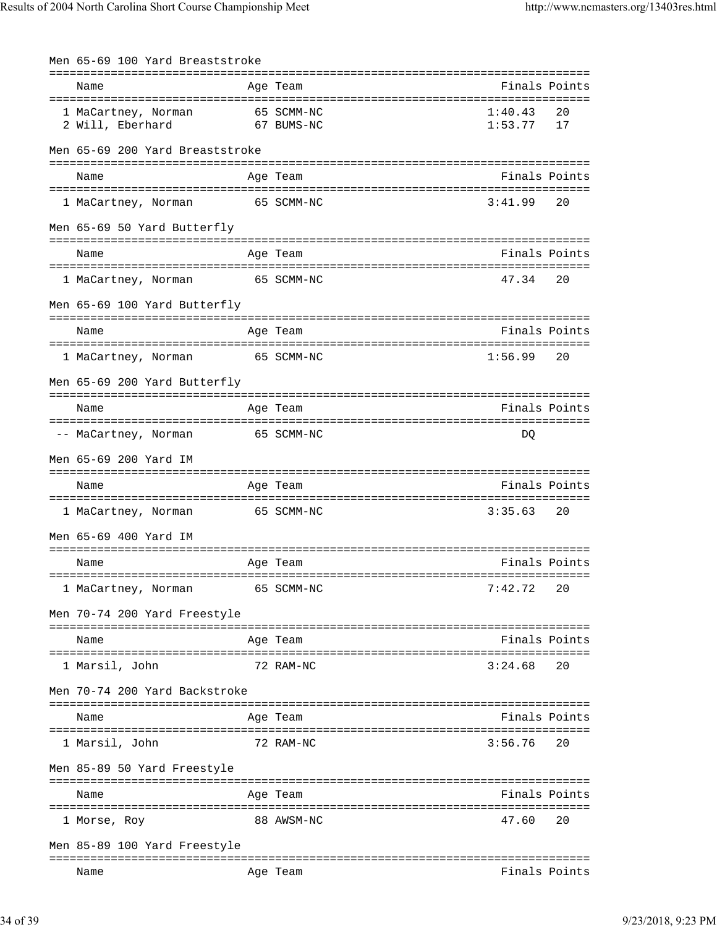| Men 65-69 100 Yard Breaststroke |                                             |               |               |
|---------------------------------|---------------------------------------------|---------------|---------------|
| Name                            | Age Team                                    |               | Finals Points |
|                                 |                                             |               |               |
| 1 MaCartney, Norman             | 65 SCMM-NC                                  | 1:40.43       | 20            |
| 2 Will, Eberhard                | 67 BUMS-NC                                  | 1:53.77       | 17            |
| Men 65-69 200 Yard Breaststroke |                                             |               |               |
| Name                            | Age Team                                    |               | Finals Points |
| 1 MaCartney, Norman             | 65 SCMM-NC                                  | 3:41.99       | 20            |
|                                 |                                             |               |               |
| Men 65-69 50 Yard Butterfly     |                                             |               |               |
| Name                            | Age Team                                    |               | Finals Points |
| 1 MaCartney, Norman             | 65 SCMM-NC                                  | 47.34         | 20            |
| Men 65-69 100 Yard Butterfly    |                                             |               |               |
| Name                            | Age Team                                    |               | Finals Points |
|                                 |                                             | 1:56.99       | 20            |
| 1 MaCartney, Norman             | 65 SCMM-NC                                  |               |               |
| Men 65-69 200 Yard Butterfly    |                                             |               |               |
| Name                            | Age Team                                    |               | Finals Points |
| -- MaCartney, Norman            | 65 SCMM-NC                                  | DQ            |               |
| Men 65-69 200 Yard IM           |                                             |               |               |
|                                 |                                             |               |               |
| Name                            | Age Team                                    | Finals Points |               |
| 1 MaCartney, Norman             | 65 SCMM-NC                                  | 3:35.63       | 20            |
| Men 65-69 400 Yard IM           |                                             |               |               |
| Name                            | Age Team                                    |               | Finals Points |
| 1 MaCartney, Norman             | 65 SCMM-NC                                  | 7:42.72       | 20            |
| Men 70-74 200 Yard Freestyle    |                                             |               |               |
|                                 | =========<br>------------------             |               | Finals Points |
| Name                            | Age Team                                    |               |               |
| 1 Marsil, John                  | 72 RAM-NC                                   | 3:24.68       | 20            |
| Men 70-74 200 Yard Backstroke   |                                             |               |               |
| Name                            | Age Team                                    |               | Finals Points |
| 1 Marsil, John                  | 72 RAM-NC                                   | 3:56.76       | 20            |
| Men 85-89 50 Yard Freestyle     |                                             |               |               |
| Name                            | =========<br>------------------<br>Age Team |               | Finals Points |
| =====================           | 88 AWSM-NC                                  | 47.60         | 20            |
| 1 Morse, Roy                    |                                             |               |               |
| Men 85-89 100 Yard Freestyle    |                                             |               |               |
| Name                            | Age Team                                    |               | Finals Points |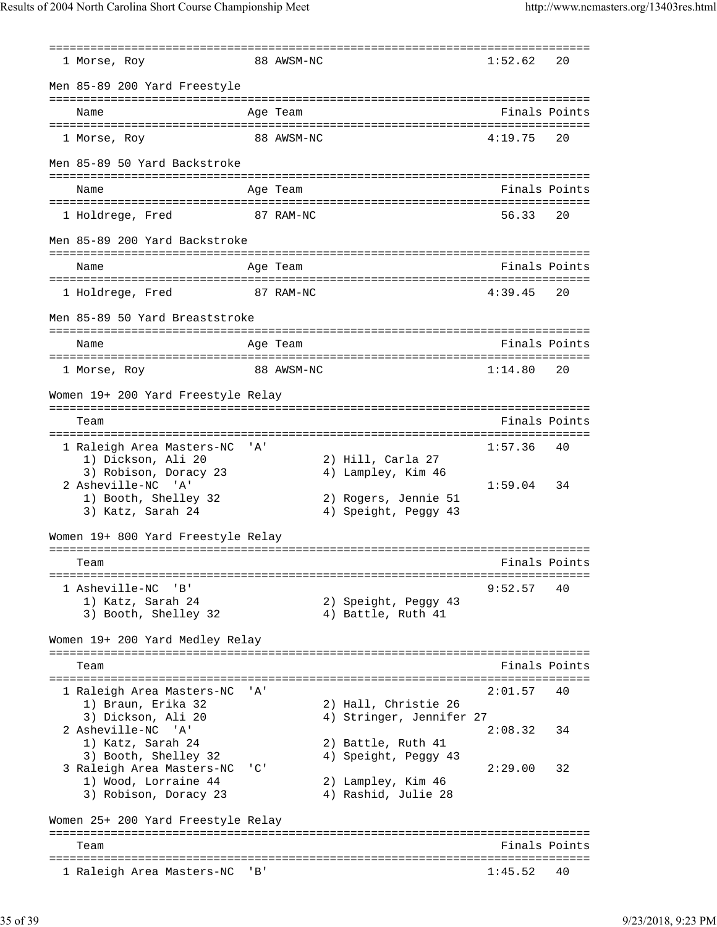=============================================================================== 1 Morse, Roy 68 AWSM-NC Men 85-89 200 Yard Freestyle =============================================================================== Name **Age Team** Age Team **Finals Points** =============================================================================== 1 Morse, Roy 88 AWSM-NC Men 85-89 50 Yard Backstroke =============================================================================== Name Age Team Age Team Finals Points =============================================================================== 1 Holdrege, Fred 87 RAM-NC Men 85-89 200 Yard Backstroke =============================================================================== Name Age Team Age Team Finals Points =============================================================================== 1 Holdrege, Fred 87 RAM-NC 4:39.45 20 Men 85-89 50 Yard Breaststroke =============================================================================== Name **Age Team** Age Team **Finals Points** =============================================================================== 1 Morse, Roy 1:15.88 AWSM-NC Women 19+ 200 Yard Freestyle Relay =============================================================================== Team **Finals Points** =============================================================================== 1 Raleigh Area Masters-NC 'A' 1:57.36 40 1) Dickson, Ali 20 2) Hill, Carla 27 3) Robison, Doracy 23 4) Lampley, Kim 46 2 Asheville-NC 'A' 1:59.04 34<br>1) Booth, Shelley 32 2) Rogers, Jennie 51 1) Booth, Shelley 32 3) Katz, Sarah 24 (4) Speight, Peggy 43 Women 19+ 800 Yard Freestyle Relay =============================================================================== Team Finals Points =============================================================================== 1 Asheville-NC 'B' 9:52.57 40 1) Katz, Sarah 24 2) Speight, Peggy 43 3) Booth, Shelley 32 4) Battle, Ruth 41 Women 19+ 200 Yard Medley Relay =============================================================================== Team Finals Points =============================================================================== 1 Raleigh Area Masters-NC 'A' 2:01.57 40 1) Braun, Erika 32 2) Hall, Christie 26<br>3) Dickson, Ali 20 2 4) Stringer, Jennifer 4) Stringer, Jennifer 27 2 Asheville-NC 'A' 2:08.32 34 1) Katz, Sarah 24 2) Battle, Ruth 41 3) Booth, Shelley 32 4) Speight, Peggy 43 3 Raleigh Area Masters-NC 'C' 2:29.00 32 1) Wood, Lorraine 44 2) Lampley, Kim 46 3) Robison, Doracy 23 (4) Rashid, Julie 28 Women 25+ 200 Yard Freestyle Relay =============================================================================== Team Finals Points =============================================================================== 1 Raleigh Area Masters-NC 'B' 1:45.52 40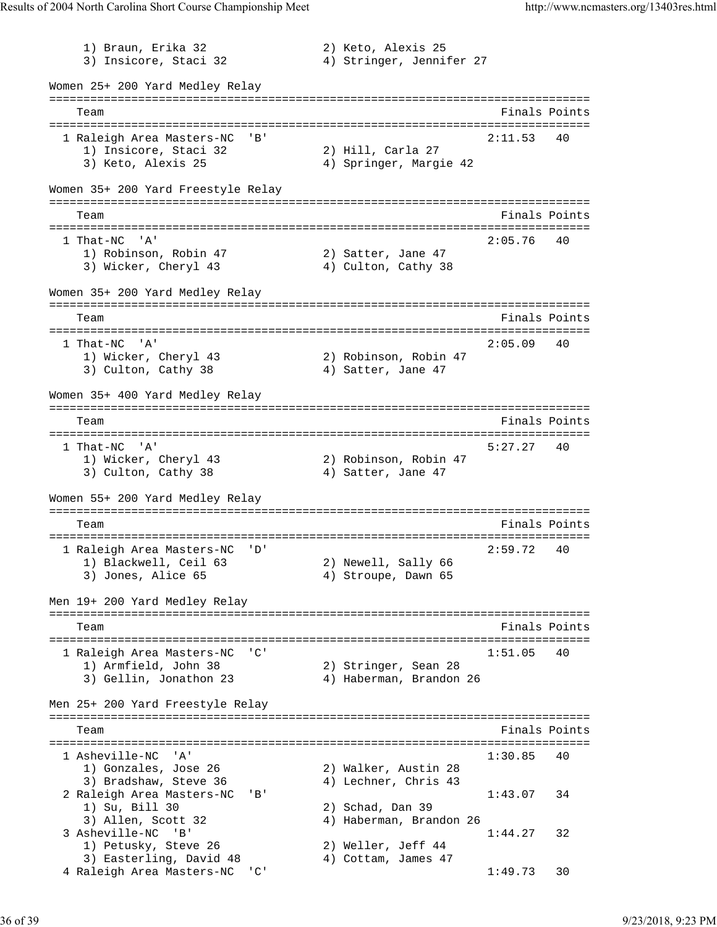1) Braun, Erika 32 2) Keto, Alexis 25 3) Insicore, Staci 32 4) Stringer, Jennifer 27 Women 25+ 200 Yard Medley Relay =============================================================================== Team Finals Points =============================================================================== 1 Raleigh Area Masters-NC 'B' 2:11.53 40 1) Insicore, Staci 32 2) Hill, Carla 27 3) Keto, Alexis 25 4) Springer, Margie 42 Women 35+ 200 Yard Freestyle Relay =============================================================================== Team Finals Points =============================================================================== 1 That-NC 'A' 2:05.76 40 1) Robinson, Robin 47 (2) Satter, Jane 47 3) Wicker, Cheryl 43 4) Culton, Cathy 38 Women 35+ 200 Yard Medley Relay =============================================================================== Team Finals Points =============================================================================== 1 That-NC 'A' 2:05.09 40 1) Wicker, Cheryl 43 2) Robinson, Robin 47 3) Culton, Cathy 38 4) Satter, Jane 47 Women 35+ 400 Yard Medley Relay =============================================================================== Team Finals Points =============================================================================== 1 That-NC 'A' 5:27.27 40<br>1) Wicker, Cheryl 43 2) Robinson, Robin 47 1) Wicker, Cheryl 43 2) Robinson, Robin 47 3) Culton, Cathy 38 4) Satter, Jane 47 Women 55+ 200 Yard Medley Relay =============================================================================== Team Finals Points =============================================================================== 1 Raleigh Area Masters-NC 'D' 2:59.72 40<br>1) Blackwell, Ceil 63 2) Newell, Sally 66 xaiciyn nicw<br>1) Blackwell, Ceil 63 3) Jones, Alice 65 4) Stroupe, Dawn 65 Men 19+ 200 Yard Medley Relay =============================================================================== Team Finals Points =============================================================================== 1 Raleigh Area Masters-NC 'C' 1:51.05 40 1) Armfield, John 38 2) Stringer, Sean 28 3) Gellin, Jonathon 23 4) Haberman, Brandon 26 Men 25+ 200 Yard Freestyle Relay =============================================================================== Team Finals Points =============================================================================== 1 Asheville-NC 'A' 1:30.85 40 1) Gonzales, Jose 26 2) Walker, Austin 28 3) Bradshaw, Steve 36 (4) Lechner, Chris 43 2 Raleigh Area Masters-NC 'B' 1:43.07 34 1) Su, Bill 30 2) Schad, Dan 39 3) Allen, Scott 32 4) Haberman, Brandon 26 3) Allen, Scott 32 (a) 4) Haberman, Brandon 26<br>3 Asheville-NC 'B' 1:44.27 32<br>1) Petusky, Steve 26 (2) Weller, Jeff 44<br>3) Easterling, David 48 (4) Cottam, James 47 1) Petusky, Steve 26 20 2) Weller, Jeff 44 3) Easterling, David 48 4) Cottam, James 47 4 Raleigh Area Masters-NC 'C' 1:49.73 30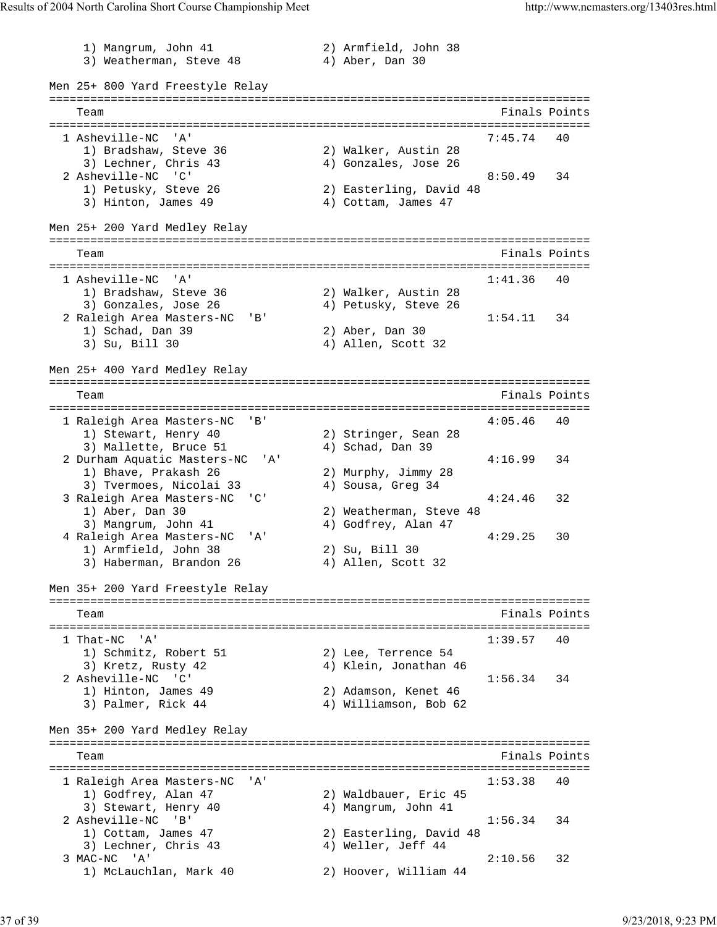1) Mangrum, John 41 2) Armfield, John 38 3) Weatherman, Steve 48 4) Aber, Dan 30 Men 25+ 800 Yard Freestyle Relay =============================================================================== Team Finals Points =============================================================================== 1 Asheville-NC 'A' 7:45.74 40 1) Bradshaw, Steve 36 2) Walker, Austin 28 3) Lechner, Chris 43 4) Gonzales, Jose 26 2 Asheville-NC 'C' 8:50.49 34 1) Petusky, Steve 26 2) Easterling, David 48 3) Hinton, James 49 (4) Cottam, James 47 Men 25+ 200 Yard Medley Relay =============================================================================== Team Finals Points =============================================================================== 1 Asheville-NC 'A' 1:41.36 40<br>1) Bradshaw, Steve 36 2) Walker, Austin 28 1) Bradshaw, Steve 36 2) Walker, Austin 28 3) Gonzales, Jose 26 (4) Petusky, Steve 26 2 Raleigh Area Masters-NC 'B' 1:54.11 34 1) Schad, Dan 39 2) Aber, Dan 30 1) Schad, Dan 39<br>
3) Su, Bill 30 4) Allen, Scott 32 Men 25+ 400 Yard Medley Relay =============================================================================== Team Finals Points =============================================================================== 1 Raleigh Area Masters-NC 'B' 4:05.46 40<br>1) Stewart, Henry 40 2) Stringer, Sean 28 1) Stewart, Henry 40 2) Stringer, Sean 28 3) Mallette, Bruce 51 (4) Schad, Dan 39 2 Durham Aquatic Masters-NC 'A' 4:16.99 34<br>1) Bhave, Prakash 26 2) Murphy, Jimmy 28 1) Bhave, Prakash 26 2) Murphy, Jimmy 28 3) Tvermoes, Nicolai 33 4) Sousa, Greg 34 3 Raleigh Area Masters-NC 'C' 4:24.46 32 1) Aber, Dan 30 2) Weatherman, Steve 48 3) Mangrum, John 41 4) Godfrey, Alan 47 4 Raleigh Area Masters-NC 'A' 4:29.25 30 1) Armfield, John 38 2) Su, Bill 30 3) Haberman, Brandon 26 (4) Allen, Scott 32 Men 35+ 200 Yard Freestyle Relay =============================================================================== Team Finals Points =============================================================================== 1 That-NC 'A' 1:39.57 40 1) Schmitz, Robert 51 2) Lee, Terrence 54 3) Kretz, Rusty 42 4) Klein, Jonathan 46 2 Asheville-NC 'C' 1:56.34 34 1) Hinton, James 49 2) Adamson, Kenet 46<br>1) Hinton, James 49 2) Adamson, Kenet 46 3) Palmer, Rick 44 4) Williamson, Bob 62 Men 35+ 200 Yard Medley Relay =============================================================================== Team Finals Points =============================================================================== 1 Raleigh Area Masters-NC 'A' 1:53.38 40 1) Godfrey, Alan 47 2) Waldbauer, Eric 45 3) Stewart, Henry 40 (4) Mangrum, John 41 2 Asheville-NC 'B' 1:56.34 34 1) Cottam, James 47 2) Easterling, David 48 3) Lechner, Chris 43 4) Weller, Jeff 44 3 MAC-NC 'A' 2:10.56 32 1) McLauchlan, Mark 40 2) Hoover, William 44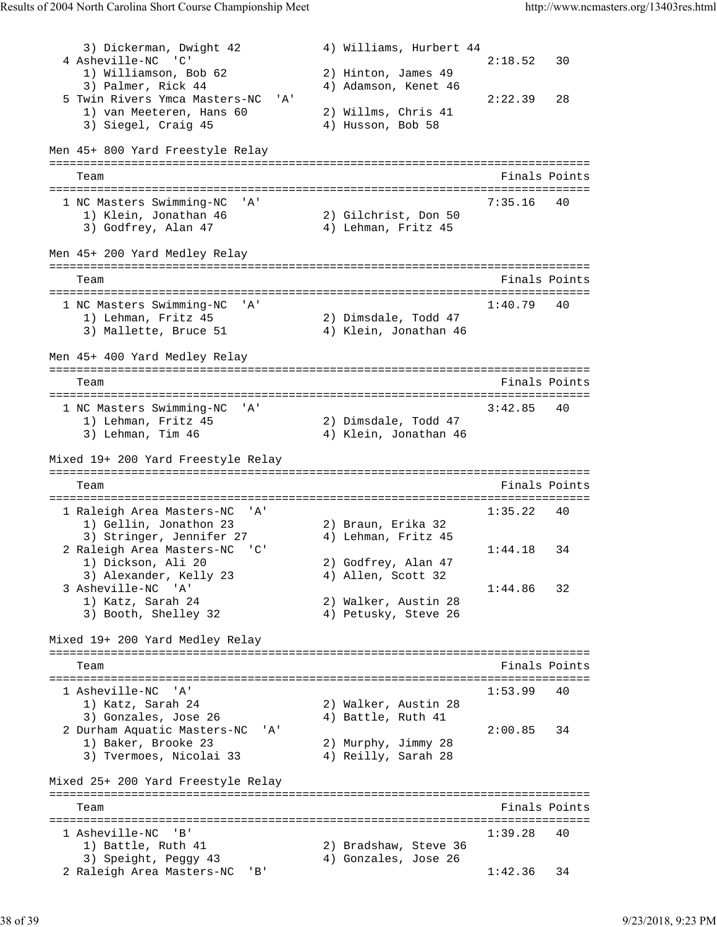3) Dickerman, Dwight 42 4) Williams, Hurbert 44 2:18.52 30 4 Asheville-NC 'C'<br>
1) Williamson, Bob 62<br>
3) Palmer, Rick 44<br>
3) Palmer, Rick 44<br>
4) Adamson, Kenet 46 1) Williamson, Bob 62 2) Hinton, James 49 3) Palmer, Rick 44 4) Adamson, Kenet 46 5 Twin Rivers Ymca Masters-NC 'A' 2:22.39 28 1) van Meeteren, Hans 60 2) Willms, Chris 41 3) Siegel, Craig 45 4) Husson, Bob 58 Men 45+ 800 Yard Freestyle Relay =============================================================================== Team Finals Points =============================================================================== 1 NC Masters Swimming-NC 'A' 1) Klein, Jonathan 46 2) Gilchrist, Don 50 1) Klein, Jonathan 46 2) Gilchrist, Don 50 3) Godfrey, Alan 47 (4) Lehman, Fritz 45 Men 45+ 200 Yard Medley Relay =============================================================================== Team Finals Points =============================================================================== 1 NC Masters Swimming-NC 'A' 1:40.79 40 1) Lehman, Fritz 45 2) Dimsdale, Todd 47 3) Mallette, Bruce 51  $\hspace{1cm}$  4) Klein, Jonathan 46 Men 45+ 400 Yard Medley Relay =============================================================================== Team Finals Points =============================================================================== 1 NC Masters Swimming-NC 'A' 3:42.85 40 1) Lehman, Fritz 45 2) Dimsdale, Todd 47 3) Lehman, Tim 46 4) Klein, Jonathan 46 Mixed 19+ 200 Yard Freestyle Relay =============================================================================== Team Finals Points =============================================================================== 1 Raleigh Area Masters-NC 'A' 1:35.22 40 1) Gellin, Jonathon 23 2) Braun, Erika 32 3) Stringer, Jennifer 27 4) Lehman, Fritz 45 2 Raleigh Area Masters-NC 'C' 1:44.18 34 1) Dickson, Ali 20 2) Godfrey, Alan 47 3) Alexander, Kelly 23 (4) Allen, Scott 32 3 Asheville-NC 'A' 1:44.86 32 3 Asheville-NC 'A'<br>
1) Katz, Sarah 24 2) Walker, Austin 28<br>
3) Bosth Shellow 22 3, 2001 3) Booth, Shelley 32 4) Petusky, Steve 26 Mixed 19+ 200 Yard Medley Relay =============================================================================== Team Finals Points Points All the Second Second Second Second Second Second Second Second Second Second Second Second Second Second Second Second Second Second Second Second Second Second Second Second Second Second Second =============================================================================== 1 Asheville-NC 'A' 1:53.99 40 1) Katz, Sarah 24 2) Walker, Austin 28 3) Gonzales, Jose 26 4) Battle, Ruth 41 2 Durham Aquatic Masters-NC 'A' 2:00.85 34 1) Baker, Brooke 23 2) Murphy, Jimmy 28 3) Tvermoes, Nicolai 33 4) Reilly, Sarah 28 Mixed 25+ 200 Yard Freestyle Relay =============================================================================== Team Finals Points Communications of the Communication of the Points Points Points Points Points Points Points =============================================================================== 1 Asheville-NC 'B' 1:39.28 40 1) Battle, Ruth 41 2) Bradshaw, Steve 36 3) Speight, Peggy 43 4) Gonzales, Jose 26 2 Raleigh Area Masters-NC 'B' 1:42.36 34